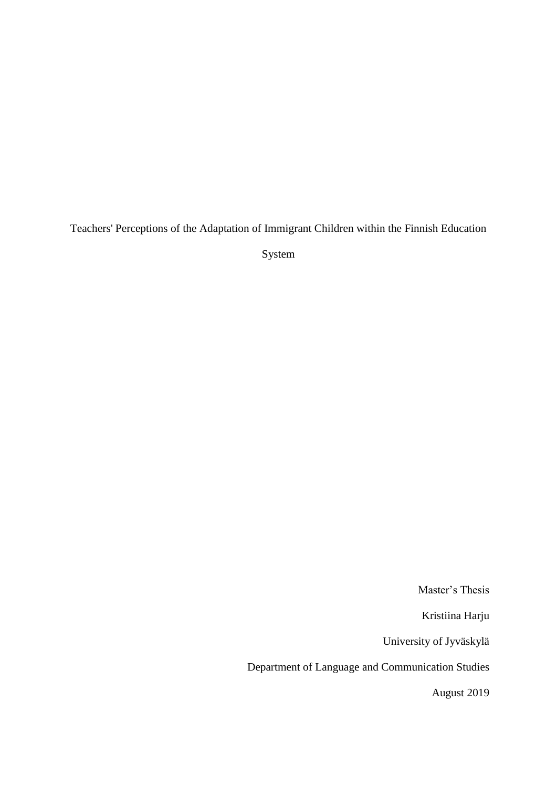Teachers' Perceptions of the Adaptation of Immigrant Children within the Finnish Education

System

Master's Thesis

Kristiina Harju

University of Jyväskylä

Department of Language and Communication Studies

August 2019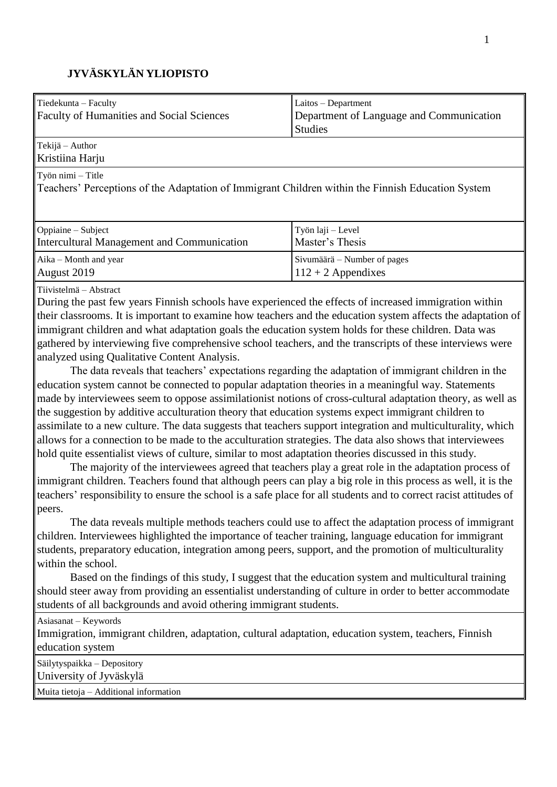# **JYVÄSKYLÄN YLIOPISTO**

| Tiedekunta - Faculty<br><b>Faculty of Humanities and Social Sciences</b>                                               | Laitos - Department<br>Department of Language and Communication<br><b>Studies</b> |  |
|------------------------------------------------------------------------------------------------------------------------|-----------------------------------------------------------------------------------|--|
| Tekijä – Author<br>Kristiina Harju                                                                                     |                                                                                   |  |
| Työn nimi – Title<br>Teachers' Perceptions of the Adaptation of Immigrant Children within the Finnish Education System |                                                                                   |  |
| Oppiaine – Subject<br>Intercultural Management and Communication                                                       | Työn laji – Level<br>Master's Thesis                                              |  |
| Aika – Month and year<br>August 2019                                                                                   | Sivumäärä – Number of pages<br>$112 + 2$ Appendixes                               |  |

Tiivistelmä – Abstract

During the past few years Finnish schools have experienced the effects of increased immigration within their classrooms. It is important to examine how teachers and the education system affects the adaptation of immigrant children and what adaptation goals the education system holds for these children. Data was gathered by interviewing five comprehensive school teachers, and the transcripts of these interviews were analyzed using Qualitative Content Analysis.

The data reveals that teachers' expectations regarding the adaptation of immigrant children in the education system cannot be connected to popular adaptation theories in a meaningful way. Statements made by interviewees seem to oppose assimilationist notions of cross-cultural adaptation theory, as well as the suggestion by additive acculturation theory that education systems expect immigrant children to assimilate to a new culture. The data suggests that teachers support integration and multiculturality, which allows for a connection to be made to the acculturation strategies. The data also shows that interviewees hold quite essentialist views of culture, similar to most adaptation theories discussed in this study.

The majority of the interviewees agreed that teachers play a great role in the adaptation process of immigrant children. Teachers found that although peers can play a big role in this process as well, it is the teachers' responsibility to ensure the school is a safe place for all students and to correct racist attitudes of peers.

The data reveals multiple methods teachers could use to affect the adaptation process of immigrant children. Interviewees highlighted the importance of teacher training, language education for immigrant students, preparatory education, integration among peers, support, and the promotion of multiculturality within the school.

Based on the findings of this study, I suggest that the education system and multicultural training should steer away from providing an essentialist understanding of culture in order to better accommodate students of all backgrounds and avoid othering immigrant students.

| Asiasanat – Keywords                                                                                  |
|-------------------------------------------------------------------------------------------------------|
| Immigration, immigrant children, adaptation, cultural adaptation, education system, teachers, Finnish |
| education system                                                                                      |
| Säilytyspaikka – Depository                                                                           |
| University of Jyväskylä                                                                               |
| Muita tietoja – Additional information                                                                |
|                                                                                                       |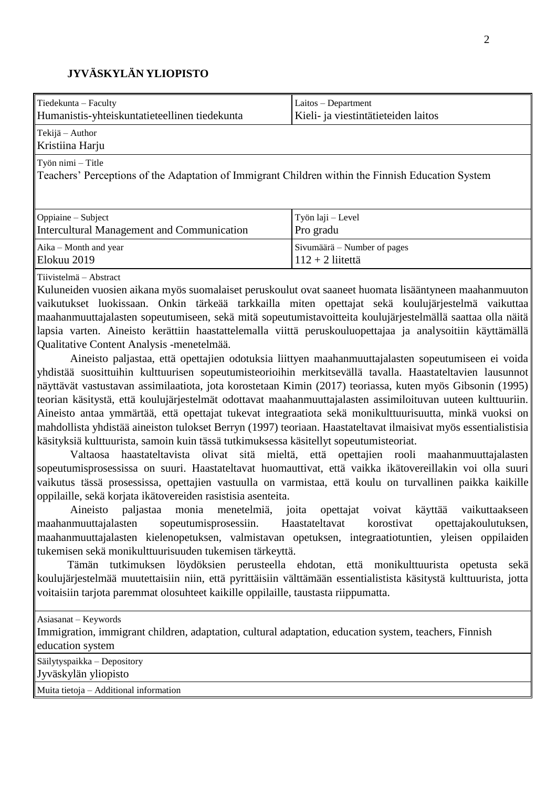## **JYVÄSKYLÄN YLIOPISTO**

| Tiedekunta – Faculty                                                                                                       | Laitos - Department                 |  |
|----------------------------------------------------------------------------------------------------------------------------|-------------------------------------|--|
| Humanistis-yhteiskuntatieteellinen tiedekunta                                                                              | Kieli- ja viestintätieteiden laitos |  |
| $\textsf{Tekijä} - \textsf{Author}$<br>Kristiina Harju                                                                     |                                     |  |
| $Ty$ ön nimi $-Title$<br>Teachers' Perceptions of the Adaptation of Immigrant Children within the Finnish Education System |                                     |  |
| $\Box$ Oppiaine – Subject                                                                                                  | Työn laji – Level                   |  |
| Intercultural Management and Communication                                                                                 | Pro gradu                           |  |
| Aika – Month and year                                                                                                      | Sivumäärä – Number of pages         |  |
| Elokuu 2019                                                                                                                | $112 + 2$ liitettä                  |  |

Tiivistelmä – Abstract

Kuluneiden vuosien aikana myös suomalaiset peruskoulut ovat saaneet huomata lisääntyneen maahanmuuton vaikutukset luokissaan. Onkin tärkeää tarkkailla miten opettajat sekä koulujärjestelmä vaikuttaa maahanmuuttajalasten sopeutumiseen, sekä mitä sopeutumistavoitteita koulujärjestelmällä saattaa olla näitä lapsia varten. Aineisto kerättiin haastattelemalla viittä peruskouluopettajaa ja analysoitiin käyttämällä Qualitative Content Analysis -menetelmää.

Aineisto paljastaa, että opettajien odotuksia liittyen maahanmuuttajalasten sopeutumiseen ei voida yhdistää suosittuihin kulttuurisen sopeutumisteorioihin merkitsevällä tavalla. Haastateltavien lausunnot näyttävät vastustavan assimilaatiota, jota korostetaan Kimin (2017) teoriassa, kuten myös Gibsonin (1995) teorian käsitystä, että koulujärjestelmät odottavat maahanmuuttajalasten assimiloituvan uuteen kulttuuriin. Aineisto antaa ymmärtää, että opettajat tukevat integraatiota sekä monikulttuurisuutta, minkä vuoksi on mahdollista yhdistää aineiston tulokset Berryn (1997) teoriaan. Haastateltavat ilmaisivat myös essentialistisia käsityksiä kulttuurista, samoin kuin tässä tutkimuksessa käsitellyt sopeutumisteoriat.

Valtaosa haastateltavista olivat sitä mieltä, että opettajien rooli maahanmuuttajalasten sopeutumisprosessissa on suuri. Haastateltavat huomauttivat, että vaikka ikätovereillakin voi olla suuri vaikutus tässä prosessissa, opettajien vastuulla on varmistaa, että koulu on turvallinen paikka kaikille oppilaille, sekä korjata ikätovereiden rasistisia asenteita.

Aineisto paljastaa monia menetelmiä, joita opettajat voivat käyttää vaikuttaakseen maahanmuuttajalasten sopeutumisprosessiin. Haastateltavat korostivat opettajakoulutuksen, maahanmuuttajalasten kielenopetuksen, valmistavan opetuksen, integraatiotuntien, yleisen oppilaiden tukemisen sekä monikulttuurisuuden tukemisen tärkeyttä.

Tämän tutkimuksen löydöksien perusteella ehdotan, että monikulttuurista opetusta sekä koulujärjestelmää muutettaisiin niin, että pyrittäisiin välttämään essentialistista käsitystä kulttuurista, jotta voitaisiin tarjota paremmat olosuhteet kaikille oppilaille, taustasta riippumatta.

Asiasanat – Keywords

Immigration, immigrant children, adaptation, cultural adaptation, education system, teachers, Finnish education system

Säilytyspaikka – Depository Jyväskylän yliopisto

Muita tietoja – Additional information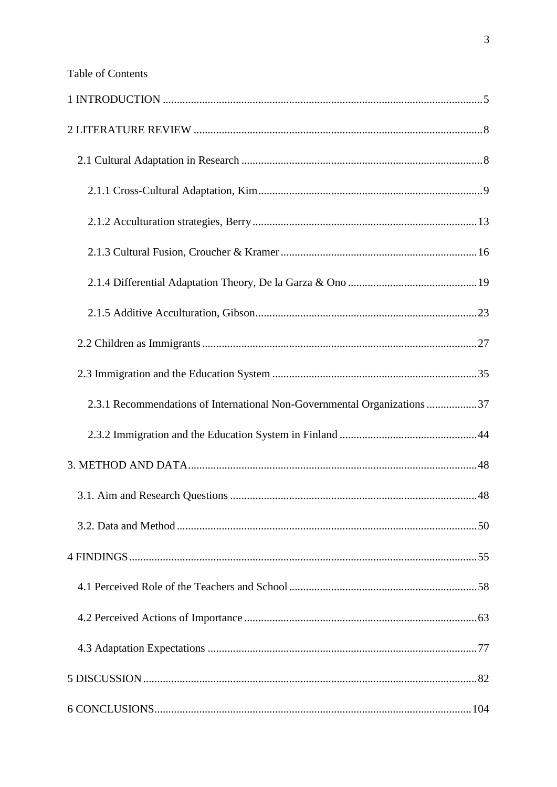| 2.3.1 Recommendations of International Non-Governmental Organizations 37 |  |
|--------------------------------------------------------------------------|--|
|                                                                          |  |
|                                                                          |  |
|                                                                          |  |
|                                                                          |  |
|                                                                          |  |
|                                                                          |  |
|                                                                          |  |
|                                                                          |  |
|                                                                          |  |
|                                                                          |  |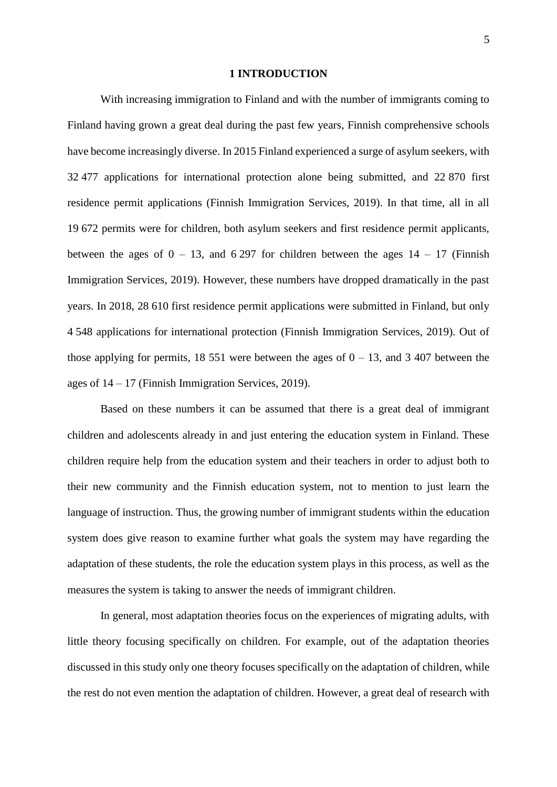#### **1 INTRODUCTION**

<span id="page-5-0"></span>With increasing immigration to Finland and with the number of immigrants coming to Finland having grown a great deal during the past few years, Finnish comprehensive schools have become increasingly diverse. In 2015 Finland experienced a surge of asylum seekers, with 32 477 applications for international protection alone being submitted, and 22 870 first residence permit applications (Finnish Immigration Services, 2019). In that time, all in all 19 672 permits were for children, both asylum seekers and first residence permit applicants, between the ages of  $0 - 13$ , and 6 297 for children between the ages  $14 - 17$  (Finnish Immigration Services, 2019). However, these numbers have dropped dramatically in the past years. In 2018, 28 610 first residence permit applications were submitted in Finland, but only 4 548 applications for international protection (Finnish Immigration Services, 2019). Out of those applying for permits, 18 551 were between the ages of  $0 - 13$ , and 3 407 between the ages of 14 – 17 (Finnish Immigration Services, 2019).

Based on these numbers it can be assumed that there is a great deal of immigrant children and adolescents already in and just entering the education system in Finland. These children require help from the education system and their teachers in order to adjust both to their new community and the Finnish education system, not to mention to just learn the language of instruction. Thus, the growing number of immigrant students within the education system does give reason to examine further what goals the system may have regarding the adaptation of these students, the role the education system plays in this process, as well as the measures the system is taking to answer the needs of immigrant children.

In general, most adaptation theories focus on the experiences of migrating adults, with little theory focusing specifically on children. For example, out of the adaptation theories discussed in this study only one theory focuses specifically on the adaptation of children, while the rest do not even mention the adaptation of children. However, a great deal of research with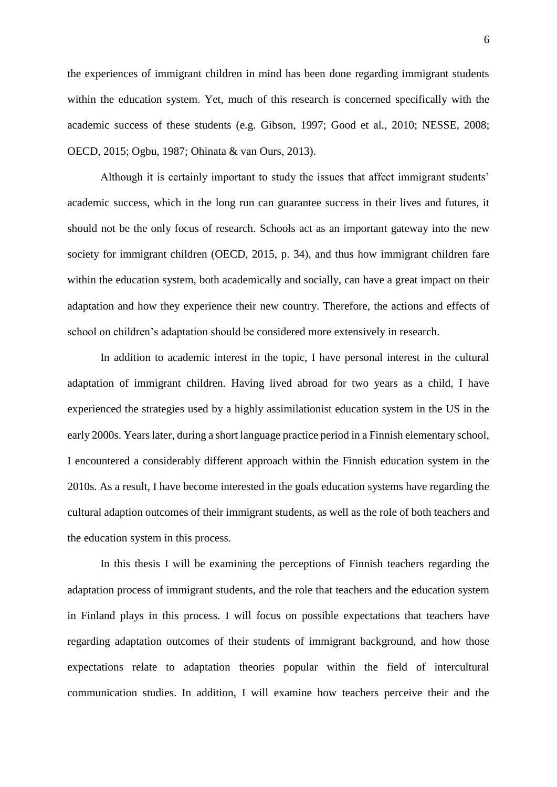the experiences of immigrant children in mind has been done regarding immigrant students within the education system. Yet, much of this research is concerned specifically with the academic success of these students (e.g. Gibson, 1997; Good et al., 2010; NESSE, 2008; OECD, 2015; Ogbu, 1987; Ohinata & van Ours, 2013).

Although it is certainly important to study the issues that affect immigrant students' academic success, which in the long run can guarantee success in their lives and futures, it should not be the only focus of research. Schools act as an important gateway into the new society for immigrant children (OECD, 2015, p. 34), and thus how immigrant children fare within the education system, both academically and socially, can have a great impact on their adaptation and how they experience their new country. Therefore, the actions and effects of school on children's adaptation should be considered more extensively in research.

In addition to academic interest in the topic, I have personal interest in the cultural adaptation of immigrant children. Having lived abroad for two years as a child, I have experienced the strategies used by a highly assimilationist education system in the US in the early 2000s. Years later, during a short language practice period in a Finnish elementary school, I encountered a considerably different approach within the Finnish education system in the 2010s. As a result, I have become interested in the goals education systems have regarding the cultural adaption outcomes of their immigrant students, as well as the role of both teachers and the education system in this process.

In this thesis I will be examining the perceptions of Finnish teachers regarding the adaptation process of immigrant students, and the role that teachers and the education system in Finland plays in this process. I will focus on possible expectations that teachers have regarding adaptation outcomes of their students of immigrant background, and how those expectations relate to adaptation theories popular within the field of intercultural communication studies. In addition, I will examine how teachers perceive their and the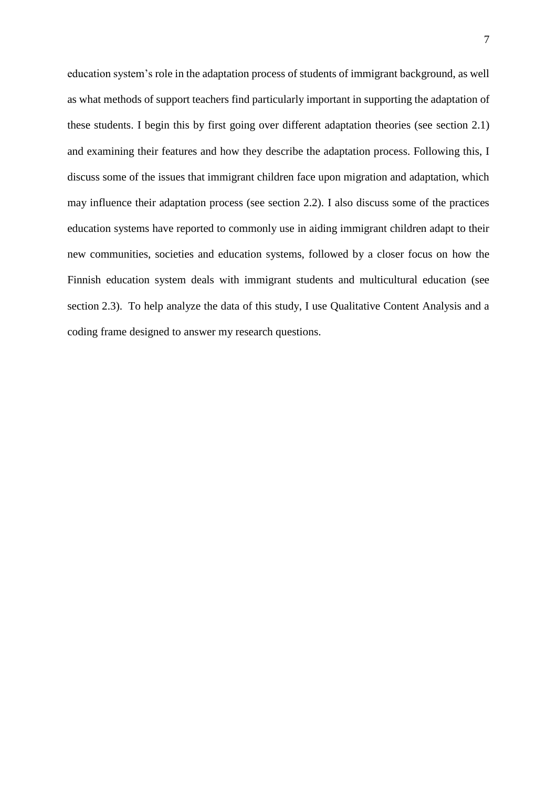education system's role in the adaptation process of students of immigrant background, as well as what methods of support teachers find particularly important in supporting the adaptation of these students. I begin this by first going over different adaptation theories (see section 2.1) and examining their features and how they describe the adaptation process. Following this, I discuss some of the issues that immigrant children face upon migration and adaptation, which may influence their adaptation process (see section 2.2). I also discuss some of the practices education systems have reported to commonly use in aiding immigrant children adapt to their new communities, societies and education systems, followed by a closer focus on how the Finnish education system deals with immigrant students and multicultural education (see section 2.3). To help analyze the data of this study, I use Qualitative Content Analysis and a coding frame designed to answer my research questions.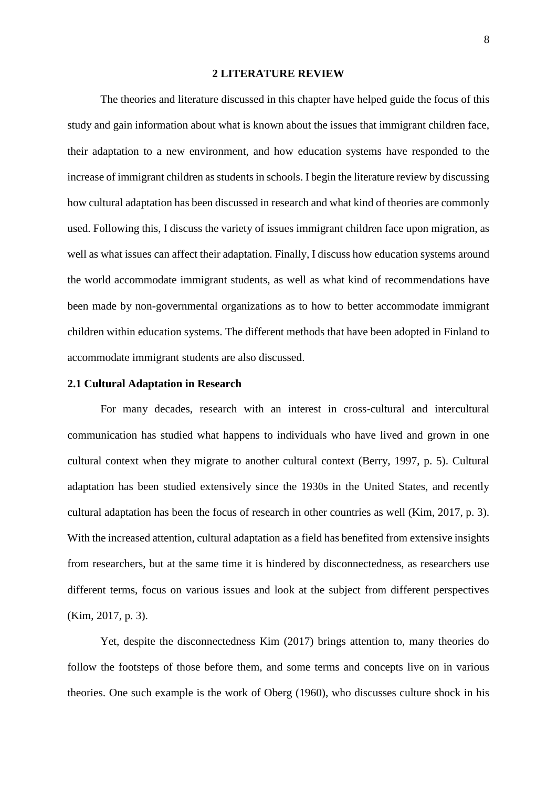#### **2 LITERATURE REVIEW**

<span id="page-8-0"></span>The theories and literature discussed in this chapter have helped guide the focus of this study and gain information about what is known about the issues that immigrant children face, their adaptation to a new environment, and how education systems have responded to the increase of immigrant children as students in schools. I begin the literature review by discussing how cultural adaptation has been discussed in research and what kind of theories are commonly used. Following this, I discuss the variety of issues immigrant children face upon migration, as well as what issues can affect their adaptation. Finally, I discuss how education systems around the world accommodate immigrant students, as well as what kind of recommendations have been made by non-governmental organizations as to how to better accommodate immigrant children within education systems. The different methods that have been adopted in Finland to accommodate immigrant students are also discussed.

## <span id="page-8-1"></span>**2.1 Cultural Adaptation in Research**

For many decades, research with an interest in cross-cultural and intercultural communication has studied what happens to individuals who have lived and grown in one cultural context when they migrate to another cultural context (Berry, 1997, p. 5). Cultural adaptation has been studied extensively since the 1930s in the United States, and recently cultural adaptation has been the focus of research in other countries as well (Kim, 2017, p. 3). With the increased attention, cultural adaptation as a field has benefited from extensive insights from researchers, but at the same time it is hindered by disconnectedness, as researchers use different terms, focus on various issues and look at the subject from different perspectives (Kim, 2017, p. 3).

Yet, despite the disconnectedness Kim (2017) brings attention to, many theories do follow the footsteps of those before them, and some terms and concepts live on in various theories. One such example is the work of Oberg (1960), who discusses culture shock in his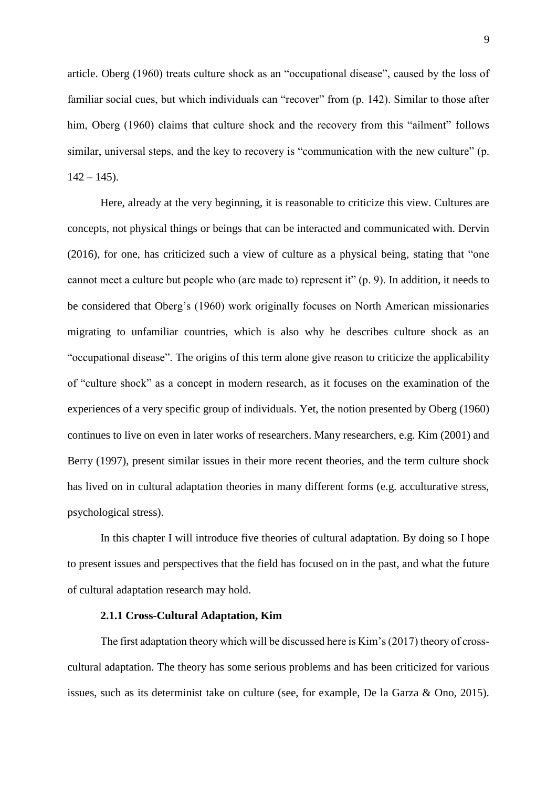article. Oberg (1960) treats culture shock as an "occupational disease", caused by the loss of familiar social cues, but which individuals can "recover" from (p. 142). Similar to those after him, Oberg (1960) claims that culture shock and the recovery from this "ailment" follows similar, universal steps, and the key to recovery is "communication with the new culture" (p.  $142 - 145$ ).

Here, already at the very beginning, it is reasonable to criticize this view. Cultures are concepts, not physical things or beings that can be interacted and communicated with. Dervin (2016), for one, has criticized such a view of culture as a physical being, stating that "one cannot meet a culture but people who (are made to) represent it" (p. 9). In addition, it needs to be considered that Oberg's (1960) work originally focuses on North American missionaries migrating to unfamiliar countries, which is also why he describes culture shock as an "occupational disease". The origins of this term alone give reason to criticize the applicability of "culture shock" as a concept in modern research, as it focuses on the examination of the experiences of a very specific group of individuals. Yet, the notion presented by Oberg (1960) continues to live on even in later works of researchers. Many researchers, e.g. Kim (2001) and Berry (1997), present similar issues in their more recent theories, and the term culture shock has lived on in cultural adaptation theories in many different forms (e.g. acculturative stress, psychological stress).

In this chapter I will introduce five theories of cultural adaptation. By doing so I hope to present issues and perspectives that the field has focused on in the past, and what the future of cultural adaptation research may hold.

#### **2.1.1 Cross-Cultural Adaptation, Kim**

<span id="page-9-0"></span>The first adaptation theory which will be discussed here is Kim's (2017) theory of crosscultural adaptation. The theory has some serious problems and has been criticized for various issues, such as its determinist take on culture (see, for example, De la Garza & Ono, 2015).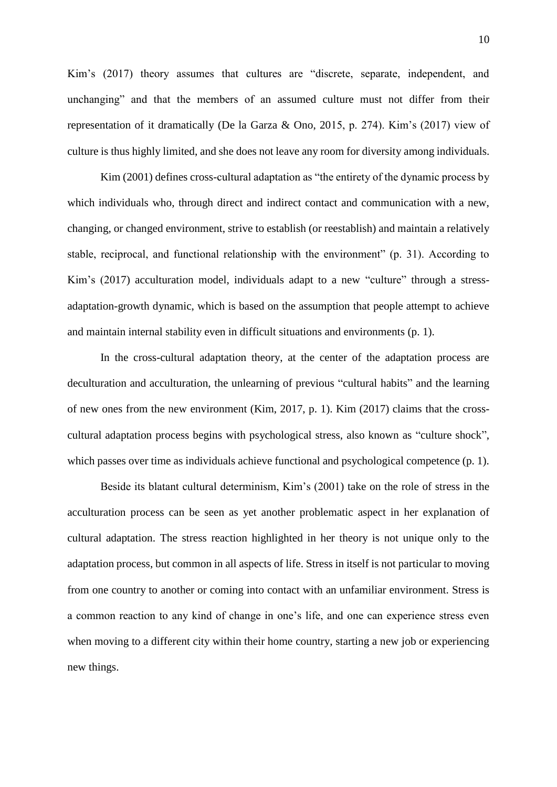Kim's (2017) theory assumes that cultures are "discrete, separate, independent, and unchanging" and that the members of an assumed culture must not differ from their representation of it dramatically (De la Garza & Ono, 2015, p. 274). Kim's (2017) view of culture is thus highly limited, and she does not leave any room for diversity among individuals.

Kim (2001) defines cross-cultural adaptation as "the entirety of the dynamic process by which individuals who, through direct and indirect contact and communication with a new, changing, or changed environment, strive to establish (or reestablish) and maintain a relatively stable, reciprocal, and functional relationship with the environment" (p. 31). According to Kim's (2017) acculturation model, individuals adapt to a new "culture" through a stressadaptation-growth dynamic, which is based on the assumption that people attempt to achieve and maintain internal stability even in difficult situations and environments (p. 1).

In the cross-cultural adaptation theory, at the center of the adaptation process are deculturation and acculturation, the unlearning of previous "cultural habits" and the learning of new ones from the new environment (Kim, 2017, p. 1). Kim (2017) claims that the crosscultural adaptation process begins with psychological stress, also known as "culture shock", which passes over time as individuals achieve functional and psychological competence (p. 1).

Beside its blatant cultural determinism, Kim's (2001) take on the role of stress in the acculturation process can be seen as yet another problematic aspect in her explanation of cultural adaptation. The stress reaction highlighted in her theory is not unique only to the adaptation process, but common in all aspects of life. Stress in itself is not particular to moving from one country to another or coming into contact with an unfamiliar environment. Stress is a common reaction to any kind of change in one's life, and one can experience stress even when moving to a different city within their home country, starting a new job or experiencing new things.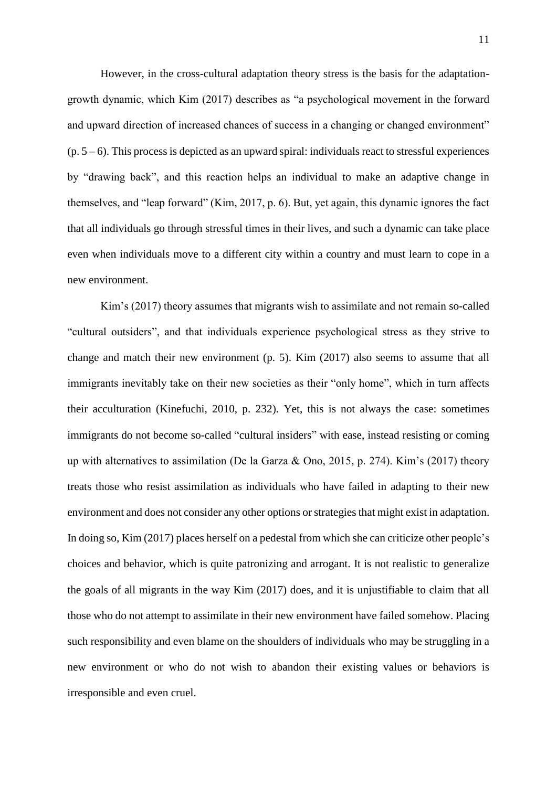However, in the cross-cultural adaptation theory stress is the basis for the adaptationgrowth dynamic, which Kim (2017) describes as "a psychological movement in the forward and upward direction of increased chances of success in a changing or changed environment"  $(p. 5-6)$ . This process is depicted as an upward spiral: individuals react to stressful experiences by "drawing back", and this reaction helps an individual to make an adaptive change in themselves, and "leap forward" (Kim, 2017, p. 6). But, yet again, this dynamic ignores the fact that all individuals go through stressful times in their lives, and such a dynamic can take place even when individuals move to a different city within a country and must learn to cope in a new environment.

Kim's (2017) theory assumes that migrants wish to assimilate and not remain so-called "cultural outsiders", and that individuals experience psychological stress as they strive to change and match their new environment (p. 5). Kim (2017) also seems to assume that all immigrants inevitably take on their new societies as their "only home", which in turn affects their acculturation (Kinefuchi, 2010, p. 232). Yet, this is not always the case: sometimes immigrants do not become so-called "cultural insiders" with ease, instead resisting or coming up with alternatives to assimilation (De la Garza  $\&$  Ono, 2015, p. 274). Kim's (2017) theory treats those who resist assimilation as individuals who have failed in adapting to their new environment and does not consider any other options or strategies that might exist in adaptation. In doing so, Kim (2017) places herself on a pedestal from which she can criticize other people's choices and behavior, which is quite patronizing and arrogant. It is not realistic to generalize the goals of all migrants in the way Kim (2017) does, and it is unjustifiable to claim that all those who do not attempt to assimilate in their new environment have failed somehow. Placing such responsibility and even blame on the shoulders of individuals who may be struggling in a new environment or who do not wish to abandon their existing values or behaviors is irresponsible and even cruel.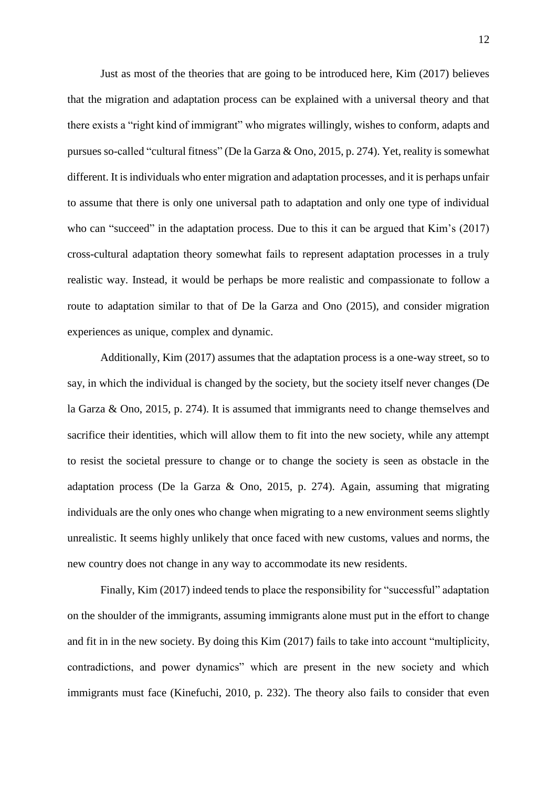Just as most of the theories that are going to be introduced here, Kim (2017) believes that the migration and adaptation process can be explained with a universal theory and that there exists a "right kind of immigrant" who migrates willingly, wishes to conform, adapts and pursues so-called "cultural fitness" (De la Garza & Ono, 2015, p. 274). Yet, reality is somewhat different. It is individuals who enter migration and adaptation processes, and it is perhaps unfair to assume that there is only one universal path to adaptation and only one type of individual who can "succeed" in the adaptation process. Due to this it can be argued that Kim's (2017) cross-cultural adaptation theory somewhat fails to represent adaptation processes in a truly realistic way. Instead, it would be perhaps be more realistic and compassionate to follow a route to adaptation similar to that of De la Garza and Ono (2015), and consider migration experiences as unique, complex and dynamic.

Additionally, Kim (2017) assumes that the adaptation process is a one-way street, so to say, in which the individual is changed by the society, but the society itself never changes (De la Garza & Ono, 2015, p. 274). It is assumed that immigrants need to change themselves and sacrifice their identities, which will allow them to fit into the new society, while any attempt to resist the societal pressure to change or to change the society is seen as obstacle in the adaptation process (De la Garza & Ono, 2015, p. 274). Again, assuming that migrating individuals are the only ones who change when migrating to a new environment seems slightly unrealistic. It seems highly unlikely that once faced with new customs, values and norms, the new country does not change in any way to accommodate its new residents.

Finally, Kim (2017) indeed tends to place the responsibility for "successful" adaptation on the shoulder of the immigrants, assuming immigrants alone must put in the effort to change and fit in in the new society. By doing this Kim (2017) fails to take into account "multiplicity, contradictions, and power dynamics" which are present in the new society and which immigrants must face (Kinefuchi, 2010, p. 232). The theory also fails to consider that even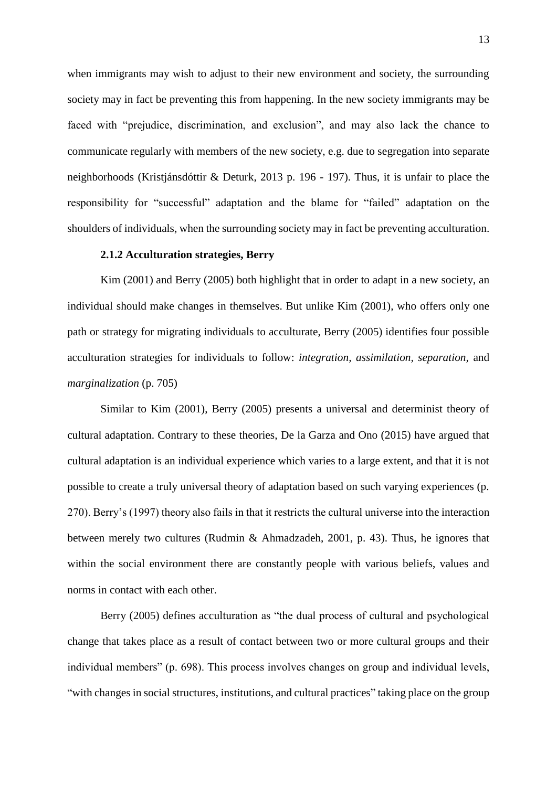when immigrants may wish to adjust to their new environment and society, the surrounding society may in fact be preventing this from happening. In the new society immigrants may be faced with "prejudice, discrimination, and exclusion", and may also lack the chance to communicate regularly with members of the new society, e.g. due to segregation into separate neighborhoods (Kristjánsdóttir & Deturk, 2013 p. 196 - 197). Thus, it is unfair to place the responsibility for "successful" adaptation and the blame for "failed" adaptation on the shoulders of individuals, when the surrounding society may in fact be preventing acculturation.

### **2.1.2 Acculturation strategies, Berry**

<span id="page-13-0"></span>Kim (2001) and Berry (2005) both highlight that in order to adapt in a new society, an individual should make changes in themselves. But unlike Kim (2001), who offers only one path or strategy for migrating individuals to acculturate, Berry (2005) identifies four possible acculturation strategies for individuals to follow: *integration, assimilation, separation,* and *marginalization* (p. 705)

Similar to Kim (2001), Berry (2005) presents a universal and determinist theory of cultural adaptation. Contrary to these theories, De la Garza and Ono (2015) have argued that cultural adaptation is an individual experience which varies to a large extent, and that it is not possible to create a truly universal theory of adaptation based on such varying experiences (p. 270). Berry's (1997) theory also fails in that it restricts the cultural universe into the interaction between merely two cultures (Rudmin & Ahmadzadeh, 2001, p. 43). Thus, he ignores that within the social environment there are constantly people with various beliefs, values and norms in contact with each other.

Berry (2005) defines acculturation as "the dual process of cultural and psychological change that takes place as a result of contact between two or more cultural groups and their individual members" (p. 698). This process involves changes on group and individual levels, "with changes in social structures, institutions, and cultural practices" taking place on the group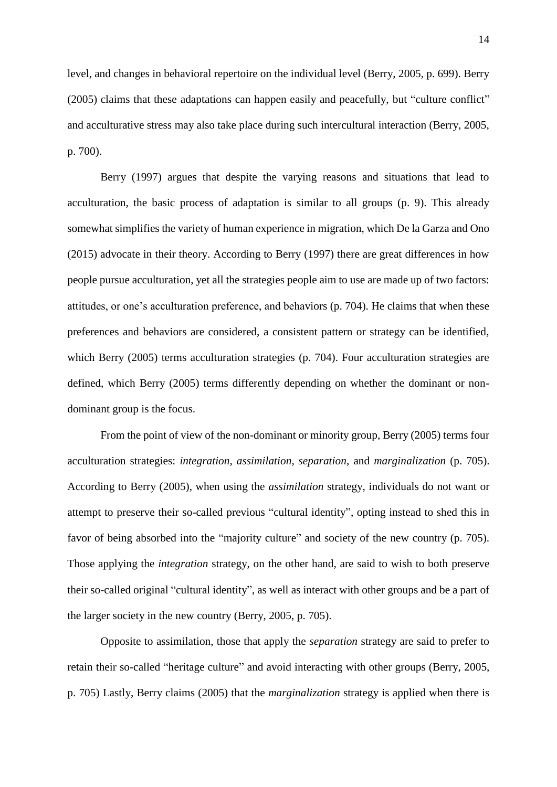level, and changes in behavioral repertoire on the individual level (Berry, 2005, p. 699). Berry (2005) claims that these adaptations can happen easily and peacefully, but "culture conflict" and acculturative stress may also take place during such intercultural interaction (Berry, 2005, p. 700).

Berry (1997) argues that despite the varying reasons and situations that lead to acculturation, the basic process of adaptation is similar to all groups (p. 9). This already somewhat simplifies the variety of human experience in migration, which De la Garza and Ono (2015) advocate in their theory. According to Berry (1997) there are great differences in how people pursue acculturation, yet all the strategies people aim to use are made up of two factors: attitudes, or one's acculturation preference, and behaviors (p. 704). He claims that when these preferences and behaviors are considered, a consistent pattern or strategy can be identified, which Berry (2005) terms acculturation strategies (p. 704). Four acculturation strategies are defined, which Berry (2005) terms differently depending on whether the dominant or nondominant group is the focus.

From the point of view of the non-dominant or minority group, Berry (2005) terms four acculturation strategies: *integration, assimilation, separation,* and *marginalization* (p. 705). According to Berry (2005), when using the *assimilation* strategy, individuals do not want or attempt to preserve their so-called previous "cultural identity", opting instead to shed this in favor of being absorbed into the "majority culture" and society of the new country (p. 705). Those applying the *integration* strategy, on the other hand, are said to wish to both preserve their so-called original "cultural identity", as well as interact with other groups and be a part of the larger society in the new country (Berry, 2005, p. 705).

Opposite to assimilation, those that apply the *separation* strategy are said to prefer to retain their so-called "heritage culture" and avoid interacting with other groups (Berry, 2005, p. 705) Lastly, Berry claims (2005) that the *marginalization* strategy is applied when there is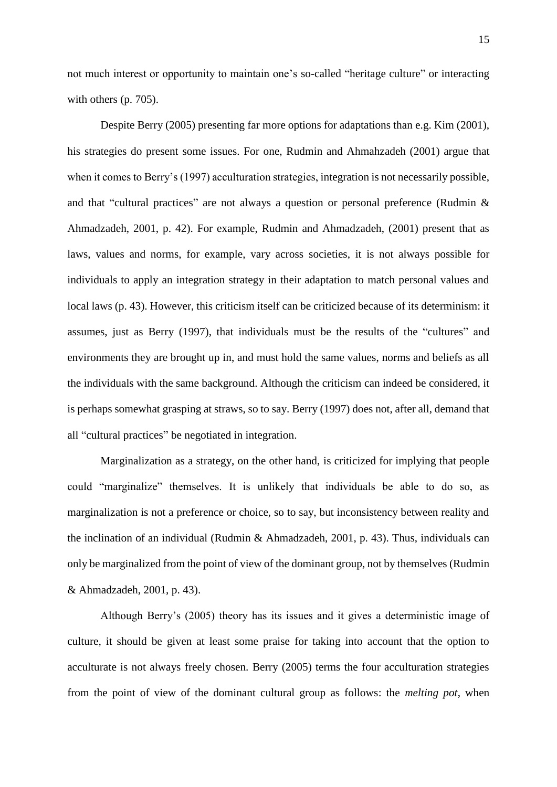not much interest or opportunity to maintain one's so-called "heritage culture" or interacting with others (p. 705).

Despite Berry (2005) presenting far more options for adaptations than e.g. Kim (2001), his strategies do present some issues. For one, Rudmin and Ahmahzadeh (2001) argue that when it comes to Berry's (1997) acculturation strategies, integration is not necessarily possible, and that "cultural practices" are not always a question or personal preference (Rudmin & Ahmadzadeh, 2001, p. 42). For example, Rudmin and Ahmadzadeh, (2001) present that as laws, values and norms, for example, vary across societies, it is not always possible for individuals to apply an integration strategy in their adaptation to match personal values and local laws (p. 43). However, this criticism itself can be criticized because of its determinism: it assumes, just as Berry (1997), that individuals must be the results of the "cultures" and environments they are brought up in, and must hold the same values, norms and beliefs as all the individuals with the same background. Although the criticism can indeed be considered, it is perhaps somewhat grasping at straws, so to say. Berry (1997) does not, after all, demand that all "cultural practices" be negotiated in integration.

Marginalization as a strategy, on the other hand, is criticized for implying that people could "marginalize" themselves. It is unlikely that individuals be able to do so, as marginalization is not a preference or choice, so to say, but inconsistency between reality and the inclination of an individual (Rudmin & Ahmadzadeh, 2001, p. 43). Thus, individuals can only be marginalized from the point of view of the dominant group, not by themselves (Rudmin & Ahmadzadeh, 2001, p. 43).

Although Berry's (2005) theory has its issues and it gives a deterministic image of culture, it should be given at least some praise for taking into account that the option to acculturate is not always freely chosen. Berry (2005) terms the four acculturation strategies from the point of view of the dominant cultural group as follows: the *melting pot*, when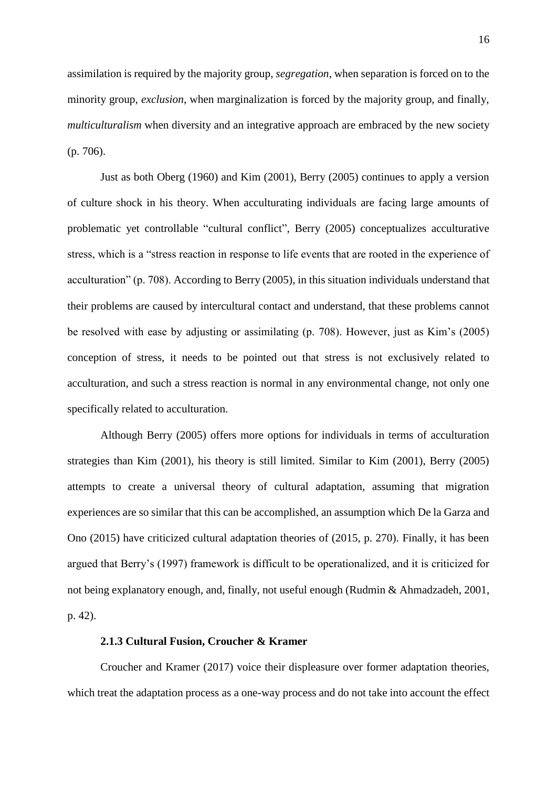assimilation is required by the majority group, *segregation*, when separation is forced on to the minority group, *exclusion*, when marginalization is forced by the majority group, and finally, *multiculturalism* when diversity and an integrative approach are embraced by the new society (p. 706).

Just as both Oberg (1960) and Kim (2001), Berry (2005) continues to apply a version of culture shock in his theory. When acculturating individuals are facing large amounts of problematic yet controllable "cultural conflict", Berry (2005) conceptualizes acculturative stress, which is a "stress reaction in response to life events that are rooted in the experience of acculturation" (p. 708). According to Berry (2005), in this situation individuals understand that their problems are caused by intercultural contact and understand, that these problems cannot be resolved with ease by adjusting or assimilating (p. 708). However, just as Kim's (2005) conception of stress, it needs to be pointed out that stress is not exclusively related to acculturation, and such a stress reaction is normal in any environmental change, not only one specifically related to acculturation.

Although Berry (2005) offers more options for individuals in terms of acculturation strategies than Kim (2001), his theory is still limited. Similar to Kim (2001), Berry (2005) attempts to create a universal theory of cultural adaptation, assuming that migration experiences are so similar that this can be accomplished, an assumption which De la Garza and Ono (2015) have criticized cultural adaptation theories of (2015, p. 270). Finally, it has been argued that Berry's (1997) framework is difficult to be operationalized, and it is criticized for not being explanatory enough, and, finally, not useful enough (Rudmin & Ahmadzadeh, 2001, p. 42).

## **2.1.3 Cultural Fusion, Croucher & Kramer**

<span id="page-16-0"></span>Croucher and Kramer (2017) voice their displeasure over former adaptation theories, which treat the adaptation process as a one-way process and do not take into account the effect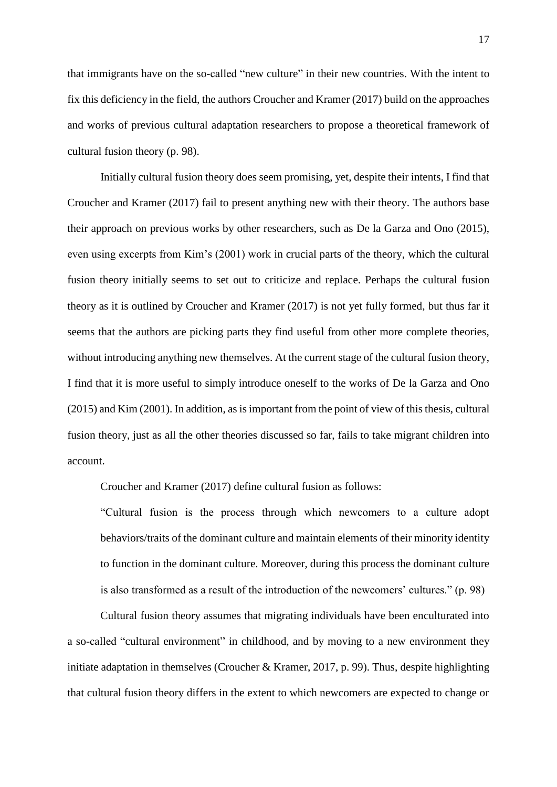that immigrants have on the so-called "new culture" in their new countries. With the intent to fix this deficiency in the field, the authors Croucher and Kramer (2017) build on the approaches and works of previous cultural adaptation researchers to propose a theoretical framework of cultural fusion theory (p. 98).

Initially cultural fusion theory does seem promising, yet, despite their intents, I find that Croucher and Kramer (2017) fail to present anything new with their theory. The authors base their approach on previous works by other researchers, such as De la Garza and Ono (2015), even using excerpts from Kim's (2001) work in crucial parts of the theory, which the cultural fusion theory initially seems to set out to criticize and replace. Perhaps the cultural fusion theory as it is outlined by Croucher and Kramer (2017) is not yet fully formed, but thus far it seems that the authors are picking parts they find useful from other more complete theories, without introducing anything new themselves. At the current stage of the cultural fusion theory, I find that it is more useful to simply introduce oneself to the works of De la Garza and Ono (2015) and Kim (2001). In addition, as is important from the point of view of this thesis, cultural fusion theory, just as all the other theories discussed so far, fails to take migrant children into account.

Croucher and Kramer (2017) define cultural fusion as follows:

"Cultural fusion is the process through which newcomers to a culture adopt behaviors/traits of the dominant culture and maintain elements of their minority identity to function in the dominant culture. Moreover, during this process the dominant culture is also transformed as a result of the introduction of the newcomers' cultures." (p. 98)

Cultural fusion theory assumes that migrating individuals have been enculturated into a so-called "cultural environment" in childhood, and by moving to a new environment they initiate adaptation in themselves (Croucher & Kramer, 2017, p. 99). Thus, despite highlighting that cultural fusion theory differs in the extent to which newcomers are expected to change or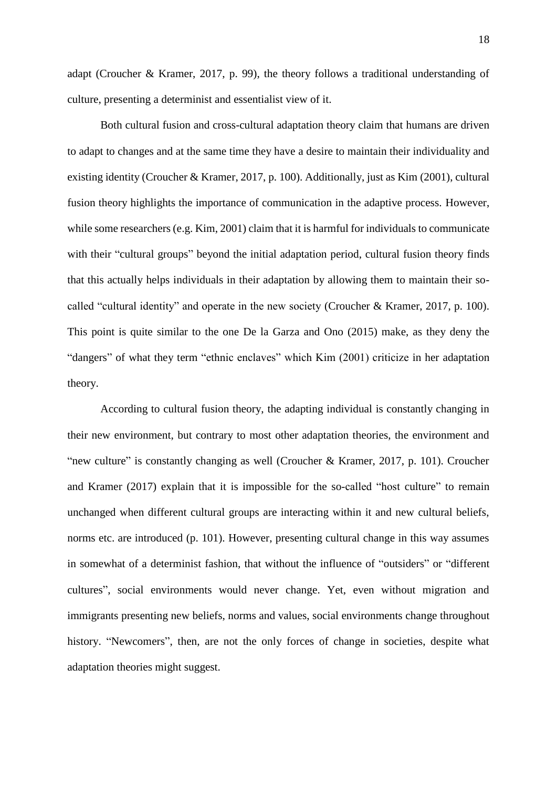adapt (Croucher & Kramer, 2017, p. 99), the theory follows a traditional understanding of culture, presenting a determinist and essentialist view of it.

Both cultural fusion and cross-cultural adaptation theory claim that humans are driven to adapt to changes and at the same time they have a desire to maintain their individuality and existing identity (Croucher & Kramer, 2017, p. 100). Additionally, just as Kim (2001), cultural fusion theory highlights the importance of communication in the adaptive process. However, while some researchers (e.g. Kim, 2001) claim that it is harmful for individuals to communicate with their "cultural groups" beyond the initial adaptation period, cultural fusion theory finds that this actually helps individuals in their adaptation by allowing them to maintain their socalled "cultural identity" and operate in the new society (Croucher & Kramer, 2017, p. 100). This point is quite similar to the one De la Garza and Ono (2015) make, as they deny the "dangers" of what they term "ethnic enclaves" which Kim (2001) criticize in her adaptation theory.

According to cultural fusion theory, the adapting individual is constantly changing in their new environment, but contrary to most other adaptation theories, the environment and "new culture" is constantly changing as well (Croucher & Kramer, 2017, p. 101). Croucher and Kramer (2017) explain that it is impossible for the so-called "host culture" to remain unchanged when different cultural groups are interacting within it and new cultural beliefs, norms etc. are introduced (p. 101). However, presenting cultural change in this way assumes in somewhat of a determinist fashion, that without the influence of "outsiders" or "different cultures", social environments would never change. Yet, even without migration and immigrants presenting new beliefs, norms and values, social environments change throughout history. "Newcomers", then, are not the only forces of change in societies, despite what adaptation theories might suggest.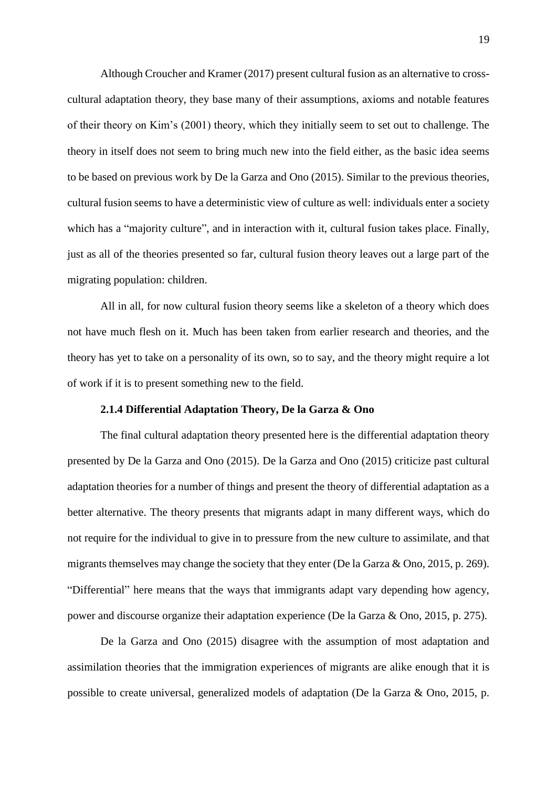Although Croucher and Kramer (2017) present cultural fusion as an alternative to crosscultural adaptation theory, they base many of their assumptions, axioms and notable features of their theory on Kim's (2001) theory, which they initially seem to set out to challenge. The theory in itself does not seem to bring much new into the field either, as the basic idea seems to be based on previous work by De la Garza and Ono (2015). Similar to the previous theories, cultural fusion seems to have a deterministic view of culture as well: individuals enter a society which has a "majority culture", and in interaction with it, cultural fusion takes place. Finally, just as all of the theories presented so far, cultural fusion theory leaves out a large part of the migrating population: children.

All in all, for now cultural fusion theory seems like a skeleton of a theory which does not have much flesh on it. Much has been taken from earlier research and theories, and the theory has yet to take on a personality of its own, so to say, and the theory might require a lot of work if it is to present something new to the field.

#### **2.1.4 Differential Adaptation Theory, De la Garza & Ono**

<span id="page-19-0"></span>The final cultural adaptation theory presented here is the differential adaptation theory presented by De la Garza and Ono (2015). De la Garza and Ono (2015) criticize past cultural adaptation theories for a number of things and present the theory of differential adaptation as a better alternative. The theory presents that migrants adapt in many different ways, which do not require for the individual to give in to pressure from the new culture to assimilate, and that migrants themselves may change the society that they enter (De la Garza & Ono, 2015, p. 269). "Differential" here means that the ways that immigrants adapt vary depending how agency, power and discourse organize their adaptation experience (De la Garza & Ono, 2015, p. 275).

De la Garza and Ono (2015) disagree with the assumption of most adaptation and assimilation theories that the immigration experiences of migrants are alike enough that it is possible to create universal, generalized models of adaptation (De la Garza & Ono, 2015, p.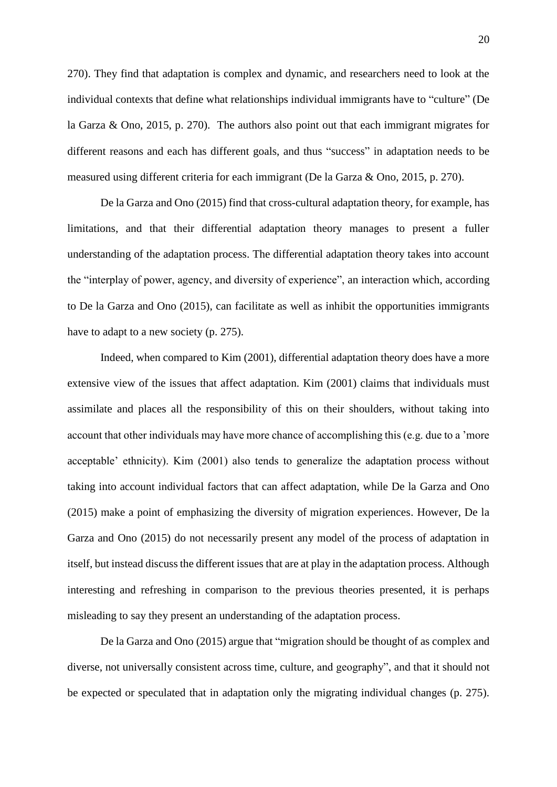270). They find that adaptation is complex and dynamic, and researchers need to look at the individual contexts that define what relationships individual immigrants have to "culture" (De la Garza & Ono, 2015, p. 270). The authors also point out that each immigrant migrates for different reasons and each has different goals, and thus "success" in adaptation needs to be measured using different criteria for each immigrant (De la Garza & Ono, 2015, p. 270).

De la Garza and Ono (2015) find that cross-cultural adaptation theory, for example, has limitations, and that their differential adaptation theory manages to present a fuller understanding of the adaptation process. The differential adaptation theory takes into account the "interplay of power, agency, and diversity of experience", an interaction which, according to De la Garza and Ono (2015), can facilitate as well as inhibit the opportunities immigrants have to adapt to a new society (p. 275).

Indeed, when compared to Kim (2001), differential adaptation theory does have a more extensive view of the issues that affect adaptation. Kim (2001) claims that individuals must assimilate and places all the responsibility of this on their shoulders, without taking into account that other individuals may have more chance of accomplishing this (e.g. due to a 'more acceptable' ethnicity). Kim (2001) also tends to generalize the adaptation process without taking into account individual factors that can affect adaptation, while De la Garza and Ono (2015) make a point of emphasizing the diversity of migration experiences. However, De la Garza and Ono (2015) do not necessarily present any model of the process of adaptation in itself, but instead discuss the different issues that are at play in the adaptation process. Although interesting and refreshing in comparison to the previous theories presented, it is perhaps misleading to say they present an understanding of the adaptation process.

De la Garza and Ono (2015) argue that "migration should be thought of as complex and diverse, not universally consistent across time, culture, and geography", and that it should not be expected or speculated that in adaptation only the migrating individual changes (p. 275).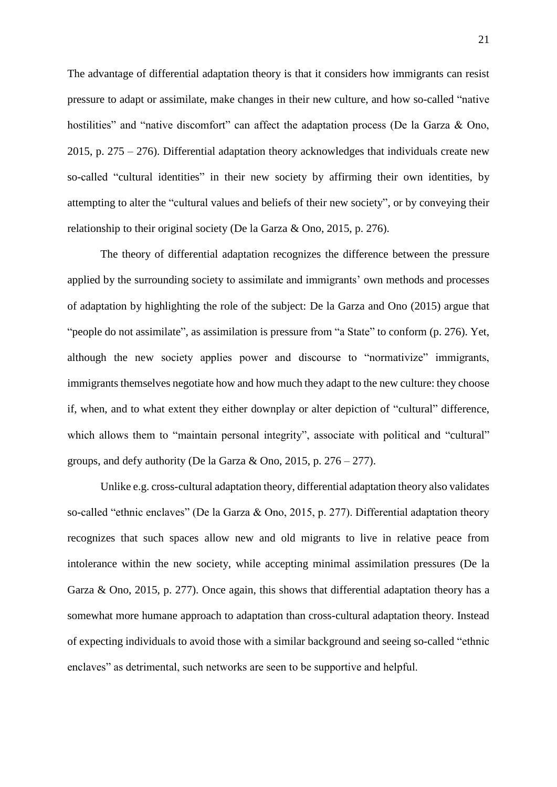The advantage of differential adaptation theory is that it considers how immigrants can resist pressure to adapt or assimilate, make changes in their new culture, and how so-called "native hostilities" and "native discomfort" can affect the adaptation process (De la Garza & Ono, 2015, p. 275 – 276). Differential adaptation theory acknowledges that individuals create new so-called "cultural identities" in their new society by affirming their own identities, by attempting to alter the "cultural values and beliefs of their new society", or by conveying their relationship to their original society (De la Garza & Ono, 2015, p. 276).

The theory of differential adaptation recognizes the difference between the pressure applied by the surrounding society to assimilate and immigrants' own methods and processes of adaptation by highlighting the role of the subject: De la Garza and Ono (2015) argue that "people do not assimilate", as assimilation is pressure from "a State" to conform (p. 276). Yet, although the new society applies power and discourse to "normativize" immigrants, immigrants themselves negotiate how and how much they adapt to the new culture: they choose if, when, and to what extent they either downplay or alter depiction of "cultural" difference, which allows them to "maintain personal integrity", associate with political and "cultural" groups, and defy authority (De la Garza & Ono, 2015, p.  $276 - 277$ ).

Unlike e.g. cross-cultural adaptation theory, differential adaptation theory also validates so-called "ethnic enclaves" (De la Garza & Ono, 2015, p. 277). Differential adaptation theory recognizes that such spaces allow new and old migrants to live in relative peace from intolerance within the new society, while accepting minimal assimilation pressures (De la Garza & Ono, 2015, p. 277). Once again, this shows that differential adaptation theory has a somewhat more humane approach to adaptation than cross-cultural adaptation theory. Instead of expecting individuals to avoid those with a similar background and seeing so-called "ethnic enclaves" as detrimental, such networks are seen to be supportive and helpful.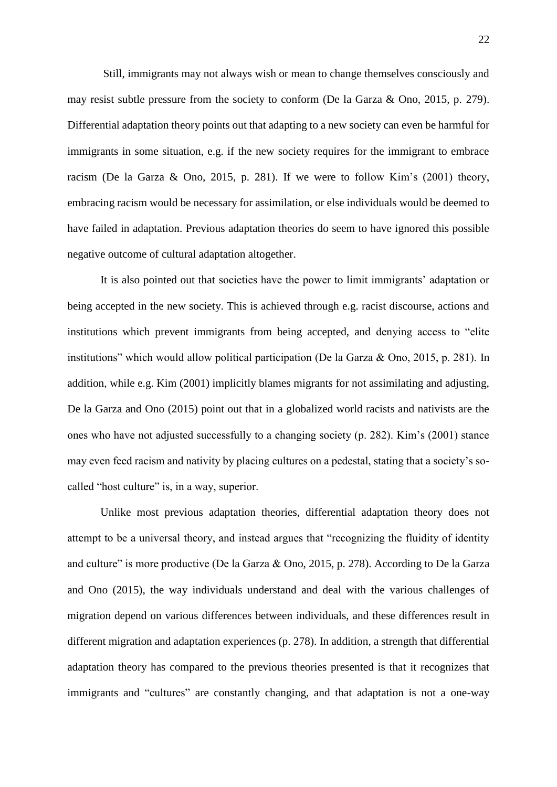Still, immigrants may not always wish or mean to change themselves consciously and may resist subtle pressure from the society to conform (De la Garza & Ono, 2015, p. 279). Differential adaptation theory points out that adapting to a new society can even be harmful for immigrants in some situation, e.g. if the new society requires for the immigrant to embrace racism (De la Garza & Ono, 2015, p. 281). If we were to follow Kim's (2001) theory, embracing racism would be necessary for assimilation, or else individuals would be deemed to have failed in adaptation. Previous adaptation theories do seem to have ignored this possible negative outcome of cultural adaptation altogether.

It is also pointed out that societies have the power to limit immigrants' adaptation or being accepted in the new society. This is achieved through e.g. racist discourse, actions and institutions which prevent immigrants from being accepted, and denying access to "elite institutions" which would allow political participation (De la Garza & Ono, 2015, p. 281). In addition, while e.g. Kim (2001) implicitly blames migrants for not assimilating and adjusting, De la Garza and Ono (2015) point out that in a globalized world racists and nativists are the ones who have not adjusted successfully to a changing society (p. 282). Kim's (2001) stance may even feed racism and nativity by placing cultures on a pedestal, stating that a society's socalled "host culture" is, in a way, superior.

Unlike most previous adaptation theories, differential adaptation theory does not attempt to be a universal theory, and instead argues that "recognizing the fluidity of identity and culture" is more productive (De la Garza & Ono, 2015, p. 278). According to De la Garza and Ono (2015), the way individuals understand and deal with the various challenges of migration depend on various differences between individuals, and these differences result in different migration and adaptation experiences (p. 278). In addition, a strength that differential adaptation theory has compared to the previous theories presented is that it recognizes that immigrants and "cultures" are constantly changing, and that adaptation is not a one-way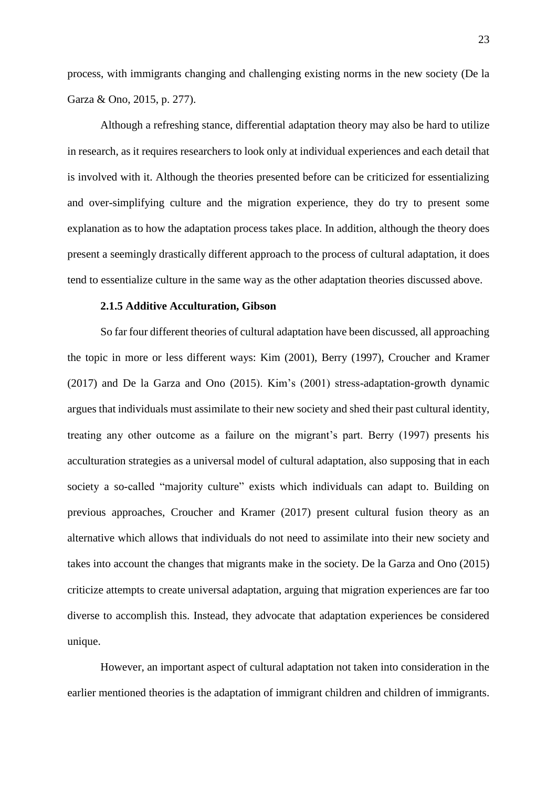process, with immigrants changing and challenging existing norms in the new society (De la Garza & Ono, 2015, p. 277).

Although a refreshing stance, differential adaptation theory may also be hard to utilize in research, as it requires researchers to look only at individual experiences and each detail that is involved with it. Although the theories presented before can be criticized for essentializing and over-simplifying culture and the migration experience, they do try to present some explanation as to how the adaptation process takes place. In addition, although the theory does present a seemingly drastically different approach to the process of cultural adaptation, it does tend to essentialize culture in the same way as the other adaptation theories discussed above.

#### **2.1.5 Additive Acculturation, Gibson**

<span id="page-23-0"></span>So far four different theories of cultural adaptation have been discussed, all approaching the topic in more or less different ways: Kim (2001), Berry (1997), Croucher and Kramer (2017) and De la Garza and Ono (2015). Kim's (2001) stress-adaptation-growth dynamic argues that individuals must assimilate to their new society and shed their past cultural identity, treating any other outcome as a failure on the migrant's part. Berry (1997) presents his acculturation strategies as a universal model of cultural adaptation, also supposing that in each society a so-called "majority culture" exists which individuals can adapt to. Building on previous approaches, Croucher and Kramer (2017) present cultural fusion theory as an alternative which allows that individuals do not need to assimilate into their new society and takes into account the changes that migrants make in the society. De la Garza and Ono (2015) criticize attempts to create universal adaptation, arguing that migration experiences are far too diverse to accomplish this. Instead, they advocate that adaptation experiences be considered unique.

However, an important aspect of cultural adaptation not taken into consideration in the earlier mentioned theories is the adaptation of immigrant children and children of immigrants.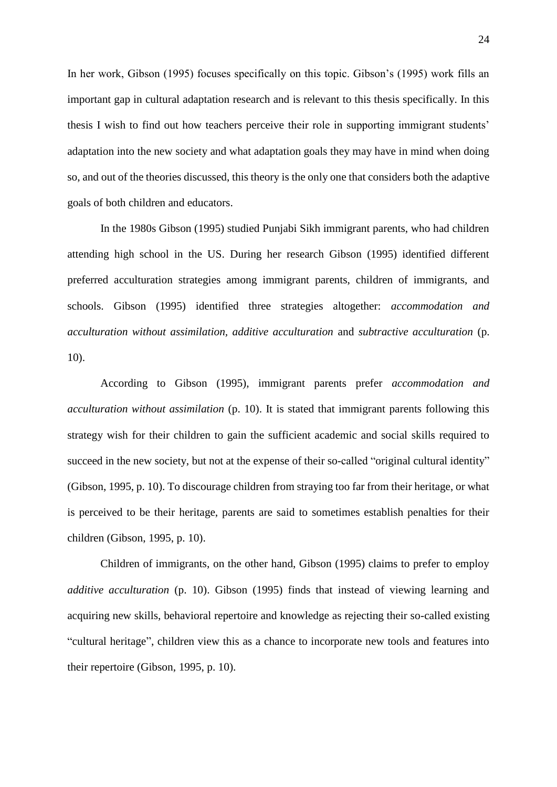In her work, Gibson (1995) focuses specifically on this topic. Gibson's (1995) work fills an important gap in cultural adaptation research and is relevant to this thesis specifically. In this thesis I wish to find out how teachers perceive their role in supporting immigrant students' adaptation into the new society and what adaptation goals they may have in mind when doing so, and out of the theories discussed, this theory is the only one that considers both the adaptive goals of both children and educators.

In the 1980s Gibson (1995) studied Punjabi Sikh immigrant parents, who had children attending high school in the US. During her research Gibson (1995) identified different preferred acculturation strategies among immigrant parents, children of immigrants, and schools. Gibson (1995) identified three strategies altogether: *accommodation and acculturation without assimilation, additive acculturation* and *subtractive acculturation* (p. 10).

According to Gibson (1995), immigrant parents prefer *accommodation and acculturation without assimilation* (p. 10). It is stated that immigrant parents following this strategy wish for their children to gain the sufficient academic and social skills required to succeed in the new society, but not at the expense of their so-called "original cultural identity" (Gibson, 1995, p. 10). To discourage children from straying too far from their heritage, or what is perceived to be their heritage, parents are said to sometimes establish penalties for their children (Gibson, 1995, p. 10).

Children of immigrants, on the other hand, Gibson (1995) claims to prefer to employ *additive acculturation* (p. 10). Gibson (1995) finds that instead of viewing learning and acquiring new skills, behavioral repertoire and knowledge as rejecting their so-called existing "cultural heritage", children view this as a chance to incorporate new tools and features into their repertoire (Gibson, 1995, p. 10).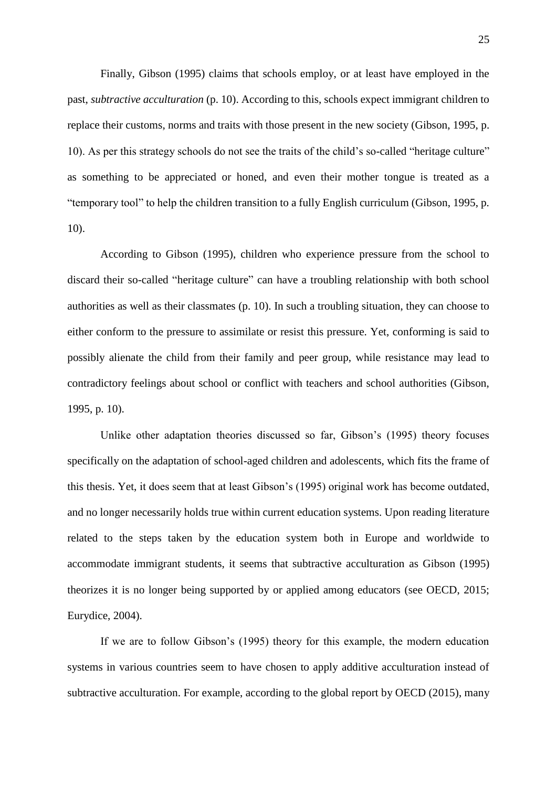Finally, Gibson (1995) claims that schools employ, or at least have employed in the past, *subtractive acculturation* (p. 10). According to this, schools expect immigrant children to replace their customs, norms and traits with those present in the new society (Gibson, 1995, p. 10). As per this strategy schools do not see the traits of the child's so-called "heritage culture" as something to be appreciated or honed, and even their mother tongue is treated as a "temporary tool" to help the children transition to a fully English curriculum (Gibson, 1995, p. 10).

According to Gibson (1995), children who experience pressure from the school to discard their so-called "heritage culture" can have a troubling relationship with both school authorities as well as their classmates (p. 10). In such a troubling situation, they can choose to either conform to the pressure to assimilate or resist this pressure. Yet, conforming is said to possibly alienate the child from their family and peer group, while resistance may lead to contradictory feelings about school or conflict with teachers and school authorities (Gibson, 1995, p. 10).

Unlike other adaptation theories discussed so far, Gibson's (1995) theory focuses specifically on the adaptation of school-aged children and adolescents, which fits the frame of this thesis. Yet, it does seem that at least Gibson's (1995) original work has become outdated, and no longer necessarily holds true within current education systems. Upon reading literature related to the steps taken by the education system both in Europe and worldwide to accommodate immigrant students, it seems that subtractive acculturation as Gibson (1995) theorizes it is no longer being supported by or applied among educators (see OECD, 2015; Eurydice, 2004).

If we are to follow Gibson's (1995) theory for this example, the modern education systems in various countries seem to have chosen to apply additive acculturation instead of subtractive acculturation. For example, according to the global report by OECD (2015), many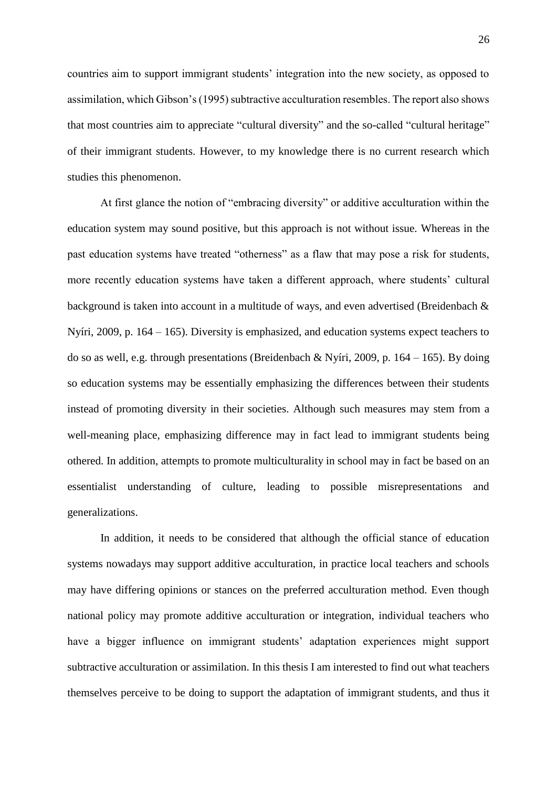countries aim to support immigrant students' integration into the new society, as opposed to assimilation, which Gibson's (1995) subtractive acculturation resembles. The report also shows that most countries aim to appreciate "cultural diversity" and the so-called "cultural heritage" of their immigrant students. However, to my knowledge there is no current research which studies this phenomenon.

At first glance the notion of "embracing diversity" or additive acculturation within the education system may sound positive, but this approach is not without issue. Whereas in the past education systems have treated "otherness" as a flaw that may pose a risk for students, more recently education systems have taken a different approach, where students' cultural background is taken into account in a multitude of ways, and even advertised (Breidenbach & Nyíri, 2009, p. 164 – 165). Diversity is emphasized, and education systems expect teachers to do so as well, e.g. through presentations (Breidenbach & Nyíri, 2009, p.  $164 - 165$ ). By doing so education systems may be essentially emphasizing the differences between their students instead of promoting diversity in their societies. Although such measures may stem from a well-meaning place, emphasizing difference may in fact lead to immigrant students being othered. In addition, attempts to promote multiculturality in school may in fact be based on an essentialist understanding of culture, leading to possible misrepresentations and generalizations.

In addition, it needs to be considered that although the official stance of education systems nowadays may support additive acculturation, in practice local teachers and schools may have differing opinions or stances on the preferred acculturation method. Even though national policy may promote additive acculturation or integration, individual teachers who have a bigger influence on immigrant students' adaptation experiences might support subtractive acculturation or assimilation. In this thesis I am interested to find out what teachers themselves perceive to be doing to support the adaptation of immigrant students, and thus it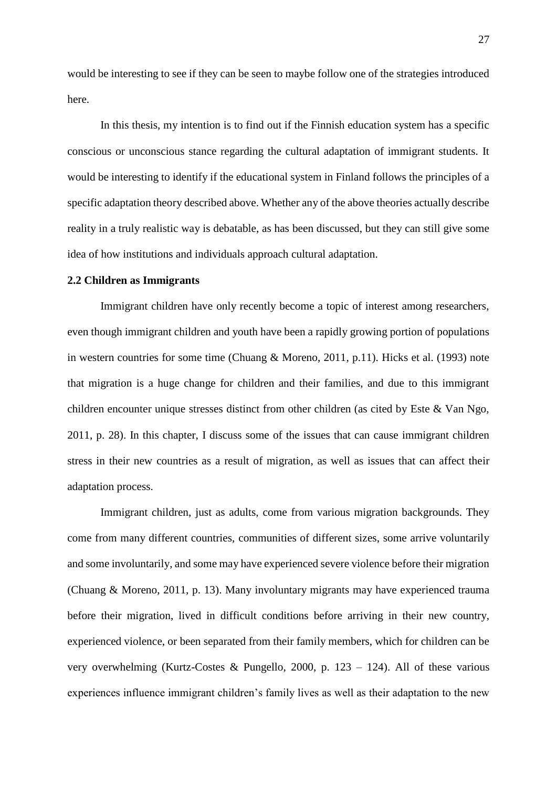would be interesting to see if they can be seen to maybe follow one of the strategies introduced here.

In this thesis, my intention is to find out if the Finnish education system has a specific conscious or unconscious stance regarding the cultural adaptation of immigrant students. It would be interesting to identify if the educational system in Finland follows the principles of a specific adaptation theory described above. Whether any of the above theories actually describe reality in a truly realistic way is debatable, as has been discussed, but they can still give some idea of how institutions and individuals approach cultural adaptation.

#### <span id="page-27-0"></span>**2.2 Children as Immigrants**

Immigrant children have only recently become a topic of interest among researchers, even though immigrant children and youth have been a rapidly growing portion of populations in western countries for some time (Chuang & Moreno, 2011, p.11). Hicks et al. (1993) note that migration is a huge change for children and their families, and due to this immigrant children encounter unique stresses distinct from other children (as cited by Este & Van Ngo, 2011, p. 28). In this chapter, I discuss some of the issues that can cause immigrant children stress in their new countries as a result of migration, as well as issues that can affect their adaptation process.

Immigrant children, just as adults, come from various migration backgrounds. They come from many different countries, communities of different sizes, some arrive voluntarily and some involuntarily, and some may have experienced severe violence before their migration (Chuang & Moreno, 2011, p. 13). Many involuntary migrants may have experienced trauma before their migration, lived in difficult conditions before arriving in their new country, experienced violence, or been separated from their family members, which for children can be very overwhelming (Kurtz-Costes & Pungello, 2000, p. 123 – 124). All of these various experiences influence immigrant children's family lives as well as their adaptation to the new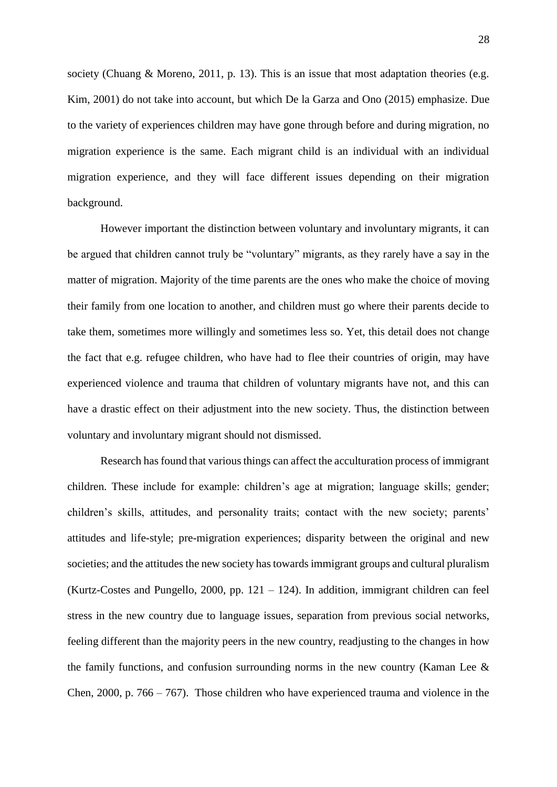society (Chuang & Moreno, 2011, p. 13). This is an issue that most adaptation theories (e.g. Kim, 2001) do not take into account, but which De la Garza and Ono (2015) emphasize. Due to the variety of experiences children may have gone through before and during migration, no migration experience is the same. Each migrant child is an individual with an individual migration experience, and they will face different issues depending on their migration background.

However important the distinction between voluntary and involuntary migrants, it can be argued that children cannot truly be "voluntary" migrants, as they rarely have a say in the matter of migration. Majority of the time parents are the ones who make the choice of moving their family from one location to another, and children must go where their parents decide to take them, sometimes more willingly and sometimes less so. Yet, this detail does not change the fact that e.g. refugee children, who have had to flee their countries of origin, may have experienced violence and trauma that children of voluntary migrants have not, and this can have a drastic effect on their adjustment into the new society. Thus, the distinction between voluntary and involuntary migrant should not dismissed.

Research has found that various things can affect the acculturation process of immigrant children. These include for example: children's age at migration; language skills; gender; children's skills, attitudes, and personality traits; contact with the new society; parents' attitudes and life-style; pre-migration experiences; disparity between the original and new societies; and the attitudes the new society has towards immigrant groups and cultural pluralism (Kurtz-Costes and Pungello, 2000, pp.  $121 - 124$ ). In addition, immigrant children can feel stress in the new country due to language issues, separation from previous social networks, feeling different than the majority peers in the new country, readjusting to the changes in how the family functions, and confusion surrounding norms in the new country (Kaman Lee  $\&$ Chen, 2000, p. 766 – 767). Those children who have experienced trauma and violence in the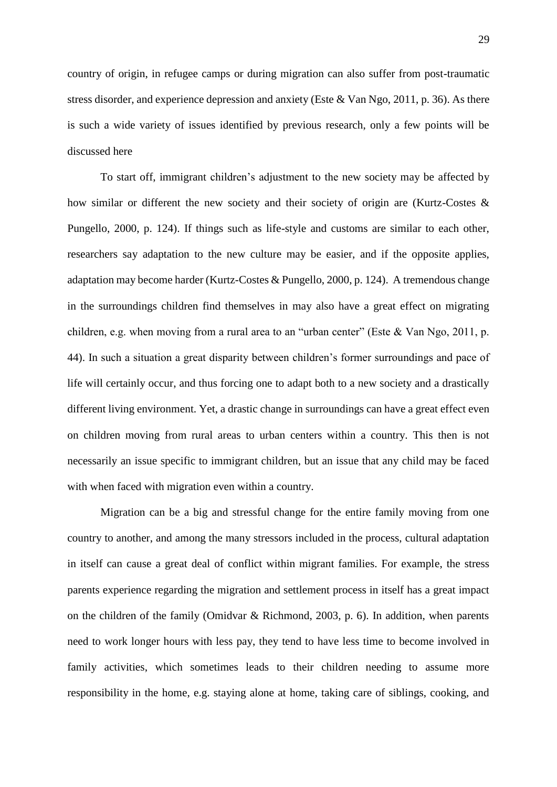country of origin, in refugee camps or during migration can also suffer from post-traumatic stress disorder, and experience depression and anxiety (Este & Van Ngo, 2011, p. 36). As there is such a wide variety of issues identified by previous research, only a few points will be discussed here

To start off, immigrant children's adjustment to the new society may be affected by how similar or different the new society and their society of origin are (Kurtz-Costes & Pungello, 2000, p. 124). If things such as life-style and customs are similar to each other, researchers say adaptation to the new culture may be easier, and if the opposite applies, adaptation may become harder (Kurtz-Costes & Pungello, 2000, p. 124). A tremendous change in the surroundings children find themselves in may also have a great effect on migrating children, e.g. when moving from a rural area to an "urban center" (Este & Van Ngo, 2011, p. 44). In such a situation a great disparity between children's former surroundings and pace of life will certainly occur, and thus forcing one to adapt both to a new society and a drastically different living environment. Yet, a drastic change in surroundings can have a great effect even on children moving from rural areas to urban centers within a country. This then is not necessarily an issue specific to immigrant children, but an issue that any child may be faced with when faced with migration even within a country.

Migration can be a big and stressful change for the entire family moving from one country to another, and among the many stressors included in the process, cultural adaptation in itself can cause a great deal of conflict within migrant families. For example, the stress parents experience regarding the migration and settlement process in itself has a great impact on the children of the family (Omidvar & Richmond, 2003, p. 6). In addition, when parents need to work longer hours with less pay, they tend to have less time to become involved in family activities, which sometimes leads to their children needing to assume more responsibility in the home, e.g. staying alone at home, taking care of siblings, cooking, and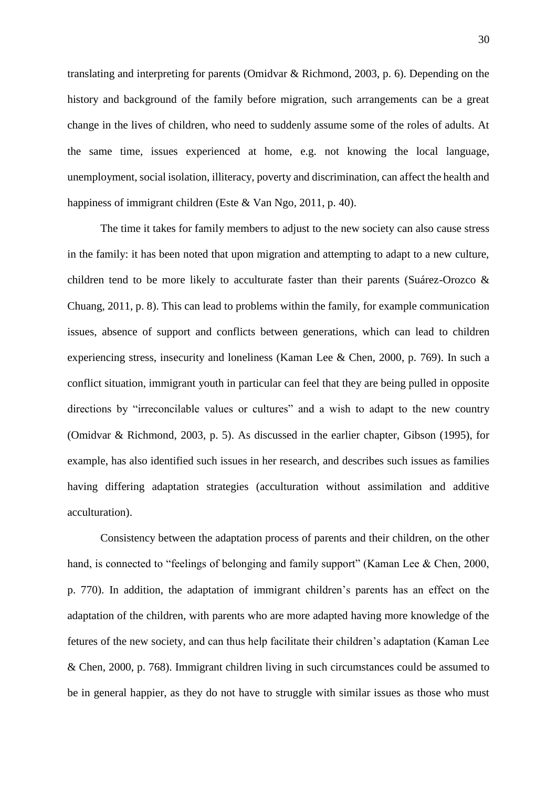translating and interpreting for parents (Omidvar & Richmond, 2003, p. 6). Depending on the history and background of the family before migration, such arrangements can be a great change in the lives of children, who need to suddenly assume some of the roles of adults. At the same time, issues experienced at home, e.g. not knowing the local language, unemployment, social isolation, illiteracy, poverty and discrimination, can affect the health and happiness of immigrant children (Este & Van Ngo, 2011, p. 40).

The time it takes for family members to adjust to the new society can also cause stress in the family: it has been noted that upon migration and attempting to adapt to a new culture, children tend to be more likely to acculturate faster than their parents (Suárez-Orozco & Chuang, 2011, p. 8). This can lead to problems within the family, for example communication issues, absence of support and conflicts between generations, which can lead to children experiencing stress, insecurity and loneliness (Kaman Lee & Chen, 2000, p. 769). In such a conflict situation, immigrant youth in particular can feel that they are being pulled in opposite directions by "irreconcilable values or cultures" and a wish to adapt to the new country (Omidvar & Richmond, 2003, p. 5). As discussed in the earlier chapter, Gibson (1995), for example, has also identified such issues in her research, and describes such issues as families having differing adaptation strategies (acculturation without assimilation and additive acculturation).

Consistency between the adaptation process of parents and their children, on the other hand, is connected to "feelings of belonging and family support" (Kaman Lee & Chen, 2000, p. 770). In addition, the adaptation of immigrant children's parents has an effect on the adaptation of the children, with parents who are more adapted having more knowledge of the fetures of the new society, and can thus help facilitate their children's adaptation (Kaman Lee & Chen, 2000, p. 768). Immigrant children living in such circumstances could be assumed to be in general happier, as they do not have to struggle with similar issues as those who must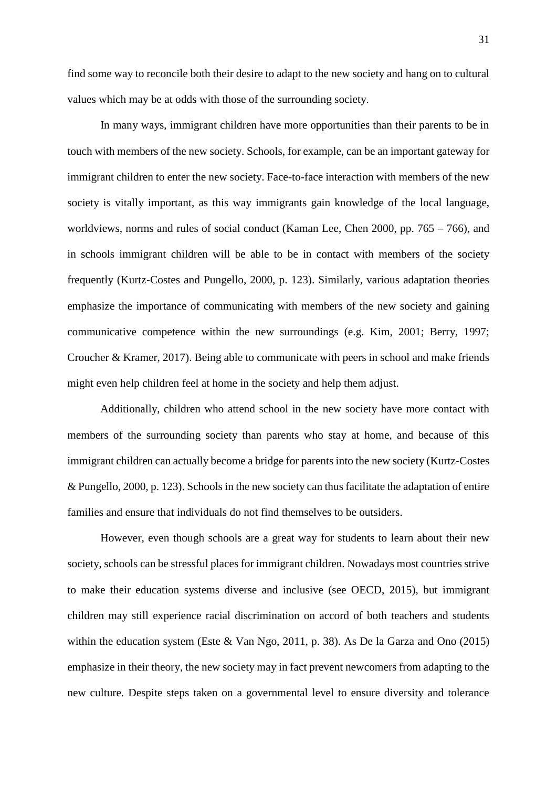find some way to reconcile both their desire to adapt to the new society and hang on to cultural values which may be at odds with those of the surrounding society.

In many ways, immigrant children have more opportunities than their parents to be in touch with members of the new society. Schools, for example, can be an important gateway for immigrant children to enter the new society. Face-to-face interaction with members of the new society is vitally important, as this way immigrants gain knowledge of the local language, worldviews, norms and rules of social conduct (Kaman Lee, Chen 2000, pp. 765 – 766), and in schools immigrant children will be able to be in contact with members of the society frequently (Kurtz-Costes and Pungello, 2000, p. 123). Similarly, various adaptation theories emphasize the importance of communicating with members of the new society and gaining communicative competence within the new surroundings (e.g. Kim, 2001; Berry, 1997; Croucher & Kramer, 2017). Being able to communicate with peers in school and make friends might even help children feel at home in the society and help them adjust.

Additionally, children who attend school in the new society have more contact with members of the surrounding society than parents who stay at home, and because of this immigrant children can actually become a bridge for parents into the new society (Kurtz-Costes & Pungello, 2000, p. 123). Schools in the new society can thus facilitate the adaptation of entire families and ensure that individuals do not find themselves to be outsiders.

However, even though schools are a great way for students to learn about their new society, schools can be stressful places for immigrant children. Nowadays most countries strive to make their education systems diverse and inclusive (see OECD, 2015), but immigrant children may still experience racial discrimination on accord of both teachers and students within the education system (Este & Van Ngo, 2011, p. 38). As De la Garza and Ono (2015) emphasize in their theory, the new society may in fact prevent newcomers from adapting to the new culture. Despite steps taken on a governmental level to ensure diversity and tolerance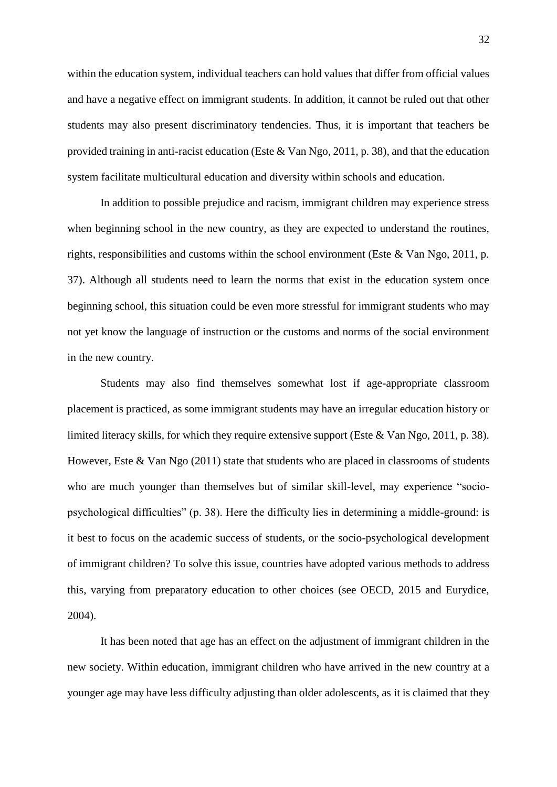within the education system, individual teachers can hold values that differ from official values and have a negative effect on immigrant students. In addition, it cannot be ruled out that other students may also present discriminatory tendencies. Thus, it is important that teachers be provided training in anti-racist education (Este & Van Ngo, 2011, p. 38), and that the education system facilitate multicultural education and diversity within schools and education.

In addition to possible prejudice and racism, immigrant children may experience stress when beginning school in the new country, as they are expected to understand the routines, rights, responsibilities and customs within the school environment (Este & Van Ngo, 2011, p. 37). Although all students need to learn the norms that exist in the education system once beginning school, this situation could be even more stressful for immigrant students who may not yet know the language of instruction or the customs and norms of the social environment in the new country.

Students may also find themselves somewhat lost if age-appropriate classroom placement is practiced, as some immigrant students may have an irregular education history or limited literacy skills, for which they require extensive support (Este & Van Ngo, 2011, p. 38). However, Este & Van Ngo  $(2011)$  state that students who are placed in classrooms of students who are much younger than themselves but of similar skill-level, may experience "sociopsychological difficulties" (p. 38). Here the difficulty lies in determining a middle-ground: is it best to focus on the academic success of students, or the socio-psychological development of immigrant children? To solve this issue, countries have adopted various methods to address this, varying from preparatory education to other choices (see OECD, 2015 and Eurydice, 2004).

It has been noted that age has an effect on the adjustment of immigrant children in the new society. Within education, immigrant children who have arrived in the new country at a younger age may have less difficulty adjusting than older adolescents, as it is claimed that they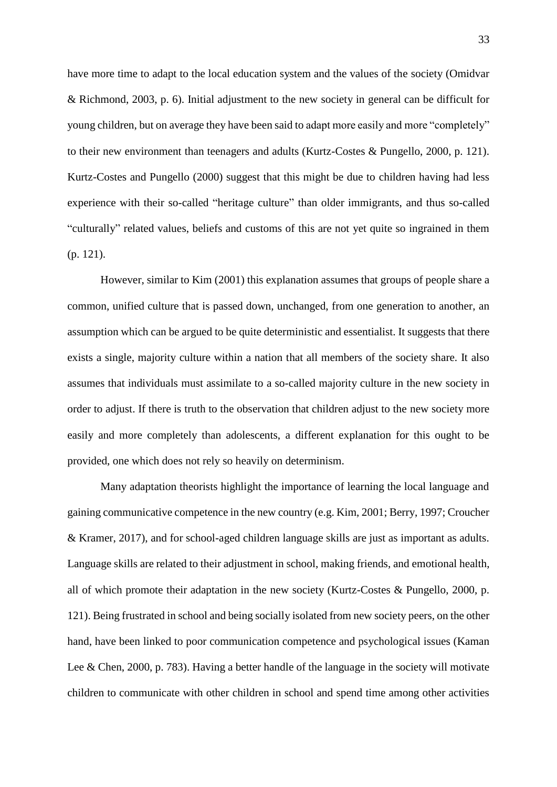have more time to adapt to the local education system and the values of the society (Omidvar & Richmond, 2003, p. 6). Initial adjustment to the new society in general can be difficult for young children, but on average they have been said to adapt more easily and more "completely" to their new environment than teenagers and adults (Kurtz-Costes & Pungello, 2000, p. 121). Kurtz-Costes and Pungello (2000) suggest that this might be due to children having had less experience with their so-called "heritage culture" than older immigrants, and thus so-called "culturally" related values, beliefs and customs of this are not yet quite so ingrained in them (p. 121).

However, similar to Kim (2001) this explanation assumes that groups of people share a common, unified culture that is passed down, unchanged, from one generation to another, an assumption which can be argued to be quite deterministic and essentialist. It suggests that there exists a single, majority culture within a nation that all members of the society share. It also assumes that individuals must assimilate to a so-called majority culture in the new society in order to adjust. If there is truth to the observation that children adjust to the new society more easily and more completely than adolescents, a different explanation for this ought to be provided, one which does not rely so heavily on determinism.

Many adaptation theorists highlight the importance of learning the local language and gaining communicative competence in the new country (e.g. Kim, 2001; Berry, 1997; Croucher & Kramer, 2017), and for school-aged children language skills are just as important as adults. Language skills are related to their adjustment in school, making friends, and emotional health, all of which promote their adaptation in the new society (Kurtz-Costes & Pungello, 2000, p. 121). Being frustrated in school and being socially isolated from new society peers, on the other hand, have been linked to poor communication competence and psychological issues (Kaman Lee & Chen, 2000, p. 783). Having a better handle of the language in the society will motivate children to communicate with other children in school and spend time among other activities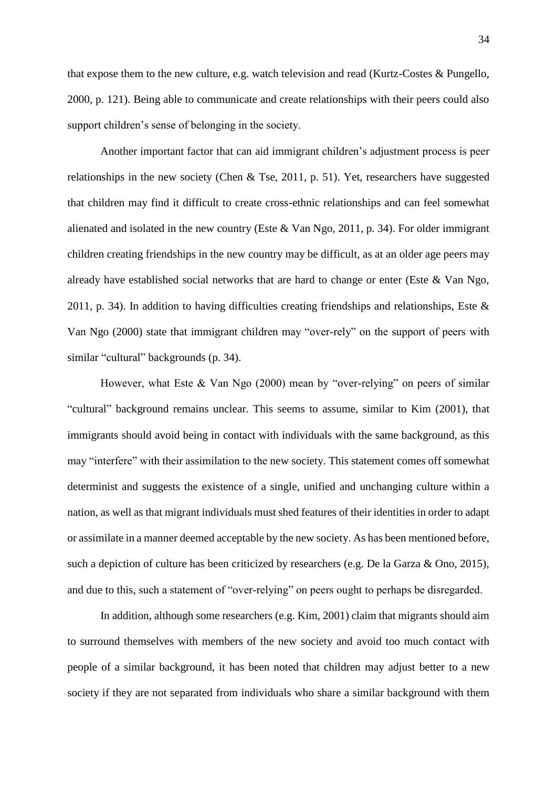that expose them to the new culture, e.g. watch television and read (Kurtz-Costes & Pungello, 2000, p. 121). Being able to communicate and create relationships with their peers could also support children's sense of belonging in the society.

Another important factor that can aid immigrant children's adjustment process is peer relationships in the new society (Chen & Tse, 2011, p. 51). Yet, researchers have suggested that children may find it difficult to create cross-ethnic relationships and can feel somewhat alienated and isolated in the new country (Este & Van Ngo, 2011, p. 34). For older immigrant children creating friendships in the new country may be difficult, as at an older age peers may already have established social networks that are hard to change or enter (Este & Van Ngo, 2011, p. 34). In addition to having difficulties creating friendships and relationships, Este  $\&$ Van Ngo (2000) state that immigrant children may "over-rely" on the support of peers with similar "cultural" backgrounds (p. 34).

However, what Este & Van Ngo (2000) mean by "over-relying" on peers of similar "cultural" background remains unclear. This seems to assume, similar to Kim (2001), that immigrants should avoid being in contact with individuals with the same background, as this may "interfere" with their assimilation to the new society. This statement comes off somewhat determinist and suggests the existence of a single, unified and unchanging culture within a nation, as well as that migrant individuals must shed features of their identities in order to adapt or assimilate in a manner deemed acceptable by the new society. As has been mentioned before, such a depiction of culture has been criticized by researchers (e.g. De la Garza & Ono, 2015), and due to this, such a statement of "over-relying" on peers ought to perhaps be disregarded.

In addition, although some researchers (e.g. Kim, 2001) claim that migrants should aim to surround themselves with members of the new society and avoid too much contact with people of a similar background, it has been noted that children may adjust better to a new society if they are not separated from individuals who share a similar background with them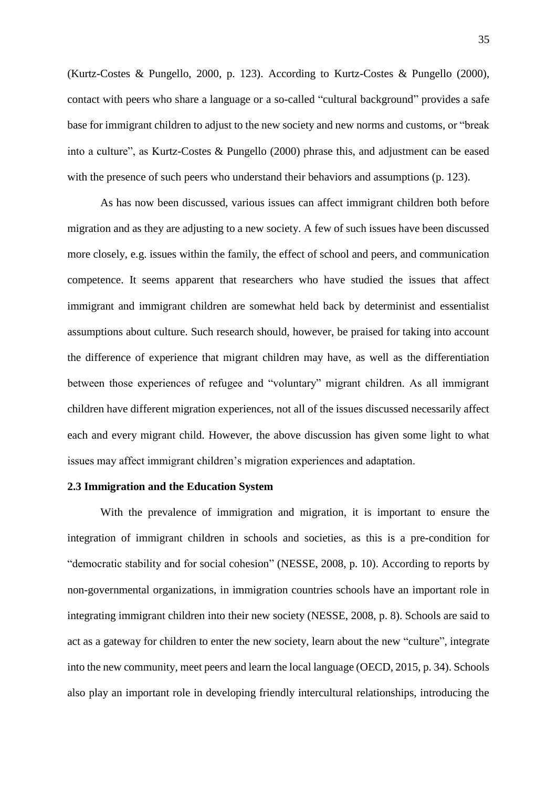(Kurtz-Costes & Pungello, 2000, p. 123). According to Kurtz-Costes & Pungello (2000), contact with peers who share a language or a so-called "cultural background" provides a safe base for immigrant children to adjust to the new society and new norms and customs, or "break into a culture", as Kurtz-Costes & Pungello (2000) phrase this, and adjustment can be eased with the presence of such peers who understand their behaviors and assumptions (p. 123).

As has now been discussed, various issues can affect immigrant children both before migration and as they are adjusting to a new society. A few of such issues have been discussed more closely, e.g. issues within the family, the effect of school and peers, and communication competence. It seems apparent that researchers who have studied the issues that affect immigrant and immigrant children are somewhat held back by determinist and essentialist assumptions about culture. Such research should, however, be praised for taking into account the difference of experience that migrant children may have, as well as the differentiation between those experiences of refugee and "voluntary" migrant children. As all immigrant children have different migration experiences, not all of the issues discussed necessarily affect each and every migrant child. However, the above discussion has given some light to what issues may affect immigrant children's migration experiences and adaptation.

## <span id="page-35-0"></span>**2.3 Immigration and the Education System**

With the prevalence of immigration and migration, it is important to ensure the integration of immigrant children in schools and societies, as this is a pre-condition for "democratic stability and for social cohesion" (NESSE, 2008, p. 10). According to reports by non-governmental organizations, in immigration countries schools have an important role in integrating immigrant children into their new society (NESSE, 2008, p. 8). Schools are said to act as a gateway for children to enter the new society, learn about the new "culture", integrate into the new community, meet peers and learn the local language (OECD, 2015, p. 34). Schools also play an important role in developing friendly intercultural relationships, introducing the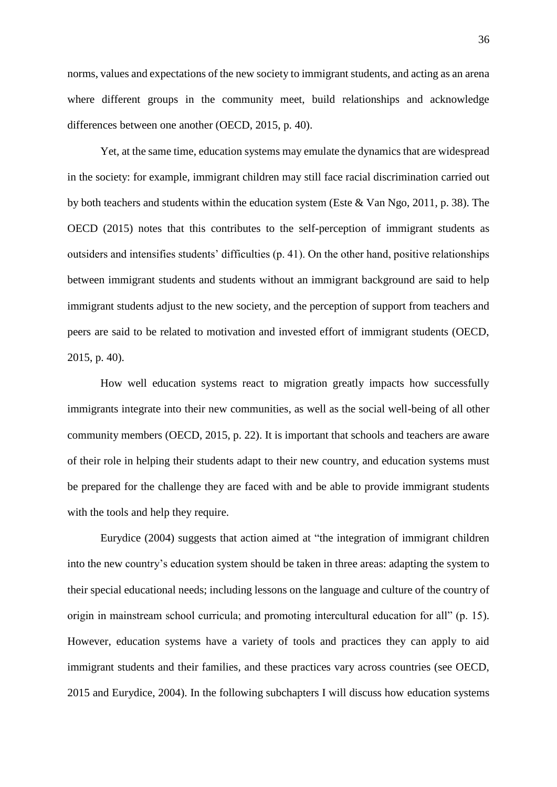norms, values and expectations of the new society to immigrant students, and acting as an arena where different groups in the community meet, build relationships and acknowledge differences between one another (OECD, 2015, p. 40).

Yet, at the same time, education systems may emulate the dynamics that are widespread in the society: for example, immigrant children may still face racial discrimination carried out by both teachers and students within the education system (Este & Van Ngo, 2011, p. 38). The OECD (2015) notes that this contributes to the self-perception of immigrant students as outsiders and intensifies students' difficulties (p. 41). On the other hand, positive relationships between immigrant students and students without an immigrant background are said to help immigrant students adjust to the new society, and the perception of support from teachers and peers are said to be related to motivation and invested effort of immigrant students (OECD, 2015, p. 40).

How well education systems react to migration greatly impacts how successfully immigrants integrate into their new communities, as well as the social well-being of all other community members (OECD, 2015, p. 22). It is important that schools and teachers are aware of their role in helping their students adapt to their new country, and education systems must be prepared for the challenge they are faced with and be able to provide immigrant students with the tools and help they require.

Eurydice (2004) suggests that action aimed at "the integration of immigrant children into the new country's education system should be taken in three areas: adapting the system to their special educational needs; including lessons on the language and culture of the country of origin in mainstream school curricula; and promoting intercultural education for all" (p. 15). However, education systems have a variety of tools and practices they can apply to aid immigrant students and their families, and these practices vary across countries (see OECD, 2015 and Eurydice, 2004). In the following subchapters I will discuss how education systems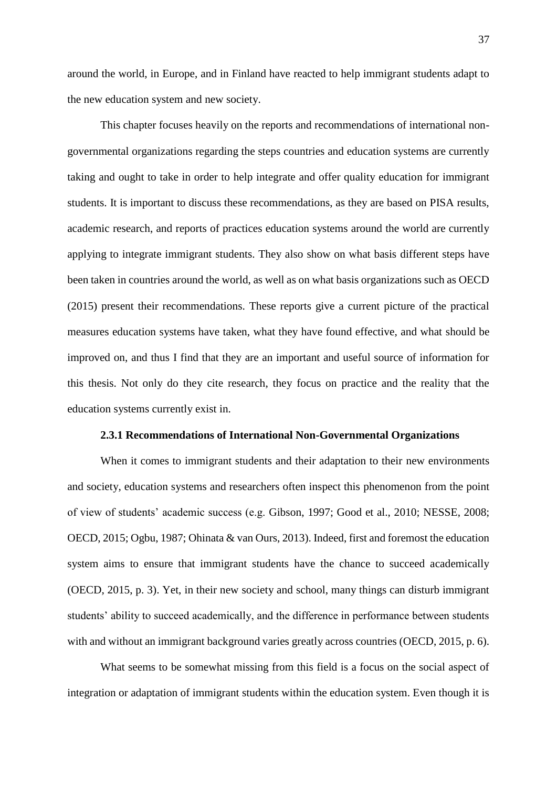around the world, in Europe, and in Finland have reacted to help immigrant students adapt to the new education system and new society.

This chapter focuses heavily on the reports and recommendations of international nongovernmental organizations regarding the steps countries and education systems are currently taking and ought to take in order to help integrate and offer quality education for immigrant students. It is important to discuss these recommendations, as they are based on PISA results, academic research, and reports of practices education systems around the world are currently applying to integrate immigrant students. They also show on what basis different steps have been taken in countries around the world, as well as on what basis organizations such as OECD (2015) present their recommendations. These reports give a current picture of the practical measures education systems have taken, what they have found effective, and what should be improved on, and thus I find that they are an important and useful source of information for this thesis. Not only do they cite research, they focus on practice and the reality that the education systems currently exist in.

## **2.3.1 Recommendations of International Non-Governmental Organizations**

When it comes to immigrant students and their adaptation to their new environments and society, education systems and researchers often inspect this phenomenon from the point of view of students' academic success (e.g. Gibson, 1997; Good et al., 2010; NESSE, 2008; OECD, 2015; Ogbu, 1987; Ohinata & van Ours, 2013). Indeed, first and foremost the education system aims to ensure that immigrant students have the chance to succeed academically (OECD, 2015, p. 3). Yet, in their new society and school, many things can disturb immigrant students' ability to succeed academically, and the difference in performance between students with and without an immigrant background varies greatly across countries (OECD, 2015, p. 6).

What seems to be somewhat missing from this field is a focus on the social aspect of integration or adaptation of immigrant students within the education system. Even though it is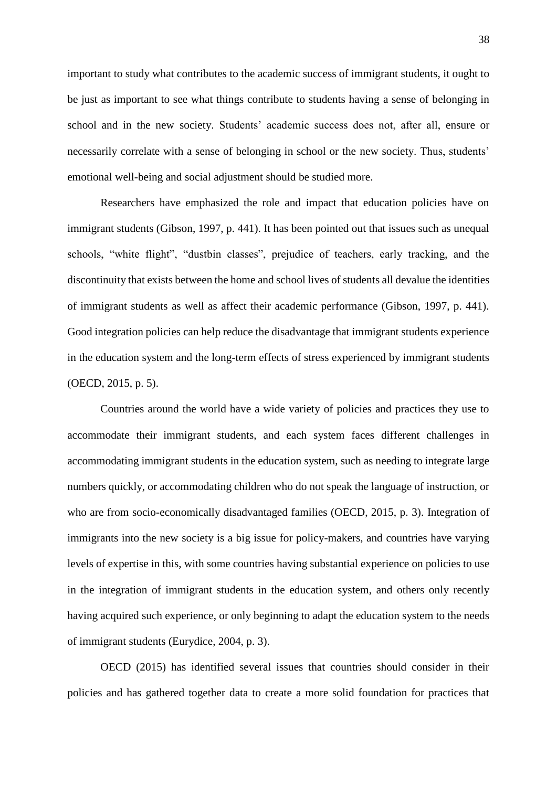important to study what contributes to the academic success of immigrant students, it ought to be just as important to see what things contribute to students having a sense of belonging in school and in the new society. Students' academic success does not, after all, ensure or necessarily correlate with a sense of belonging in school or the new society. Thus, students' emotional well-being and social adjustment should be studied more.

Researchers have emphasized the role and impact that education policies have on immigrant students (Gibson, 1997, p. 441). It has been pointed out that issues such as unequal schools, "white flight", "dustbin classes", prejudice of teachers, early tracking, and the discontinuity that exists between the home and school lives of students all devalue the identities of immigrant students as well as affect their academic performance (Gibson, 1997, p. 441). Good integration policies can help reduce the disadvantage that immigrant students experience in the education system and the long-term effects of stress experienced by immigrant students (OECD, 2015, p. 5).

Countries around the world have a wide variety of policies and practices they use to accommodate their immigrant students, and each system faces different challenges in accommodating immigrant students in the education system, such as needing to integrate large numbers quickly, or accommodating children who do not speak the language of instruction, or who are from socio-economically disadvantaged families (OECD, 2015, p. 3). Integration of immigrants into the new society is a big issue for policy-makers, and countries have varying levels of expertise in this, with some countries having substantial experience on policies to use in the integration of immigrant students in the education system, and others only recently having acquired such experience, or only beginning to adapt the education system to the needs of immigrant students (Eurydice, 2004, p. 3).

OECD (2015) has identified several issues that countries should consider in their policies and has gathered together data to create a more solid foundation for practices that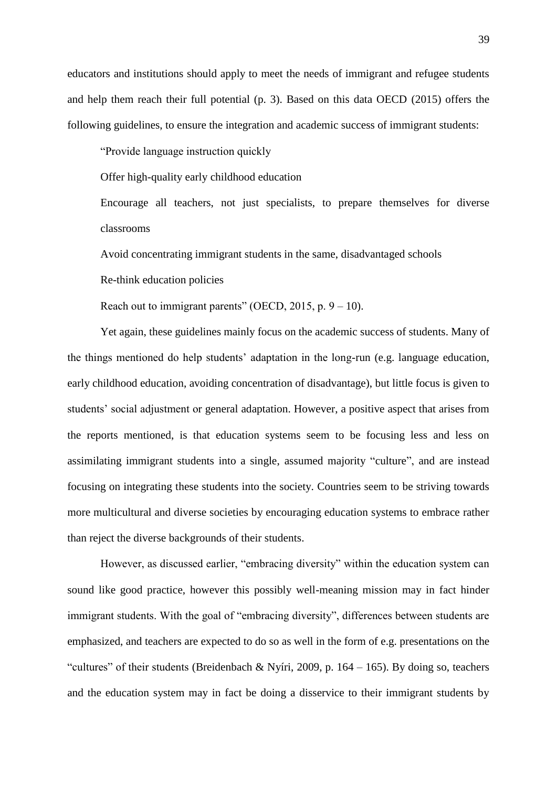educators and institutions should apply to meet the needs of immigrant and refugee students and help them reach their full potential (p. 3). Based on this data OECD (2015) offers the following guidelines, to ensure the integration and academic success of immigrant students:

"Provide language instruction quickly

Offer high-quality early childhood education

Encourage all teachers, not just specialists, to prepare themselves for diverse classrooms

Avoid concentrating immigrant students in the same, disadvantaged schools

Re-think education policies

Reach out to immigrant parents" (OECD, 2015, p.  $9 - 10$ ).

Yet again, these guidelines mainly focus on the academic success of students. Many of the things mentioned do help students' adaptation in the long-run (e.g. language education, early childhood education, avoiding concentration of disadvantage), but little focus is given to students' social adjustment or general adaptation. However, a positive aspect that arises from the reports mentioned, is that education systems seem to be focusing less and less on assimilating immigrant students into a single, assumed majority "culture", and are instead focusing on integrating these students into the society. Countries seem to be striving towards more multicultural and diverse societies by encouraging education systems to embrace rather than reject the diverse backgrounds of their students.

However, as discussed earlier, "embracing diversity" within the education system can sound like good practice, however this possibly well-meaning mission may in fact hinder immigrant students. With the goal of "embracing diversity", differences between students are emphasized, and teachers are expected to do so as well in the form of e.g. presentations on the "cultures" of their students (Breidenbach & Nyíri, 2009, p.  $164 - 165$ ). By doing so, teachers and the education system may in fact be doing a disservice to their immigrant students by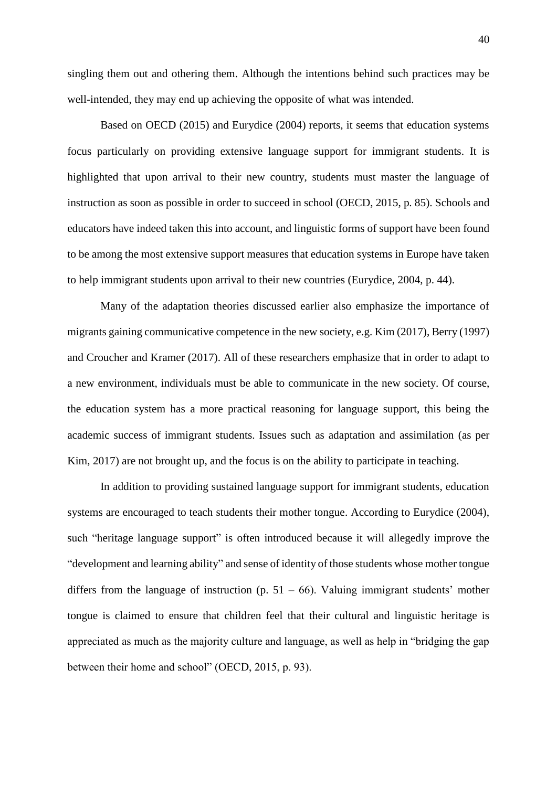singling them out and othering them. Although the intentions behind such practices may be well-intended, they may end up achieving the opposite of what was intended.

Based on OECD (2015) and Eurydice (2004) reports, it seems that education systems focus particularly on providing extensive language support for immigrant students. It is highlighted that upon arrival to their new country, students must master the language of instruction as soon as possible in order to succeed in school (OECD, 2015, p. 85). Schools and educators have indeed taken this into account, and linguistic forms of support have been found to be among the most extensive support measures that education systems in Europe have taken to help immigrant students upon arrival to their new countries (Eurydice, 2004, p. 44).

Many of the adaptation theories discussed earlier also emphasize the importance of migrants gaining communicative competence in the new society, e.g. Kim (2017), Berry (1997) and Croucher and Kramer (2017). All of these researchers emphasize that in order to adapt to a new environment, individuals must be able to communicate in the new society. Of course, the education system has a more practical reasoning for language support, this being the academic success of immigrant students. Issues such as adaptation and assimilation (as per Kim, 2017) are not brought up, and the focus is on the ability to participate in teaching.

In addition to providing sustained language support for immigrant students, education systems are encouraged to teach students their mother tongue. According to Eurydice (2004), such "heritage language support" is often introduced because it will allegedly improve the "development and learning ability" and sense of identity of those students whose mother tongue differs from the language of instruction (p.  $51 - 66$ ). Valuing immigrant students' mother tongue is claimed to ensure that children feel that their cultural and linguistic heritage is appreciated as much as the majority culture and language, as well as help in "bridging the gap between their home and school" (OECD, 2015, p. 93).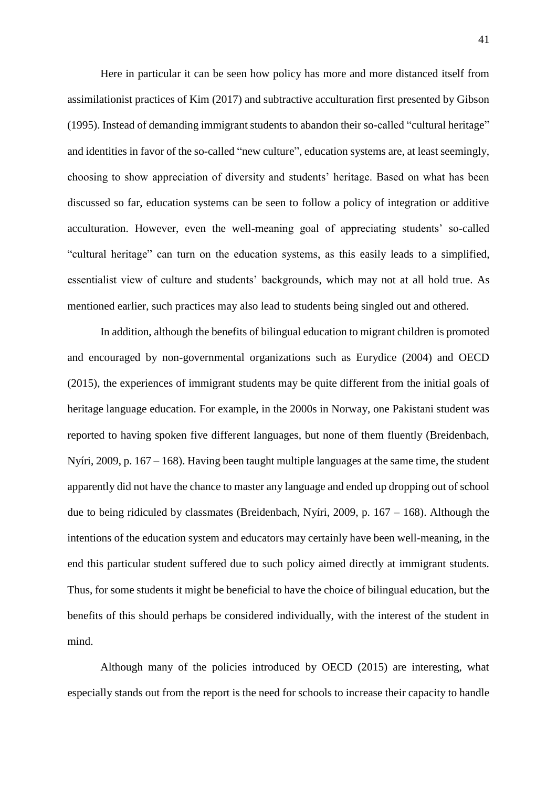Here in particular it can be seen how policy has more and more distanced itself from assimilationist practices of Kim (2017) and subtractive acculturation first presented by Gibson (1995). Instead of demanding immigrant students to abandon their so-called "cultural heritage" and identities in favor of the so-called "new culture", education systems are, at least seemingly, choosing to show appreciation of diversity and students' heritage. Based on what has been discussed so far, education systems can be seen to follow a policy of integration or additive acculturation. However, even the well-meaning goal of appreciating students' so-called "cultural heritage" can turn on the education systems, as this easily leads to a simplified, essentialist view of culture and students' backgrounds, which may not at all hold true. As mentioned earlier, such practices may also lead to students being singled out and othered.

In addition, although the benefits of bilingual education to migrant children is promoted and encouraged by non-governmental organizations such as Eurydice (2004) and OECD (2015), the experiences of immigrant students may be quite different from the initial goals of heritage language education. For example, in the 2000s in Norway, one Pakistani student was reported to having spoken five different languages, but none of them fluently (Breidenbach, Nyíri, 2009, p. 167 – 168). Having been taught multiple languages at the same time, the student apparently did not have the chance to master any language and ended up dropping out of school due to being ridiculed by classmates (Breidenbach, Nyíri, 2009, p. 167 – 168). Although the intentions of the education system and educators may certainly have been well-meaning, in the end this particular student suffered due to such policy aimed directly at immigrant students. Thus, for some students it might be beneficial to have the choice of bilingual education, but the benefits of this should perhaps be considered individually, with the interest of the student in mind.

Although many of the policies introduced by OECD (2015) are interesting, what especially stands out from the report is the need for schools to increase their capacity to handle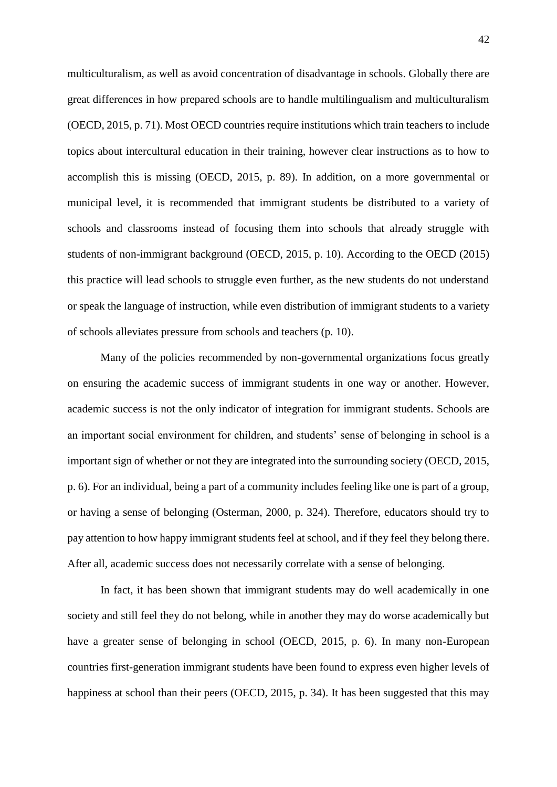multiculturalism, as well as avoid concentration of disadvantage in schools. Globally there are great differences in how prepared schools are to handle multilingualism and multiculturalism (OECD, 2015, p. 71). Most OECD countries require institutions which train teachers to include topics about intercultural education in their training, however clear instructions as to how to accomplish this is missing (OECD, 2015, p. 89). In addition, on a more governmental or municipal level, it is recommended that immigrant students be distributed to a variety of schools and classrooms instead of focusing them into schools that already struggle with students of non-immigrant background (OECD, 2015, p. 10). According to the OECD (2015) this practice will lead schools to struggle even further, as the new students do not understand or speak the language of instruction, while even distribution of immigrant students to a variety of schools alleviates pressure from schools and teachers (p. 10).

Many of the policies recommended by non-governmental organizations focus greatly on ensuring the academic success of immigrant students in one way or another. However, academic success is not the only indicator of integration for immigrant students. Schools are an important social environment for children, and students' sense of belonging in school is a important sign of whether or not they are integrated into the surrounding society (OECD, 2015, p. 6). For an individual, being a part of a community includes feeling like one is part of a group, or having a sense of belonging (Osterman, 2000, p. 324). Therefore, educators should try to pay attention to how happy immigrant students feel at school, and if they feel they belong there. After all, academic success does not necessarily correlate with a sense of belonging.

In fact, it has been shown that immigrant students may do well academically in one society and still feel they do not belong, while in another they may do worse academically but have a greater sense of belonging in school (OECD, 2015, p. 6). In many non-European countries first-generation immigrant students have been found to express even higher levels of happiness at school than their peers (OECD, 2015, p. 34). It has been suggested that this may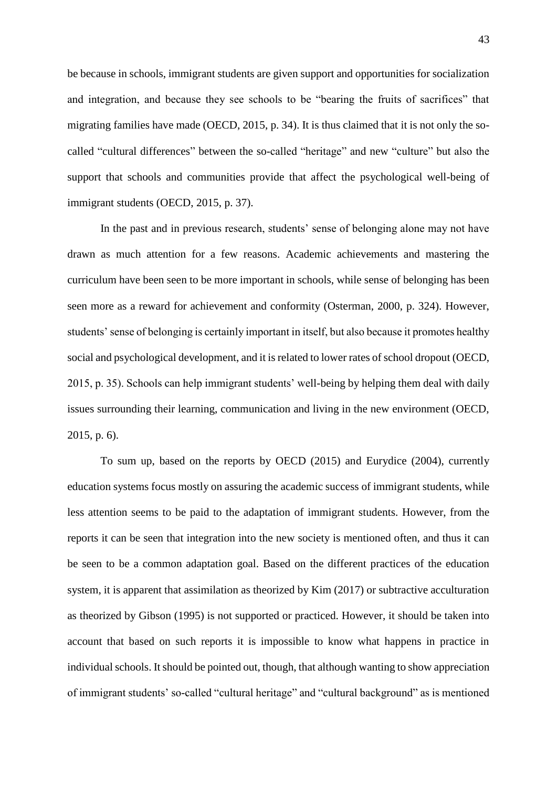be because in schools, immigrant students are given support and opportunities for socialization and integration, and because they see schools to be "bearing the fruits of sacrifices" that migrating families have made (OECD, 2015, p. 34). It is thus claimed that it is not only the socalled "cultural differences" between the so-called "heritage" and new "culture" but also the support that schools and communities provide that affect the psychological well-being of immigrant students (OECD, 2015, p. 37).

In the past and in previous research, students' sense of belonging alone may not have drawn as much attention for a few reasons. Academic achievements and mastering the curriculum have been seen to be more important in schools, while sense of belonging has been seen more as a reward for achievement and conformity (Osterman, 2000, p. 324). However, students' sense of belonging is certainly important in itself, but also because it promotes healthy social and psychological development, and it is related to lower rates of school dropout (OECD, 2015, p. 35). Schools can help immigrant students' well-being by helping them deal with daily issues surrounding their learning, communication and living in the new environment (OECD, 2015, p. 6).

To sum up, based on the reports by OECD (2015) and Eurydice (2004), currently education systems focus mostly on assuring the academic success of immigrant students, while less attention seems to be paid to the adaptation of immigrant students. However, from the reports it can be seen that integration into the new society is mentioned often, and thus it can be seen to be a common adaptation goal. Based on the different practices of the education system, it is apparent that assimilation as theorized by Kim (2017) or subtractive acculturation as theorized by Gibson (1995) is not supported or practiced. However, it should be taken into account that based on such reports it is impossible to know what happens in practice in individual schools. It should be pointed out, though, that although wanting to show appreciation of immigrant students' so-called "cultural heritage" and "cultural background" as is mentioned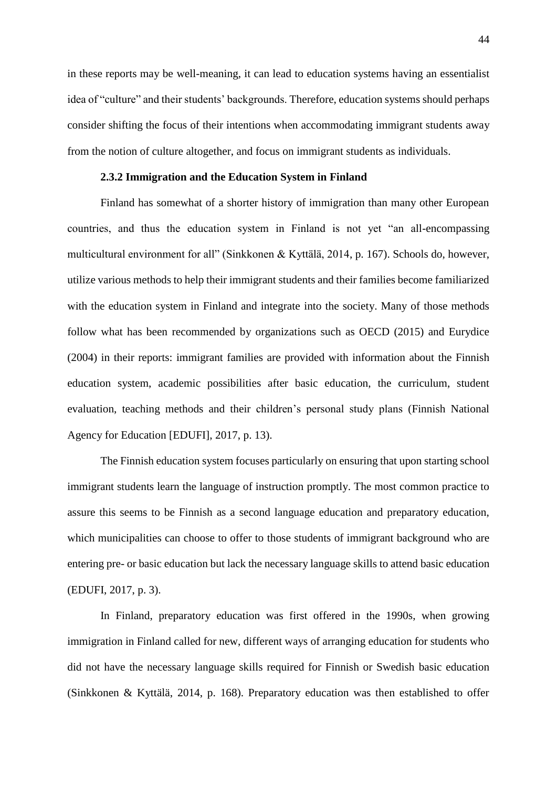in these reports may be well-meaning, it can lead to education systems having an essentialist idea of "culture" and their students' backgrounds. Therefore, education systems should perhaps consider shifting the focus of their intentions when accommodating immigrant students away from the notion of culture altogether, and focus on immigrant students as individuals.

# **2.3.2 Immigration and the Education System in Finland**

Finland has somewhat of a shorter history of immigration than many other European countries, and thus the education system in Finland is not yet "an all-encompassing multicultural environment for all" (Sinkkonen & Kyttälä, 2014, p. 167). Schools do, however, utilize various methods to help their immigrant students and their families become familiarized with the education system in Finland and integrate into the society. Many of those methods follow what has been recommended by organizations such as OECD (2015) and Eurydice (2004) in their reports: immigrant families are provided with information about the Finnish education system, academic possibilities after basic education, the curriculum, student evaluation, teaching methods and their children's personal study plans (Finnish National Agency for Education [EDUFI], 2017, p. 13).

The Finnish education system focuses particularly on ensuring that upon starting school immigrant students learn the language of instruction promptly. The most common practice to assure this seems to be Finnish as a second language education and preparatory education, which municipalities can choose to offer to those students of immigrant background who are entering pre- or basic education but lack the necessary language skills to attend basic education (EDUFI, 2017, p. 3).

In Finland, preparatory education was first offered in the 1990s, when growing immigration in Finland called for new, different ways of arranging education for students who did not have the necessary language skills required for Finnish or Swedish basic education (Sinkkonen & Kyttälä, 2014, p. 168). Preparatory education was then established to offer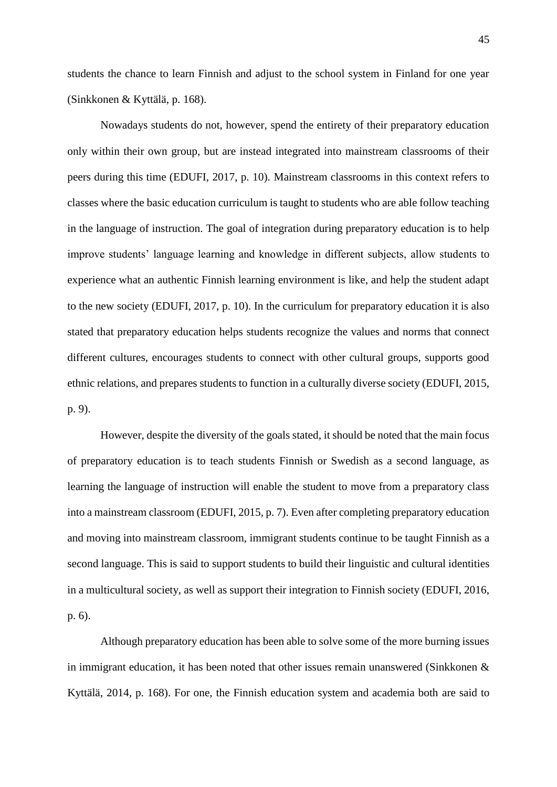students the chance to learn Finnish and adjust to the school system in Finland for one year (Sinkkonen & Kyttälä, p. 168).

Nowadays students do not, however, spend the entirety of their preparatory education only within their own group, but are instead integrated into mainstream classrooms of their peers during this time (EDUFI, 2017, p. 10). Mainstream classrooms in this context refers to classes where the basic education curriculum is taught to students who are able follow teaching in the language of instruction. The goal of integration during preparatory education is to help improve students' language learning and knowledge in different subjects, allow students to experience what an authentic Finnish learning environment is like, and help the student adapt to the new society (EDUFI, 2017, p. 10). In the curriculum for preparatory education it is also stated that preparatory education helps students recognize the values and norms that connect different cultures, encourages students to connect with other cultural groups, supports good ethnic relations, and prepares students to function in a culturally diverse society (EDUFI, 2015, p. 9).

However, despite the diversity of the goals stated, it should be noted that the main focus of preparatory education is to teach students Finnish or Swedish as a second language, as learning the language of instruction will enable the student to move from a preparatory class into a mainstream classroom (EDUFI, 2015, p. 7). Even after completing preparatory education and moving into mainstream classroom, immigrant students continue to be taught Finnish as a second language. This is said to support students to build their linguistic and cultural identities in a multicultural society, as well as support their integration to Finnish society (EDUFI, 2016, p. 6).

Although preparatory education has been able to solve some of the more burning issues in immigrant education, it has been noted that other issues remain unanswered (Sinkkonen & Kyttälä, 2014, p. 168). For one, the Finnish education system and academia both are said to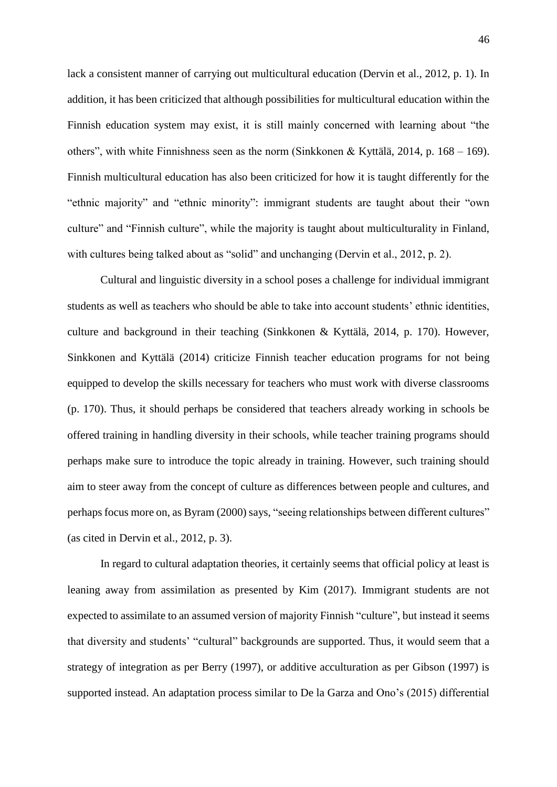lack a consistent manner of carrying out multicultural education (Dervin et al., 2012, p. 1). In addition, it has been criticized that although possibilities for multicultural education within the Finnish education system may exist, it is still mainly concerned with learning about "the others", with white Finnishness seen as the norm (Sinkkonen & Kyttälä, 2014, p. 168 – 169). Finnish multicultural education has also been criticized for how it is taught differently for the "ethnic majority" and "ethnic minority": immigrant students are taught about their "own culture" and "Finnish culture", while the majority is taught about multiculturality in Finland, with cultures being talked about as "solid" and unchanging (Dervin et al., 2012, p. 2).

Cultural and linguistic diversity in a school poses a challenge for individual immigrant students as well as teachers who should be able to take into account students' ethnic identities, culture and background in their teaching (Sinkkonen & Kyttälä, 2014, p. 170). However, Sinkkonen and Kyttälä (2014) criticize Finnish teacher education programs for not being equipped to develop the skills necessary for teachers who must work with diverse classrooms (p. 170). Thus, it should perhaps be considered that teachers already working in schools be offered training in handling diversity in their schools, while teacher training programs should perhaps make sure to introduce the topic already in training. However, such training should aim to steer away from the concept of culture as differences between people and cultures, and perhaps focus more on, as Byram (2000) says, "seeing relationships between different cultures" (as cited in Dervin et al., 2012, p. 3).

In regard to cultural adaptation theories, it certainly seems that official policy at least is leaning away from assimilation as presented by Kim (2017). Immigrant students are not expected to assimilate to an assumed version of majority Finnish "culture", but instead it seems that diversity and students' "cultural" backgrounds are supported. Thus, it would seem that a strategy of integration as per Berry (1997), or additive acculturation as per Gibson (1997) is supported instead. An adaptation process similar to De la Garza and Ono's (2015) differential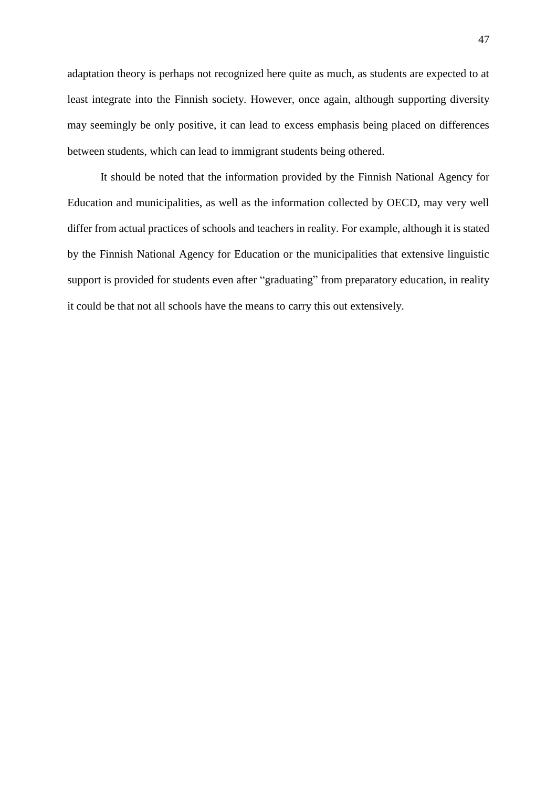adaptation theory is perhaps not recognized here quite as much, as students are expected to at least integrate into the Finnish society. However, once again, although supporting diversity may seemingly be only positive, it can lead to excess emphasis being placed on differences between students, which can lead to immigrant students being othered.

It should be noted that the information provided by the Finnish National Agency for Education and municipalities, as well as the information collected by OECD, may very well differ from actual practices of schools and teachers in reality. For example, although it is stated by the Finnish National Agency for Education or the municipalities that extensive linguistic support is provided for students even after "graduating" from preparatory education, in reality it could be that not all schools have the means to carry this out extensively.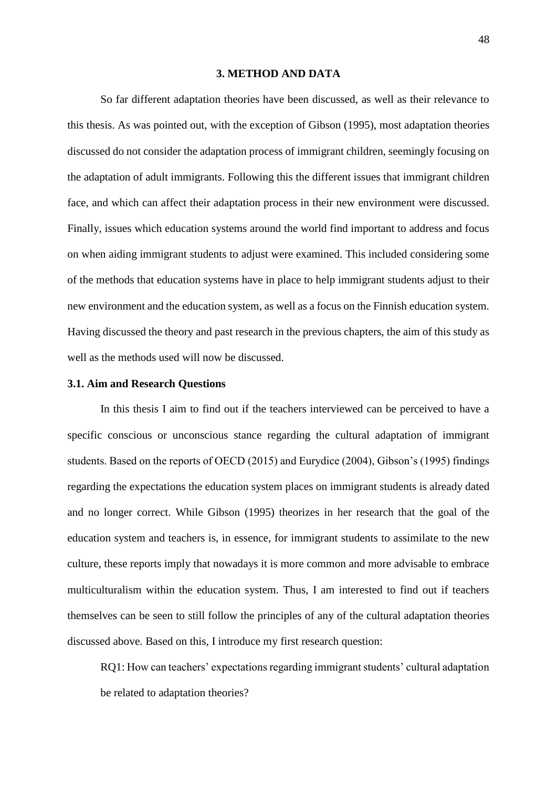#### **3. METHOD AND DATA**

So far different adaptation theories have been discussed, as well as their relevance to this thesis. As was pointed out, with the exception of Gibson (1995), most adaptation theories discussed do not consider the adaptation process of immigrant children, seemingly focusing on the adaptation of adult immigrants. Following this the different issues that immigrant children face, and which can affect their adaptation process in their new environment were discussed. Finally, issues which education systems around the world find important to address and focus on when aiding immigrant students to adjust were examined. This included considering some of the methods that education systems have in place to help immigrant students adjust to their new environment and the education system, as well as a focus on the Finnish education system. Having discussed the theory and past research in the previous chapters, the aim of this study as well as the methods used will now be discussed.

# **3.1. Aim and Research Questions**

In this thesis I aim to find out if the teachers interviewed can be perceived to have a specific conscious or unconscious stance regarding the cultural adaptation of immigrant students. Based on the reports of OECD (2015) and Eurydice (2004), Gibson's (1995) findings regarding the expectations the education system places on immigrant students is already dated and no longer correct. While Gibson (1995) theorizes in her research that the goal of the education system and teachers is, in essence, for immigrant students to assimilate to the new culture, these reports imply that nowadays it is more common and more advisable to embrace multiculturalism within the education system. Thus, I am interested to find out if teachers themselves can be seen to still follow the principles of any of the cultural adaptation theories discussed above. Based on this, I introduce my first research question:

RQ1: How can teachers' expectations regarding immigrant students' cultural adaptation be related to adaptation theories?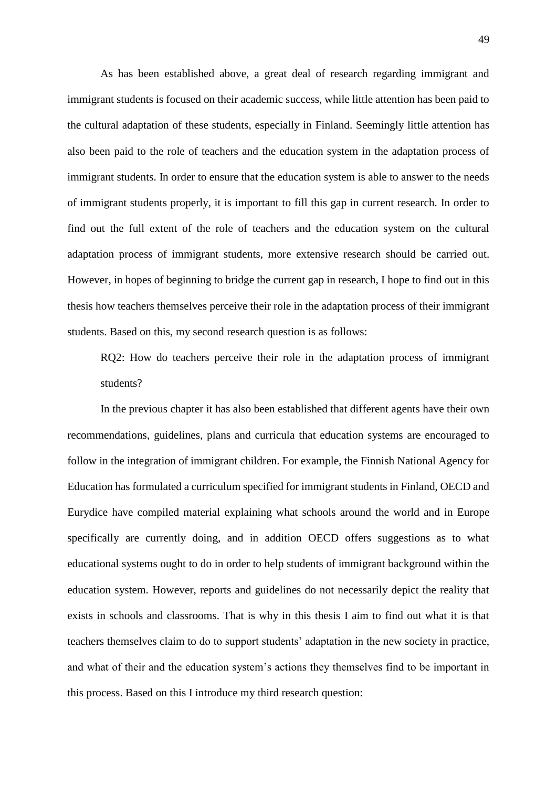As has been established above, a great deal of research regarding immigrant and immigrant students is focused on their academic success, while little attention has been paid to the cultural adaptation of these students, especially in Finland. Seemingly little attention has also been paid to the role of teachers and the education system in the adaptation process of immigrant students. In order to ensure that the education system is able to answer to the needs of immigrant students properly, it is important to fill this gap in current research. In order to find out the full extent of the role of teachers and the education system on the cultural adaptation process of immigrant students, more extensive research should be carried out. However, in hopes of beginning to bridge the current gap in research, I hope to find out in this thesis how teachers themselves perceive their role in the adaptation process of their immigrant students. Based on this, my second research question is as follows:

RQ2: How do teachers perceive their role in the adaptation process of immigrant students?

In the previous chapter it has also been established that different agents have their own recommendations, guidelines, plans and curricula that education systems are encouraged to follow in the integration of immigrant children. For example, the Finnish National Agency for Education has formulated a curriculum specified for immigrant students in Finland, OECD and Eurydice have compiled material explaining what schools around the world and in Europe specifically are currently doing, and in addition OECD offers suggestions as to what educational systems ought to do in order to help students of immigrant background within the education system. However, reports and guidelines do not necessarily depict the reality that exists in schools and classrooms. That is why in this thesis I aim to find out what it is that teachers themselves claim to do to support students' adaptation in the new society in practice, and what of their and the education system's actions they themselves find to be important in this process. Based on this I introduce my third research question: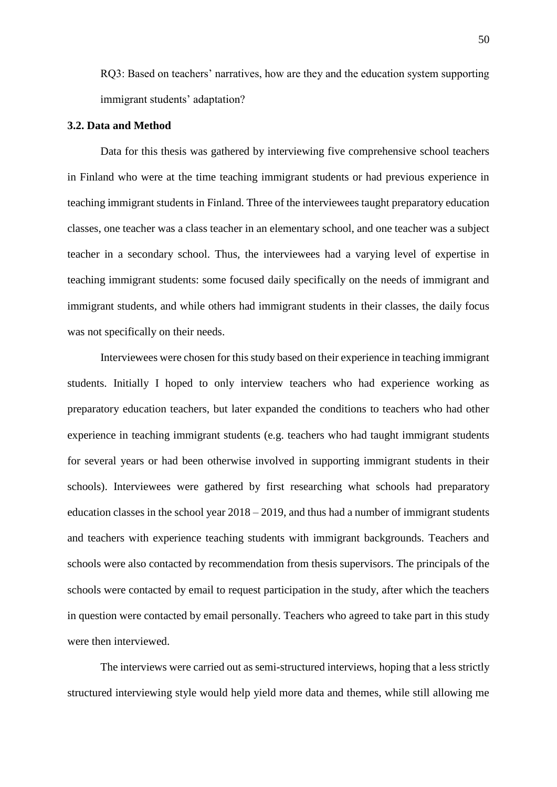RQ3: Based on teachers' narratives, how are they and the education system supporting immigrant students' adaptation?

## **3.2. Data and Method**

Data for this thesis was gathered by interviewing five comprehensive school teachers in Finland who were at the time teaching immigrant students or had previous experience in teaching immigrant students in Finland. Three of the interviewees taught preparatory education classes, one teacher was a class teacher in an elementary school, and one teacher was a subject teacher in a secondary school. Thus, the interviewees had a varying level of expertise in teaching immigrant students: some focused daily specifically on the needs of immigrant and immigrant students, and while others had immigrant students in their classes, the daily focus was not specifically on their needs.

Interviewees were chosen for this study based on their experience in teaching immigrant students. Initially I hoped to only interview teachers who had experience working as preparatory education teachers, but later expanded the conditions to teachers who had other experience in teaching immigrant students (e.g. teachers who had taught immigrant students for several years or had been otherwise involved in supporting immigrant students in their schools). Interviewees were gathered by first researching what schools had preparatory education classes in the school year  $2018 - 2019$ , and thus had a number of immigrant students and teachers with experience teaching students with immigrant backgrounds. Teachers and schools were also contacted by recommendation from thesis supervisors. The principals of the schools were contacted by email to request participation in the study, after which the teachers in question were contacted by email personally. Teachers who agreed to take part in this study were then interviewed.

The interviews were carried out as semi-structured interviews, hoping that a less strictly structured interviewing style would help yield more data and themes, while still allowing me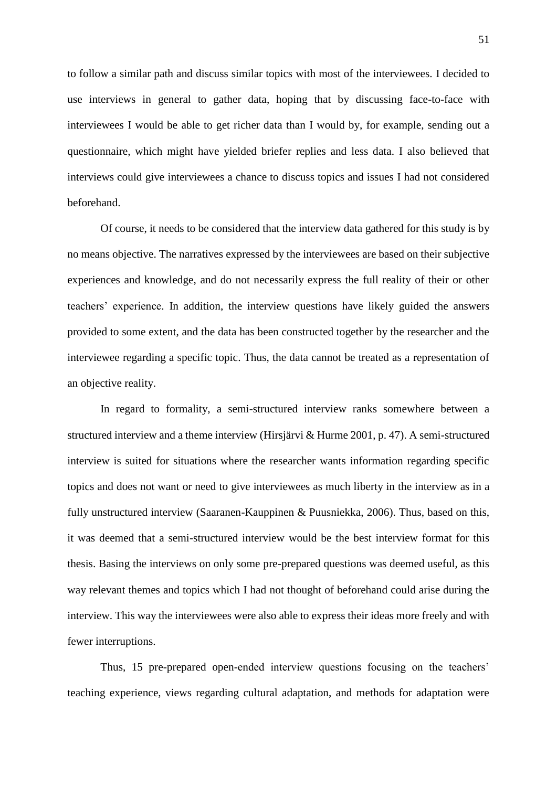to follow a similar path and discuss similar topics with most of the interviewees. I decided to use interviews in general to gather data, hoping that by discussing face-to-face with interviewees I would be able to get richer data than I would by, for example, sending out a questionnaire, which might have yielded briefer replies and less data. I also believed that interviews could give interviewees a chance to discuss topics and issues I had not considered beforehand.

Of course, it needs to be considered that the interview data gathered for this study is by no means objective. The narratives expressed by the interviewees are based on their subjective experiences and knowledge, and do not necessarily express the full reality of their or other teachers' experience. In addition, the interview questions have likely guided the answers provided to some extent, and the data has been constructed together by the researcher and the interviewee regarding a specific topic. Thus, the data cannot be treated as a representation of an objective reality.

In regard to formality, a semi-structured interview ranks somewhere between a structured interview and a theme interview (Hirsjärvi & Hurme 2001, p. 47). A semi-structured interview is suited for situations where the researcher wants information regarding specific topics and does not want or need to give interviewees as much liberty in the interview as in a fully unstructured interview (Saaranen-Kauppinen & Puusniekka, 2006). Thus, based on this, it was deemed that a semi-structured interview would be the best interview format for this thesis. Basing the interviews on only some pre-prepared questions was deemed useful, as this way relevant themes and topics which I had not thought of beforehand could arise during the interview. This way the interviewees were also able to express their ideas more freely and with fewer interruptions.

Thus, 15 pre-prepared open-ended interview questions focusing on the teachers' teaching experience, views regarding cultural adaptation, and methods for adaptation were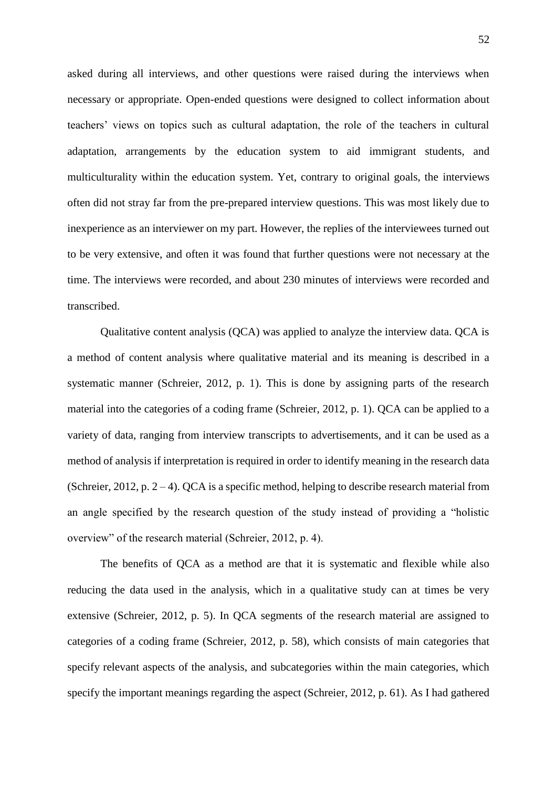asked during all interviews, and other questions were raised during the interviews when necessary or appropriate. Open-ended questions were designed to collect information about teachers' views on topics such as cultural adaptation, the role of the teachers in cultural adaptation, arrangements by the education system to aid immigrant students, and multiculturality within the education system. Yet, contrary to original goals, the interviews often did not stray far from the pre-prepared interview questions. This was most likely due to inexperience as an interviewer on my part. However, the replies of the interviewees turned out to be very extensive, and often it was found that further questions were not necessary at the time. The interviews were recorded, and about 230 minutes of interviews were recorded and transcribed.

Qualitative content analysis (QCA) was applied to analyze the interview data. QCA is a method of content analysis where qualitative material and its meaning is described in a systematic manner (Schreier, 2012, p. 1). This is done by assigning parts of the research material into the categories of a coding frame (Schreier, 2012, p. 1). QCA can be applied to a variety of data, ranging from interview transcripts to advertisements, and it can be used as a method of analysis if interpretation is required in order to identify meaning in the research data (Schreier, 2012, p. 2 – 4). QCA is a specific method, helping to describe research material from an angle specified by the research question of the study instead of providing a "holistic overview" of the research material (Schreier, 2012, p. 4).

The benefits of QCA as a method are that it is systematic and flexible while also reducing the data used in the analysis, which in a qualitative study can at times be very extensive (Schreier, 2012, p. 5). In QCA segments of the research material are assigned to categories of a coding frame (Schreier, 2012, p. 58), which consists of main categories that specify relevant aspects of the analysis, and subcategories within the main categories, which specify the important meanings regarding the aspect (Schreier, 2012, p. 61). As I had gathered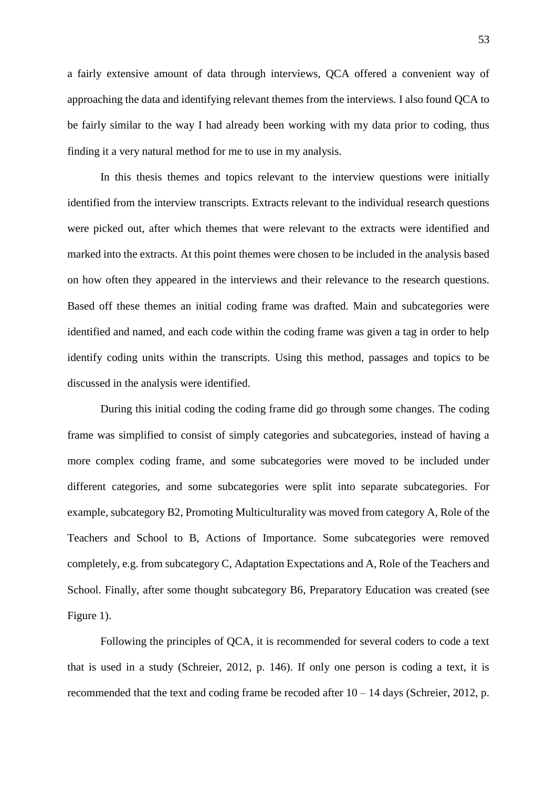a fairly extensive amount of data through interviews, QCA offered a convenient way of approaching the data and identifying relevant themes from the interviews. I also found QCA to be fairly similar to the way I had already been working with my data prior to coding, thus finding it a very natural method for me to use in my analysis.

In this thesis themes and topics relevant to the interview questions were initially identified from the interview transcripts. Extracts relevant to the individual research questions were picked out, after which themes that were relevant to the extracts were identified and marked into the extracts. At this point themes were chosen to be included in the analysis based on how often they appeared in the interviews and their relevance to the research questions. Based off these themes an initial coding frame was drafted. Main and subcategories were identified and named, and each code within the coding frame was given a tag in order to help identify coding units within the transcripts. Using this method, passages and topics to be discussed in the analysis were identified.

During this initial coding the coding frame did go through some changes. The coding frame was simplified to consist of simply categories and subcategories, instead of having a more complex coding frame, and some subcategories were moved to be included under different categories, and some subcategories were split into separate subcategories. For example, subcategory B2, Promoting Multiculturality was moved from category A, Role of the Teachers and School to B, Actions of Importance. Some subcategories were removed completely, e.g. from subcategory C, Adaptation Expectations and A, Role of the Teachers and School. Finally, after some thought subcategory B6, Preparatory Education was created (see Figure 1).

Following the principles of QCA, it is recommended for several coders to code a text that is used in a study (Schreier, 2012, p. 146). If only one person is coding a text, it is recommended that the text and coding frame be recoded after 10 – 14 days (Schreier, 2012, p.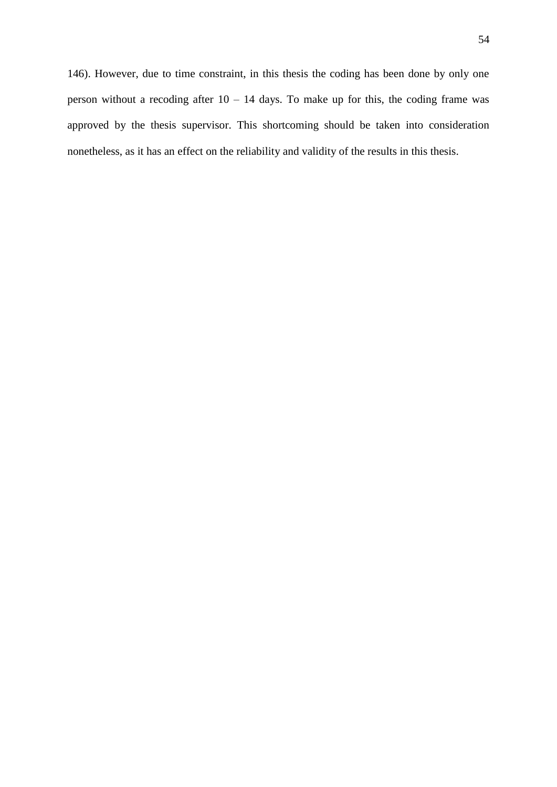146). However, due to time constraint, in this thesis the coding has been done by only one person without a recoding after  $10 - 14$  days. To make up for this, the coding frame was approved by the thesis supervisor. This shortcoming should be taken into consideration nonetheless, as it has an effect on the reliability and validity of the results in this thesis.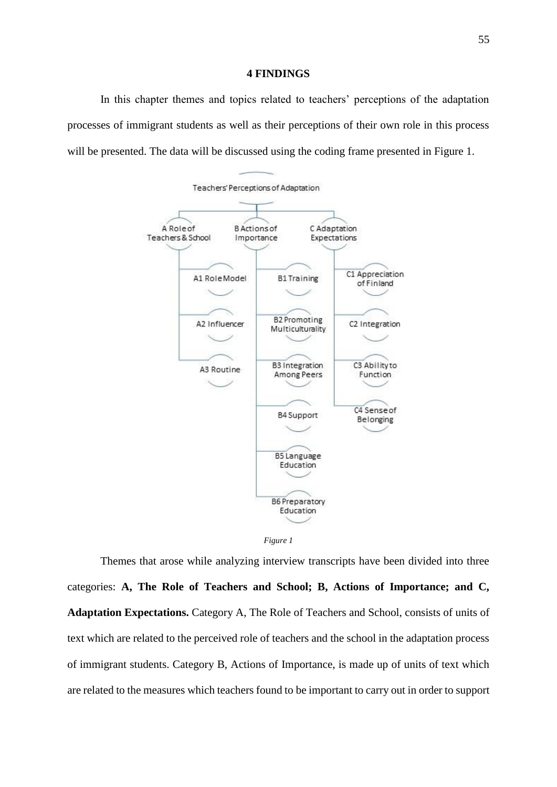#### **4 FINDINGS**

In this chapter themes and topics related to teachers' perceptions of the adaptation processes of immigrant students as well as their perceptions of their own role in this process will be presented. The data will be discussed using the coding frame presented in Figure 1.





Themes that arose while analyzing interview transcripts have been divided into three categories: **A, The Role of Teachers and School; B, Actions of Importance; and C, Adaptation Expectations.** Category A, The Role of Teachers and School, consists of units of text which are related to the perceived role of teachers and the school in the adaptation process of immigrant students. Category B, Actions of Importance, is made up of units of text which are related to the measures which teachers found to be important to carry out in order to support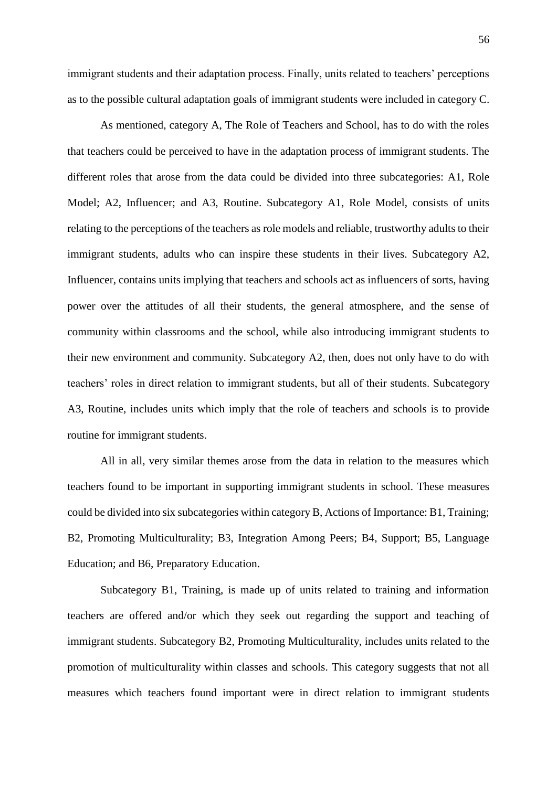immigrant students and their adaptation process. Finally, units related to teachers' perceptions as to the possible cultural adaptation goals of immigrant students were included in category C.

As mentioned, category A, The Role of Teachers and School, has to do with the roles that teachers could be perceived to have in the adaptation process of immigrant students. The different roles that arose from the data could be divided into three subcategories: A1, Role Model; A2, Influencer; and A3, Routine. Subcategory A1, Role Model, consists of units relating to the perceptions of the teachers as role models and reliable, trustworthy adults to their immigrant students, adults who can inspire these students in their lives. Subcategory A2, Influencer, contains units implying that teachers and schools act as influencers of sorts, having power over the attitudes of all their students, the general atmosphere, and the sense of community within classrooms and the school, while also introducing immigrant students to their new environment and community. Subcategory A2, then, does not only have to do with teachers' roles in direct relation to immigrant students, but all of their students. Subcategory A3, Routine, includes units which imply that the role of teachers and schools is to provide routine for immigrant students.

All in all, very similar themes arose from the data in relation to the measures which teachers found to be important in supporting immigrant students in school. These measures could be divided into six subcategories within category B, Actions of Importance: B1, Training; B2, Promoting Multiculturality; B3, Integration Among Peers; B4, Support; B5, Language Education; and B6, Preparatory Education.

Subcategory B1, Training, is made up of units related to training and information teachers are offered and/or which they seek out regarding the support and teaching of immigrant students. Subcategory B2, Promoting Multiculturality, includes units related to the promotion of multiculturality within classes and schools. This category suggests that not all measures which teachers found important were in direct relation to immigrant students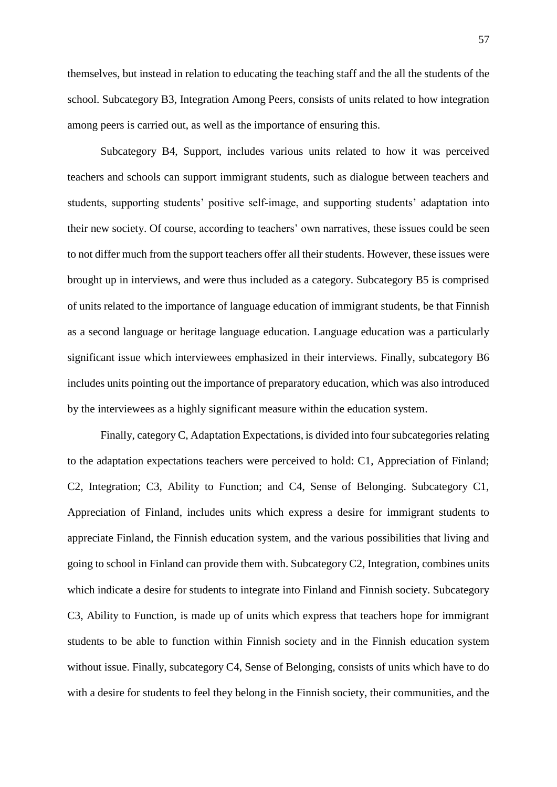themselves, but instead in relation to educating the teaching staff and the all the students of the school. Subcategory B3, Integration Among Peers, consists of units related to how integration among peers is carried out, as well as the importance of ensuring this.

Subcategory B4, Support, includes various units related to how it was perceived teachers and schools can support immigrant students, such as dialogue between teachers and students, supporting students' positive self-image, and supporting students' adaptation into their new society. Of course, according to teachers' own narratives, these issues could be seen to not differ much from the support teachers offer all their students. However, these issues were brought up in interviews, and were thus included as a category. Subcategory B5 is comprised of units related to the importance of language education of immigrant students, be that Finnish as a second language or heritage language education. Language education was a particularly significant issue which interviewees emphasized in their interviews. Finally, subcategory B6 includes units pointing out the importance of preparatory education, which was also introduced by the interviewees as a highly significant measure within the education system.

Finally, category C, Adaptation Expectations, is divided into four subcategories relating to the adaptation expectations teachers were perceived to hold: C1, Appreciation of Finland; C2, Integration; C3, Ability to Function; and C4, Sense of Belonging. Subcategory C1, Appreciation of Finland, includes units which express a desire for immigrant students to appreciate Finland, the Finnish education system, and the various possibilities that living and going to school in Finland can provide them with. Subcategory C2, Integration, combines units which indicate a desire for students to integrate into Finland and Finnish society. Subcategory C3, Ability to Function, is made up of units which express that teachers hope for immigrant students to be able to function within Finnish society and in the Finnish education system without issue. Finally, subcategory C4, Sense of Belonging, consists of units which have to do with a desire for students to feel they belong in the Finnish society, their communities, and the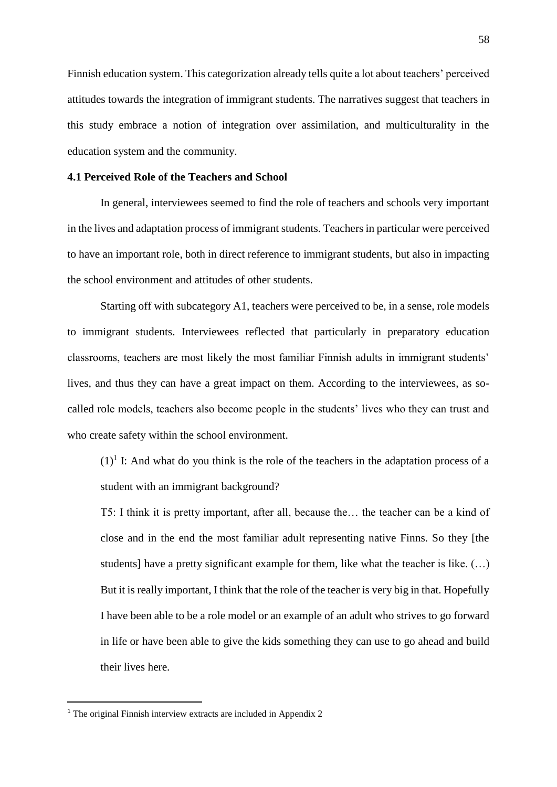Finnish education system. This categorization already tells quite a lot about teachers' perceived attitudes towards the integration of immigrant students. The narratives suggest that teachers in this study embrace a notion of integration over assimilation, and multiculturality in the education system and the community.

## **4.1 Perceived Role of the Teachers and School**

In general, interviewees seemed to find the role of teachers and schools very important in the lives and adaptation process of immigrant students. Teachers in particular were perceived to have an important role, both in direct reference to immigrant students, but also in impacting the school environment and attitudes of other students.

Starting off with subcategory A1, teachers were perceived to be, in a sense, role models to immigrant students. Interviewees reflected that particularly in preparatory education classrooms, teachers are most likely the most familiar Finnish adults in immigrant students' lives, and thus they can have a great impact on them. According to the interviewees, as socalled role models, teachers also become people in the students' lives who they can trust and who create safety within the school environment.

 $(1)^{1}$  I: And what do you think is the role of the teachers in the adaptation process of a student with an immigrant background?

T5: I think it is pretty important, after all, because the… the teacher can be a kind of close and in the end the most familiar adult representing native Finns. So they [the students] have a pretty significant example for them, like what the teacher is like. (…) But it is really important, I think that the role of the teacher is very big in that. Hopefully I have been able to be a role model or an example of an adult who strives to go forward in life or have been able to give the kids something they can use to go ahead and build their lives here.

 $\overline{a}$ 

<sup>&</sup>lt;sup>1</sup> The original Finnish interview extracts are included in Appendix 2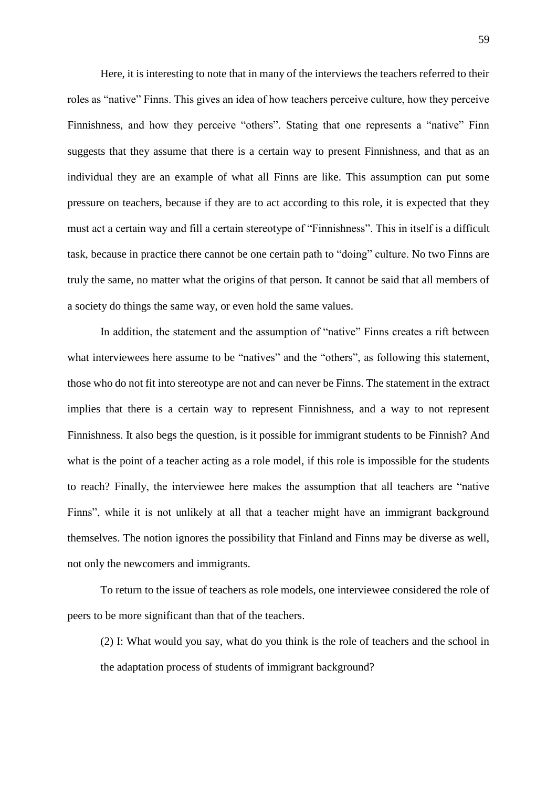Here, it is interesting to note that in many of the interviews the teachers referred to their roles as "native" Finns. This gives an idea of how teachers perceive culture, how they perceive Finnishness, and how they perceive "others". Stating that one represents a "native" Finn suggests that they assume that there is a certain way to present Finnishness, and that as an individual they are an example of what all Finns are like. This assumption can put some pressure on teachers, because if they are to act according to this role, it is expected that they must act a certain way and fill a certain stereotype of "Finnishness". This in itself is a difficult task, because in practice there cannot be one certain path to "doing" culture. No two Finns are truly the same, no matter what the origins of that person. It cannot be said that all members of a society do things the same way, or even hold the same values.

In addition, the statement and the assumption of "native" Finns creates a rift between what interviewees here assume to be "natives" and the "others", as following this statement, those who do not fit into stereotype are not and can never be Finns. The statement in the extract implies that there is a certain way to represent Finnishness, and a way to not represent Finnishness. It also begs the question, is it possible for immigrant students to be Finnish? And what is the point of a teacher acting as a role model, if this role is impossible for the students to reach? Finally, the interviewee here makes the assumption that all teachers are "native Finns", while it is not unlikely at all that a teacher might have an immigrant background themselves. The notion ignores the possibility that Finland and Finns may be diverse as well, not only the newcomers and immigrants.

To return to the issue of teachers as role models, one interviewee considered the role of peers to be more significant than that of the teachers.

(2) I: What would you say, what do you think is the role of teachers and the school in the adaptation process of students of immigrant background?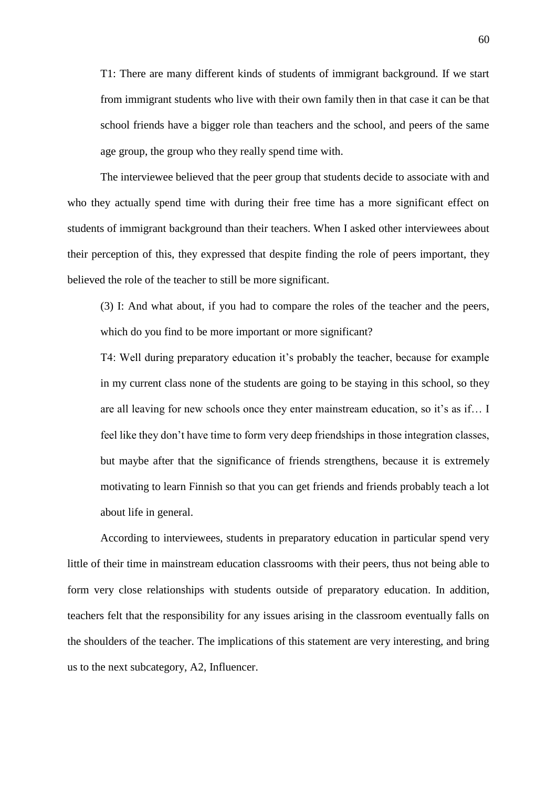T1: There are many different kinds of students of immigrant background. If we start from immigrant students who live with their own family then in that case it can be that school friends have a bigger role than teachers and the school, and peers of the same age group, the group who they really spend time with.

The interviewee believed that the peer group that students decide to associate with and who they actually spend time with during their free time has a more significant effect on students of immigrant background than their teachers. When I asked other interviewees about their perception of this, they expressed that despite finding the role of peers important, they believed the role of the teacher to still be more significant.

(3) I: And what about, if you had to compare the roles of the teacher and the peers, which do you find to be more important or more significant?

T4: Well during preparatory education it's probably the teacher, because for example in my current class none of the students are going to be staying in this school, so they are all leaving for new schools once they enter mainstream education, so it's as if… I feel like they don't have time to form very deep friendships in those integration classes, but maybe after that the significance of friends strengthens, because it is extremely motivating to learn Finnish so that you can get friends and friends probably teach a lot about life in general.

According to interviewees, students in preparatory education in particular spend very little of their time in mainstream education classrooms with their peers, thus not being able to form very close relationships with students outside of preparatory education. In addition, teachers felt that the responsibility for any issues arising in the classroom eventually falls on the shoulders of the teacher. The implications of this statement are very interesting, and bring us to the next subcategory, A2, Influencer.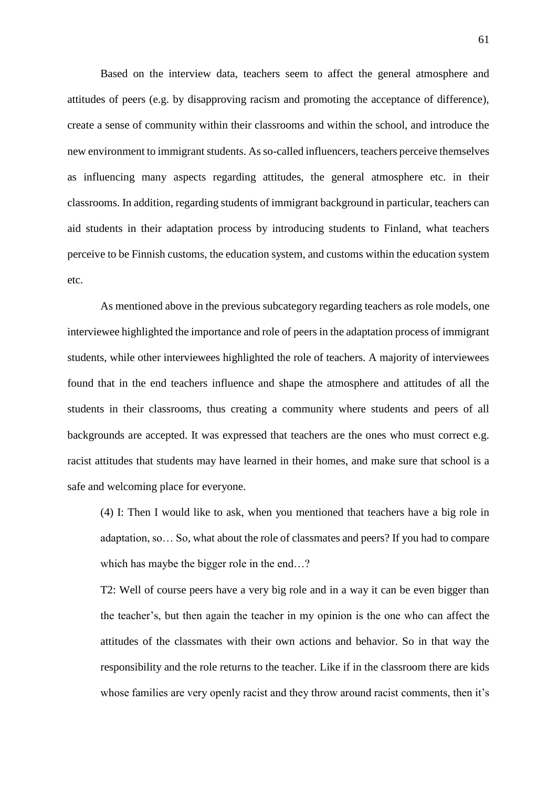Based on the interview data, teachers seem to affect the general atmosphere and attitudes of peers (e.g. by disapproving racism and promoting the acceptance of difference), create a sense of community within their classrooms and within the school, and introduce the new environment to immigrant students. As so-called influencers, teachers perceive themselves as influencing many aspects regarding attitudes, the general atmosphere etc. in their classrooms. In addition, regarding students of immigrant background in particular, teachers can aid students in their adaptation process by introducing students to Finland, what teachers perceive to be Finnish customs, the education system, and customs within the education system etc.

As mentioned above in the previous subcategory regarding teachers as role models, one interviewee highlighted the importance and role of peers in the adaptation process of immigrant students, while other interviewees highlighted the role of teachers. A majority of interviewees found that in the end teachers influence and shape the atmosphere and attitudes of all the students in their classrooms, thus creating a community where students and peers of all backgrounds are accepted. It was expressed that teachers are the ones who must correct e.g. racist attitudes that students may have learned in their homes, and make sure that school is a safe and welcoming place for everyone.

(4) I: Then I would like to ask, when you mentioned that teachers have a big role in adaptation, so… So, what about the role of classmates and peers? If you had to compare which has maybe the bigger role in the end...?

T2: Well of course peers have a very big role and in a way it can be even bigger than the teacher's, but then again the teacher in my opinion is the one who can affect the attitudes of the classmates with their own actions and behavior. So in that way the responsibility and the role returns to the teacher. Like if in the classroom there are kids whose families are very openly racist and they throw around racist comments, then it's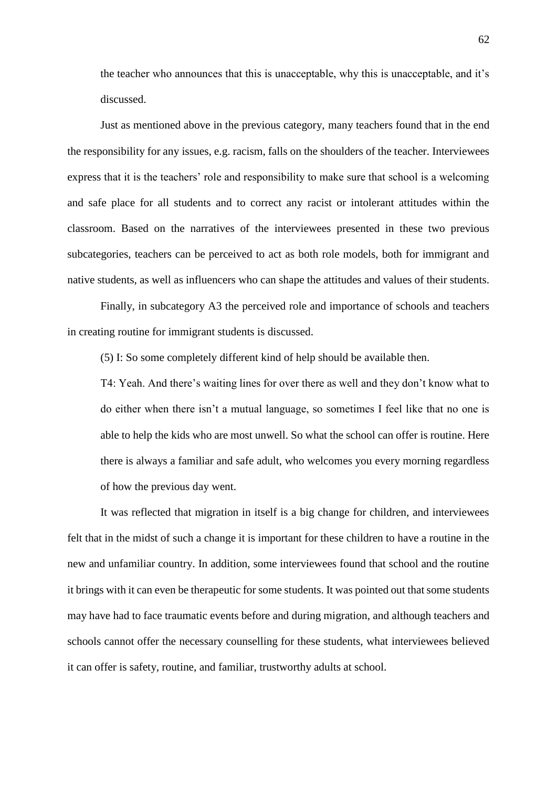the teacher who announces that this is unacceptable, why this is unacceptable, and it's discussed.

Just as mentioned above in the previous category, many teachers found that in the end the responsibility for any issues, e.g. racism, falls on the shoulders of the teacher. Interviewees express that it is the teachers' role and responsibility to make sure that school is a welcoming and safe place for all students and to correct any racist or intolerant attitudes within the classroom. Based on the narratives of the interviewees presented in these two previous subcategories, teachers can be perceived to act as both role models, both for immigrant and native students, as well as influencers who can shape the attitudes and values of their students.

Finally, in subcategory A3 the perceived role and importance of schools and teachers in creating routine for immigrant students is discussed.

(5) I: So some completely different kind of help should be available then.

T4: Yeah. And there's waiting lines for over there as well and they don't know what to do either when there isn't a mutual language, so sometimes I feel like that no one is able to help the kids who are most unwell. So what the school can offer is routine. Here there is always a familiar and safe adult, who welcomes you every morning regardless of how the previous day went.

It was reflected that migration in itself is a big change for children, and interviewees felt that in the midst of such a change it is important for these children to have a routine in the new and unfamiliar country. In addition, some interviewees found that school and the routine it brings with it can even be therapeutic for some students. It was pointed out that some students may have had to face traumatic events before and during migration, and although teachers and schools cannot offer the necessary counselling for these students, what interviewees believed it can offer is safety, routine, and familiar, trustworthy adults at school.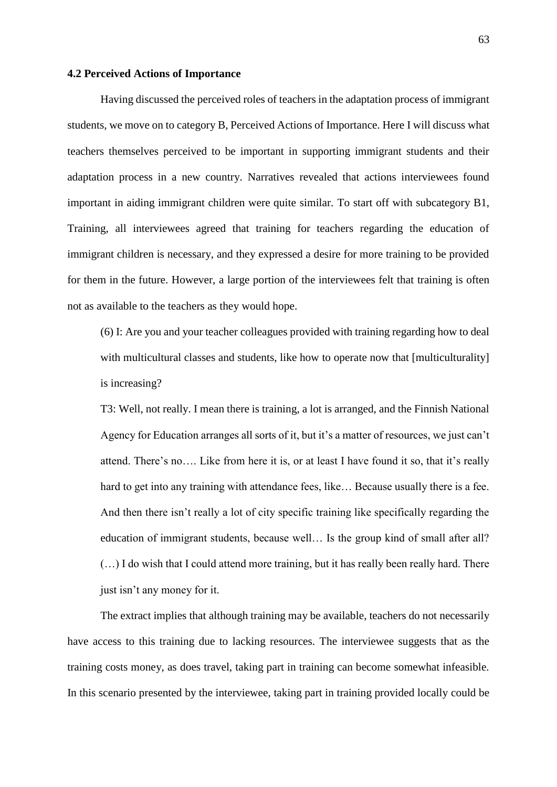# **4.2 Perceived Actions of Importance**

Having discussed the perceived roles of teachers in the adaptation process of immigrant students, we move on to category B, Perceived Actions of Importance. Here I will discuss what teachers themselves perceived to be important in supporting immigrant students and their adaptation process in a new country. Narratives revealed that actions interviewees found important in aiding immigrant children were quite similar. To start off with subcategory B1, Training, all interviewees agreed that training for teachers regarding the education of immigrant children is necessary, and they expressed a desire for more training to be provided for them in the future. However, a large portion of the interviewees felt that training is often not as available to the teachers as they would hope.

(6) I: Are you and your teacher colleagues provided with training regarding how to deal with multicultural classes and students, like how to operate now that [multiculturality] is increasing?

T3: Well, not really. I mean there is training, a lot is arranged, and the Finnish National Agency for Education arranges all sorts of it, but it's a matter of resources, we just can't attend. There's no…. Like from here it is, or at least I have found it so, that it's really hard to get into any training with attendance fees, like... Because usually there is a fee. And then there isn't really a lot of city specific training like specifically regarding the education of immigrant students, because well… Is the group kind of small after all? (…) I do wish that I could attend more training, but it has really been really hard. There just isn't any money for it.

The extract implies that although training may be available, teachers do not necessarily have access to this training due to lacking resources. The interviewee suggests that as the training costs money, as does travel, taking part in training can become somewhat infeasible. In this scenario presented by the interviewee, taking part in training provided locally could be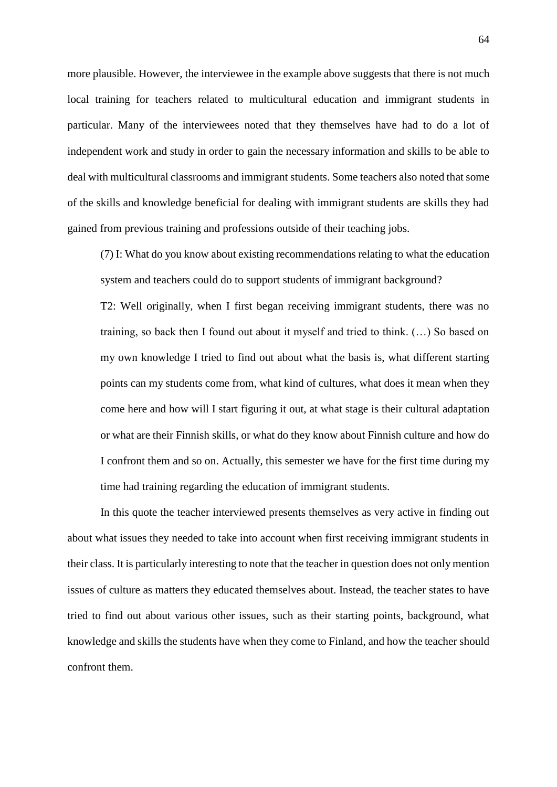more plausible. However, the interviewee in the example above suggests that there is not much local training for teachers related to multicultural education and immigrant students in particular. Many of the interviewees noted that they themselves have had to do a lot of independent work and study in order to gain the necessary information and skills to be able to deal with multicultural classrooms and immigrant students. Some teachers also noted that some of the skills and knowledge beneficial for dealing with immigrant students are skills they had gained from previous training and professions outside of their teaching jobs.

(7) I: What do you know about existing recommendations relating to what the education system and teachers could do to support students of immigrant background?

T2: Well originally, when I first began receiving immigrant students, there was no training, so back then I found out about it myself and tried to think. (…) So based on my own knowledge I tried to find out about what the basis is, what different starting points can my students come from, what kind of cultures, what does it mean when they come here and how will I start figuring it out, at what stage is their cultural adaptation or what are their Finnish skills, or what do they know about Finnish culture and how do I confront them and so on. Actually, this semester we have for the first time during my time had training regarding the education of immigrant students.

In this quote the teacher interviewed presents themselves as very active in finding out about what issues they needed to take into account when first receiving immigrant students in their class. It is particularly interesting to note that the teacher in question does not only mention issues of culture as matters they educated themselves about. Instead, the teacher states to have tried to find out about various other issues, such as their starting points, background, what knowledge and skills the students have when they come to Finland, and how the teacher should confront them.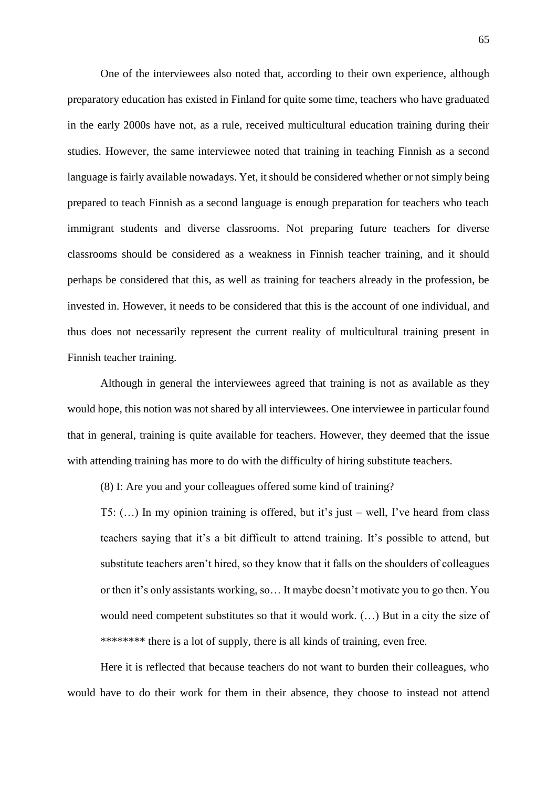One of the interviewees also noted that, according to their own experience, although preparatory education has existed in Finland for quite some time, teachers who have graduated in the early 2000s have not, as a rule, received multicultural education training during their studies. However, the same interviewee noted that training in teaching Finnish as a second language is fairly available nowadays. Yet, it should be considered whether or not simply being prepared to teach Finnish as a second language is enough preparation for teachers who teach immigrant students and diverse classrooms. Not preparing future teachers for diverse classrooms should be considered as a weakness in Finnish teacher training, and it should perhaps be considered that this, as well as training for teachers already in the profession, be invested in. However, it needs to be considered that this is the account of one individual, and thus does not necessarily represent the current reality of multicultural training present in Finnish teacher training.

Although in general the interviewees agreed that training is not as available as they would hope, this notion was not shared by all interviewees. One interviewee in particular found that in general, training is quite available for teachers. However, they deemed that the issue with attending training has more to do with the difficulty of hiring substitute teachers.

(8) I: Are you and your colleagues offered some kind of training?

T5: (…) In my opinion training is offered, but it's just – well, I've heard from class teachers saying that it's a bit difficult to attend training. It's possible to attend, but substitute teachers aren't hired, so they know that it falls on the shoulders of colleagues or then it's only assistants working, so… It maybe doesn't motivate you to go then. You would need competent substitutes so that it would work. (…) But in a city the size of \*\*\*\*\*\*\*\* there is a lot of supply, there is all kinds of training, even free.

Here it is reflected that because teachers do not want to burden their colleagues, who would have to do their work for them in their absence, they choose to instead not attend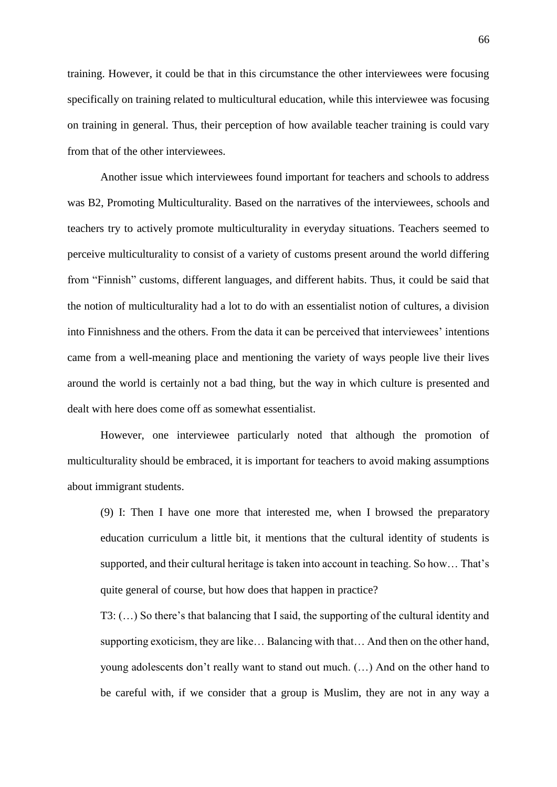training. However, it could be that in this circumstance the other interviewees were focusing specifically on training related to multicultural education, while this interviewee was focusing on training in general. Thus, their perception of how available teacher training is could vary from that of the other interviewees.

Another issue which interviewees found important for teachers and schools to address was B2, Promoting Multiculturality. Based on the narratives of the interviewees, schools and teachers try to actively promote multiculturality in everyday situations. Teachers seemed to perceive multiculturality to consist of a variety of customs present around the world differing from "Finnish" customs, different languages, and different habits. Thus, it could be said that the notion of multiculturality had a lot to do with an essentialist notion of cultures, a division into Finnishness and the others. From the data it can be perceived that interviewees' intentions came from a well-meaning place and mentioning the variety of ways people live their lives around the world is certainly not a bad thing, but the way in which culture is presented and dealt with here does come off as somewhat essentialist.

However, one interviewee particularly noted that although the promotion of multiculturality should be embraced, it is important for teachers to avoid making assumptions about immigrant students.

(9) I: Then I have one more that interested me, when I browsed the preparatory education curriculum a little bit, it mentions that the cultural identity of students is supported, and their cultural heritage is taken into account in teaching. So how… That's quite general of course, but how does that happen in practice?

T3: (…) So there's that balancing that I said, the supporting of the cultural identity and supporting exoticism, they are like… Balancing with that… And then on the other hand, young adolescents don't really want to stand out much. (…) And on the other hand to be careful with, if we consider that a group is Muslim, they are not in any way a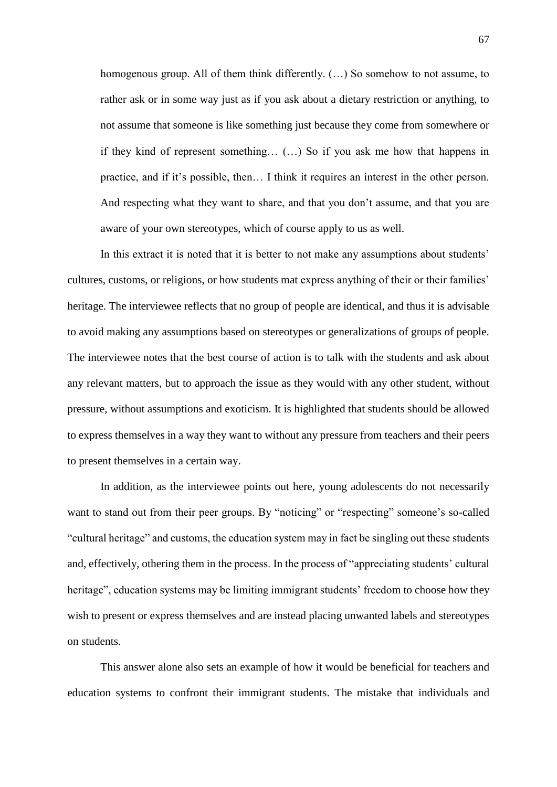homogenous group. All of them think differently.  $(...)$  So somehow to not assume, to rather ask or in some way just as if you ask about a dietary restriction or anything, to not assume that someone is like something just because they come from somewhere or if they kind of represent something… (…) So if you ask me how that happens in practice, and if it's possible, then… I think it requires an interest in the other person. And respecting what they want to share, and that you don't assume, and that you are aware of your own stereotypes, which of course apply to us as well.

In this extract it is noted that it is better to not make any assumptions about students' cultures, customs, or religions, or how students mat express anything of their or their families' heritage. The interviewee reflects that no group of people are identical, and thus it is advisable to avoid making any assumptions based on stereotypes or generalizations of groups of people. The interviewee notes that the best course of action is to talk with the students and ask about any relevant matters, but to approach the issue as they would with any other student, without pressure, without assumptions and exoticism. It is highlighted that students should be allowed to express themselves in a way they want to without any pressure from teachers and their peers to present themselves in a certain way.

In addition, as the interviewee points out here, young adolescents do not necessarily want to stand out from their peer groups. By "noticing" or "respecting" someone's so-called "cultural heritage" and customs, the education system may in fact be singling out these students and, effectively, othering them in the process. In the process of "appreciating students' cultural heritage", education systems may be limiting immigrant students' freedom to choose how they wish to present or express themselves and are instead placing unwanted labels and stereotypes on students.

This answer alone also sets an example of how it would be beneficial for teachers and education systems to confront their immigrant students. The mistake that individuals and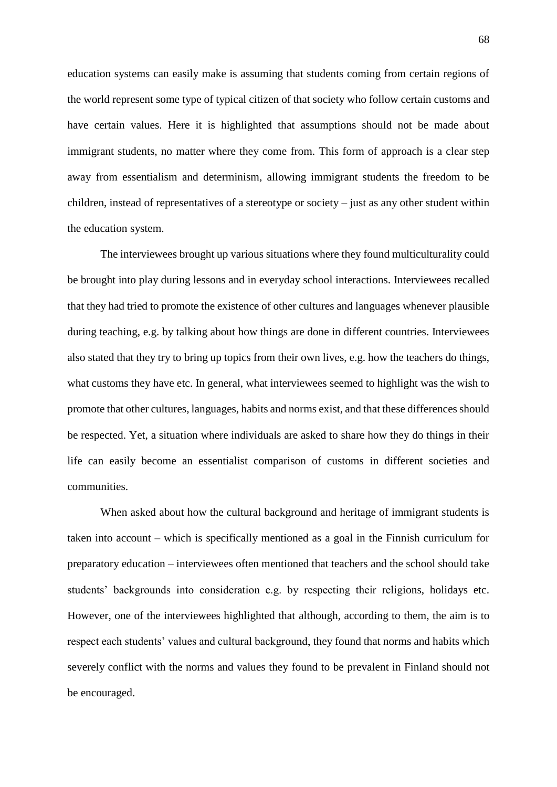education systems can easily make is assuming that students coming from certain regions of the world represent some type of typical citizen of that society who follow certain customs and have certain values. Here it is highlighted that assumptions should not be made about immigrant students, no matter where they come from. This form of approach is a clear step away from essentialism and determinism, allowing immigrant students the freedom to be children, instead of representatives of a stereotype or society – just as any other student within the education system.

The interviewees brought up various situations where they found multiculturality could be brought into play during lessons and in everyday school interactions. Interviewees recalled that they had tried to promote the existence of other cultures and languages whenever plausible during teaching, e.g. by talking about how things are done in different countries. Interviewees also stated that they try to bring up topics from their own lives, e.g. how the teachers do things, what customs they have etc. In general, what interviewees seemed to highlight was the wish to promote that other cultures, languages, habits and norms exist, and that these differences should be respected. Yet, a situation where individuals are asked to share how they do things in their life can easily become an essentialist comparison of customs in different societies and communities.

When asked about how the cultural background and heritage of immigrant students is taken into account – which is specifically mentioned as a goal in the Finnish curriculum for preparatory education – interviewees often mentioned that teachers and the school should take students' backgrounds into consideration e.g. by respecting their religions, holidays etc. However, one of the interviewees highlighted that although, according to them, the aim is to respect each students' values and cultural background, they found that norms and habits which severely conflict with the norms and values they found to be prevalent in Finland should not be encouraged.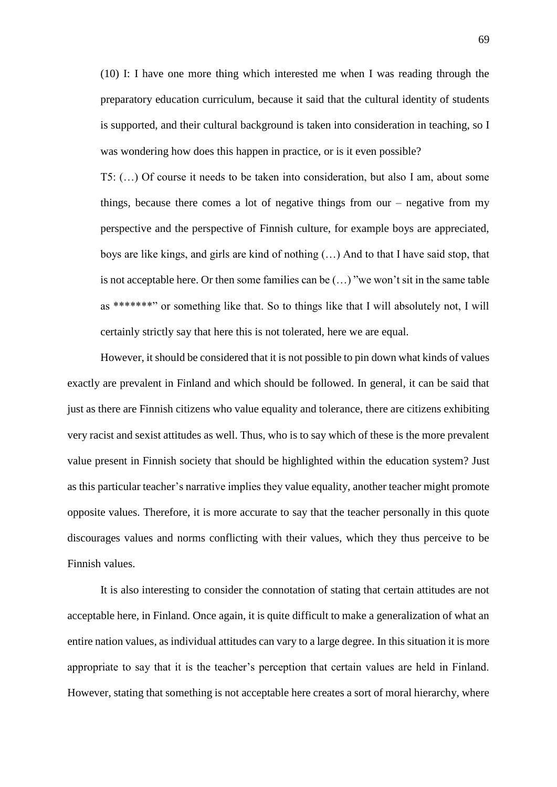(10) I: I have one more thing which interested me when I was reading through the preparatory education curriculum, because it said that the cultural identity of students is supported, and their cultural background is taken into consideration in teaching, so I was wondering how does this happen in practice, or is it even possible?

T5: (…) Of course it needs to be taken into consideration, but also I am, about some things, because there comes a lot of negative things from our – negative from my perspective and the perspective of Finnish culture, for example boys are appreciated, boys are like kings, and girls are kind of nothing (…) And to that I have said stop, that is not acceptable here. Or then some families can be (…) "we won't sit in the same table as \*\*\*\*\*\*\*" or something like that. So to things like that I will absolutely not, I will certainly strictly say that here this is not tolerated, here we are equal.

However, it should be considered that it is not possible to pin down what kinds of values exactly are prevalent in Finland and which should be followed. In general, it can be said that just as there are Finnish citizens who value equality and tolerance, there are citizens exhibiting very racist and sexist attitudes as well. Thus, who is to say which of these is the more prevalent value present in Finnish society that should be highlighted within the education system? Just as this particular teacher's narrative implies they value equality, another teacher might promote opposite values. Therefore, it is more accurate to say that the teacher personally in this quote discourages values and norms conflicting with their values, which they thus perceive to be Finnish values.

It is also interesting to consider the connotation of stating that certain attitudes are not acceptable here, in Finland. Once again, it is quite difficult to make a generalization of what an entire nation values, as individual attitudes can vary to a large degree. In this situation it is more appropriate to say that it is the teacher's perception that certain values are held in Finland. However, stating that something is not acceptable here creates a sort of moral hierarchy, where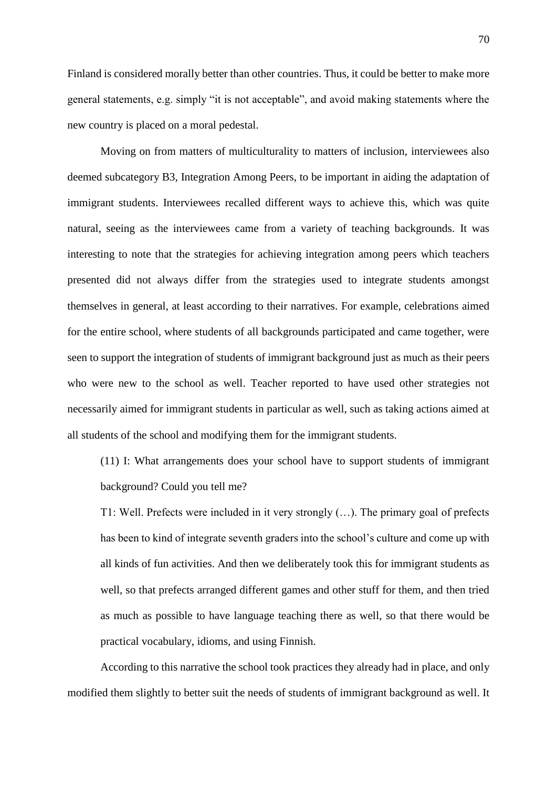Finland is considered morally better than other countries. Thus, it could be better to make more general statements, e.g. simply "it is not acceptable", and avoid making statements where the new country is placed on a moral pedestal.

Moving on from matters of multiculturality to matters of inclusion, interviewees also deemed subcategory B3, Integration Among Peers, to be important in aiding the adaptation of immigrant students. Interviewees recalled different ways to achieve this, which was quite natural, seeing as the interviewees came from a variety of teaching backgrounds. It was interesting to note that the strategies for achieving integration among peers which teachers presented did not always differ from the strategies used to integrate students amongst themselves in general, at least according to their narratives. For example, celebrations aimed for the entire school, where students of all backgrounds participated and came together, were seen to support the integration of students of immigrant background just as much as their peers who were new to the school as well. Teacher reported to have used other strategies not necessarily aimed for immigrant students in particular as well, such as taking actions aimed at all students of the school and modifying them for the immigrant students.

(11) I: What arrangements does your school have to support students of immigrant background? Could you tell me?

T1: Well. Prefects were included in it very strongly (…). The primary goal of prefects has been to kind of integrate seventh graders into the school's culture and come up with all kinds of fun activities. And then we deliberately took this for immigrant students as well, so that prefects arranged different games and other stuff for them, and then tried as much as possible to have language teaching there as well, so that there would be practical vocabulary, idioms, and using Finnish.

According to this narrative the school took practices they already had in place, and only modified them slightly to better suit the needs of students of immigrant background as well. It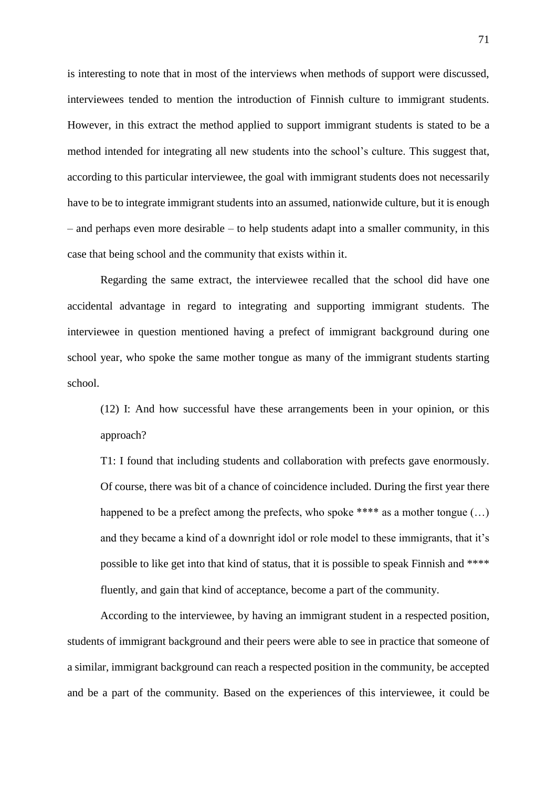is interesting to note that in most of the interviews when methods of support were discussed, interviewees tended to mention the introduction of Finnish culture to immigrant students. However, in this extract the method applied to support immigrant students is stated to be a method intended for integrating all new students into the school's culture. This suggest that, according to this particular interviewee, the goal with immigrant students does not necessarily have to be to integrate immigrant students into an assumed, nationwide culture, but it is enough – and perhaps even more desirable – to help students adapt into a smaller community, in this case that being school and the community that exists within it.

Regarding the same extract, the interviewee recalled that the school did have one accidental advantage in regard to integrating and supporting immigrant students. The interviewee in question mentioned having a prefect of immigrant background during one school year, who spoke the same mother tongue as many of the immigrant students starting school.

(12) I: And how successful have these arrangements been in your opinion, or this approach?

T1: I found that including students and collaboration with prefects gave enormously. Of course, there was bit of a chance of coincidence included. During the first year there happened to be a prefect among the prefects, who spoke \*\*\*\* as a mother tongue  $(...)$ and they became a kind of a downright idol or role model to these immigrants, that it's possible to like get into that kind of status, that it is possible to speak Finnish and \*\*\*\* fluently, and gain that kind of acceptance, become a part of the community.

According to the interviewee, by having an immigrant student in a respected position, students of immigrant background and their peers were able to see in practice that someone of a similar, immigrant background can reach a respected position in the community, be accepted and be a part of the community. Based on the experiences of this interviewee, it could be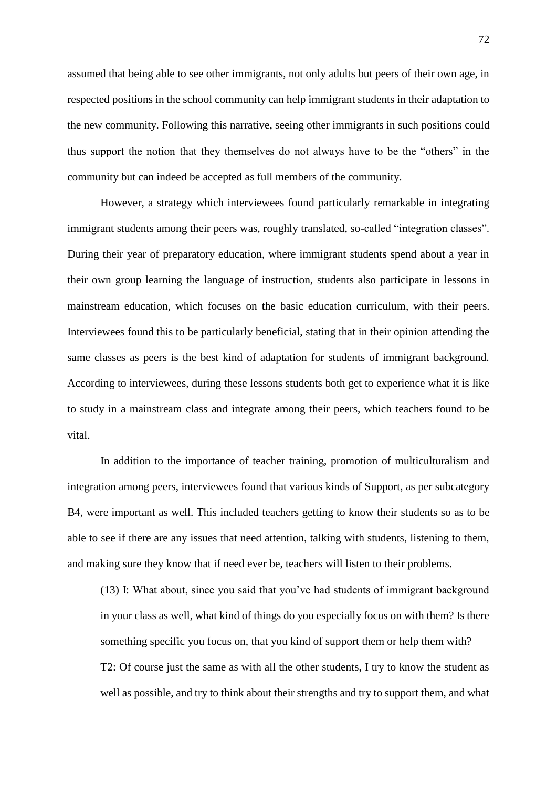assumed that being able to see other immigrants, not only adults but peers of their own age, in respected positions in the school community can help immigrant students in their adaptation to the new community. Following this narrative, seeing other immigrants in such positions could thus support the notion that they themselves do not always have to be the "others" in the community but can indeed be accepted as full members of the community.

However, a strategy which interviewees found particularly remarkable in integrating immigrant students among their peers was, roughly translated, so-called "integration classes". During their year of preparatory education, where immigrant students spend about a year in their own group learning the language of instruction, students also participate in lessons in mainstream education, which focuses on the basic education curriculum, with their peers. Interviewees found this to be particularly beneficial, stating that in their opinion attending the same classes as peers is the best kind of adaptation for students of immigrant background. According to interviewees, during these lessons students both get to experience what it is like to study in a mainstream class and integrate among their peers, which teachers found to be vital.

In addition to the importance of teacher training, promotion of multiculturalism and integration among peers, interviewees found that various kinds of Support, as per subcategory B4, were important as well. This included teachers getting to know their students so as to be able to see if there are any issues that need attention, talking with students, listening to them, and making sure they know that if need ever be, teachers will listen to their problems.

(13) I: What about, since you said that you've had students of immigrant background in your class as well, what kind of things do you especially focus on with them? Is there something specific you focus on, that you kind of support them or help them with? T2: Of course just the same as with all the other students, I try to know the student as well as possible, and try to think about their strengths and try to support them, and what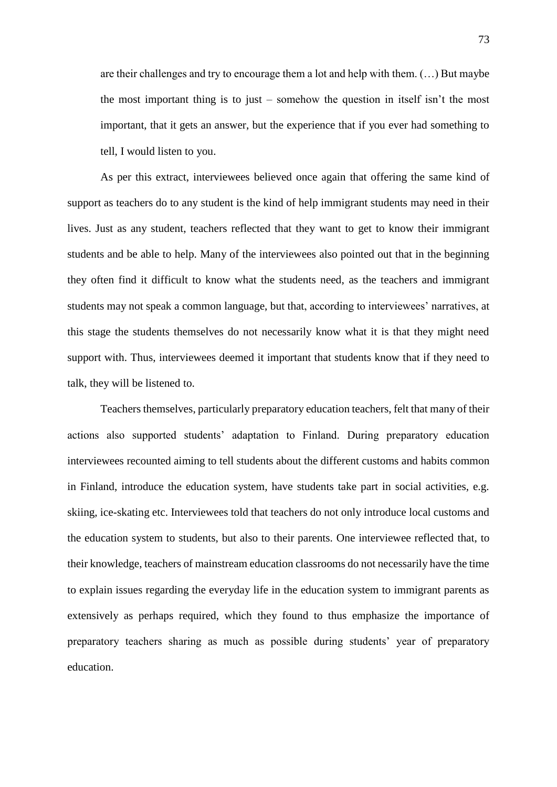are their challenges and try to encourage them a lot and help with them. (…) But maybe the most important thing is to just – somehow the question in itself isn't the most important, that it gets an answer, but the experience that if you ever had something to tell, I would listen to you.

As per this extract, interviewees believed once again that offering the same kind of support as teachers do to any student is the kind of help immigrant students may need in their lives. Just as any student, teachers reflected that they want to get to know their immigrant students and be able to help. Many of the interviewees also pointed out that in the beginning they often find it difficult to know what the students need, as the teachers and immigrant students may not speak a common language, but that, according to interviewees' narratives, at this stage the students themselves do not necessarily know what it is that they might need support with. Thus, interviewees deemed it important that students know that if they need to talk, they will be listened to.

Teachers themselves, particularly preparatory education teachers, felt that many of their actions also supported students' adaptation to Finland. During preparatory education interviewees recounted aiming to tell students about the different customs and habits common in Finland, introduce the education system, have students take part in social activities, e.g. skiing, ice-skating etc. Interviewees told that teachers do not only introduce local customs and the education system to students, but also to their parents. One interviewee reflected that, to their knowledge, teachers of mainstream education classrooms do not necessarily have the time to explain issues regarding the everyday life in the education system to immigrant parents as extensively as perhaps required, which they found to thus emphasize the importance of preparatory teachers sharing as much as possible during students' year of preparatory education.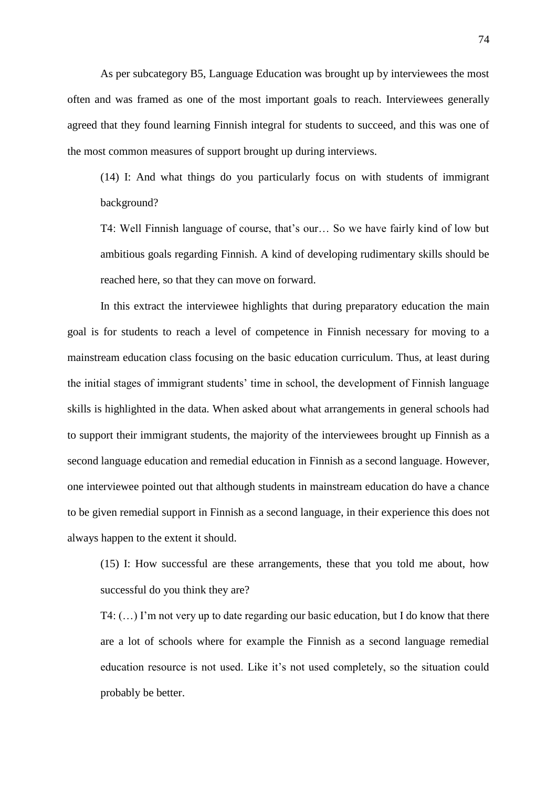As per subcategory B5, Language Education was brought up by interviewees the most often and was framed as one of the most important goals to reach. Interviewees generally agreed that they found learning Finnish integral for students to succeed, and this was one of the most common measures of support brought up during interviews.

(14) I: And what things do you particularly focus on with students of immigrant background?

T4: Well Finnish language of course, that's our… So we have fairly kind of low but ambitious goals regarding Finnish. A kind of developing rudimentary skills should be reached here, so that they can move on forward.

In this extract the interviewee highlights that during preparatory education the main goal is for students to reach a level of competence in Finnish necessary for moving to a mainstream education class focusing on the basic education curriculum. Thus, at least during the initial stages of immigrant students' time in school, the development of Finnish language skills is highlighted in the data. When asked about what arrangements in general schools had to support their immigrant students, the majority of the interviewees brought up Finnish as a second language education and remedial education in Finnish as a second language. However, one interviewee pointed out that although students in mainstream education do have a chance to be given remedial support in Finnish as a second language, in their experience this does not always happen to the extent it should.

(15) I: How successful are these arrangements, these that you told me about, how successful do you think they are?

T4: (…) I'm not very up to date regarding our basic education, but I do know that there are a lot of schools where for example the Finnish as a second language remedial education resource is not used. Like it's not used completely, so the situation could probably be better.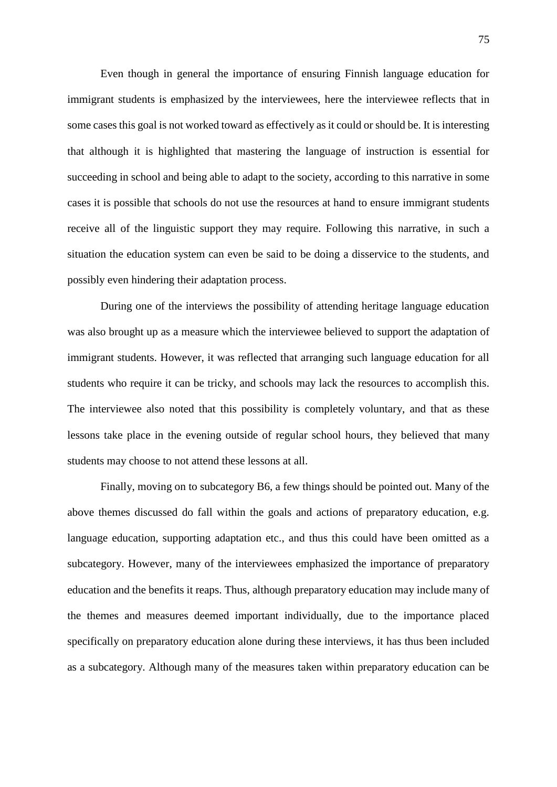Even though in general the importance of ensuring Finnish language education for immigrant students is emphasized by the interviewees, here the interviewee reflects that in some cases this goal is not worked toward as effectively as it could or should be. It is interesting that although it is highlighted that mastering the language of instruction is essential for succeeding in school and being able to adapt to the society, according to this narrative in some cases it is possible that schools do not use the resources at hand to ensure immigrant students receive all of the linguistic support they may require. Following this narrative, in such a situation the education system can even be said to be doing a disservice to the students, and possibly even hindering their adaptation process.

During one of the interviews the possibility of attending heritage language education was also brought up as a measure which the interviewee believed to support the adaptation of immigrant students. However, it was reflected that arranging such language education for all students who require it can be tricky, and schools may lack the resources to accomplish this. The interviewee also noted that this possibility is completely voluntary, and that as these lessons take place in the evening outside of regular school hours, they believed that many students may choose to not attend these lessons at all.

Finally, moving on to subcategory B6, a few things should be pointed out. Many of the above themes discussed do fall within the goals and actions of preparatory education, e.g. language education, supporting adaptation etc., and thus this could have been omitted as a subcategory. However, many of the interviewees emphasized the importance of preparatory education and the benefits it reaps. Thus, although preparatory education may include many of the themes and measures deemed important individually, due to the importance placed specifically on preparatory education alone during these interviews, it has thus been included as a subcategory. Although many of the measures taken within preparatory education can be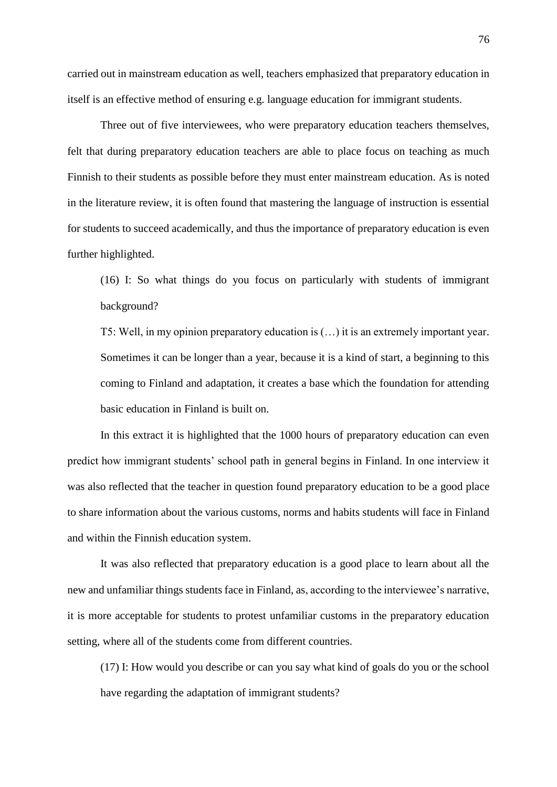carried out in mainstream education as well, teachers emphasized that preparatory education in itself is an effective method of ensuring e.g. language education for immigrant students.

Three out of five interviewees, who were preparatory education teachers themselves, felt that during preparatory education teachers are able to place focus on teaching as much Finnish to their students as possible before they must enter mainstream education. As is noted in the literature review, it is often found that mastering the language of instruction is essential for students to succeed academically, and thus the importance of preparatory education is even further highlighted.

(16) I: So what things do you focus on particularly with students of immigrant background?

T5: Well, in my opinion preparatory education is (…) it is an extremely important year. Sometimes it can be longer than a year, because it is a kind of start, a beginning to this coming to Finland and adaptation, it creates a base which the foundation for attending basic education in Finland is built on.

In this extract it is highlighted that the 1000 hours of preparatory education can even predict how immigrant students' school path in general begins in Finland. In one interview it was also reflected that the teacher in question found preparatory education to be a good place to share information about the various customs, norms and habits students will face in Finland and within the Finnish education system.

It was also reflected that preparatory education is a good place to learn about all the new and unfamiliar things students face in Finland, as, according to the interviewee's narrative, it is more acceptable for students to protest unfamiliar customs in the preparatory education setting, where all of the students come from different countries.

(17) I: How would you describe or can you say what kind of goals do you or the school have regarding the adaptation of immigrant students?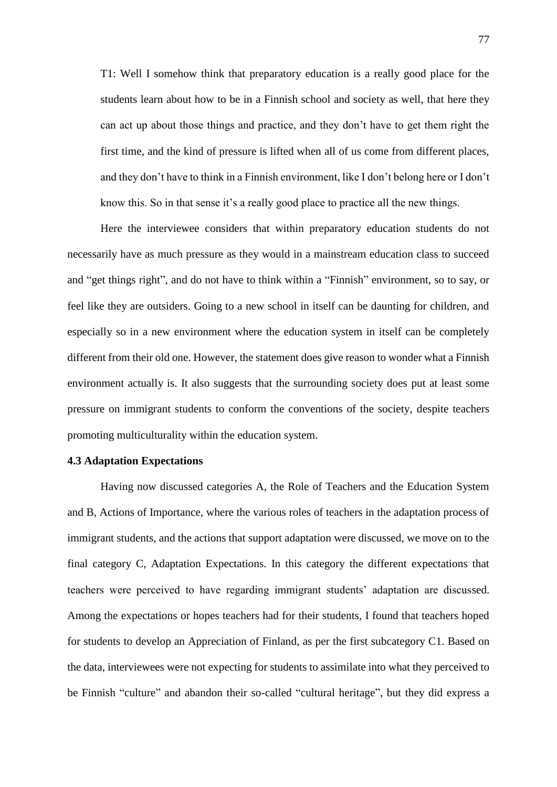T1: Well I somehow think that preparatory education is a really good place for the students learn about how to be in a Finnish school and society as well, that here they can act up about those things and practice, and they don't have to get them right the first time, and the kind of pressure is lifted when all of us come from different places, and they don't have to think in a Finnish environment, like I don't belong here or I don't know this. So in that sense it's a really good place to practice all the new things.

Here the interviewee considers that within preparatory education students do not necessarily have as much pressure as they would in a mainstream education class to succeed and "get things right", and do not have to think within a "Finnish" environment, so to say, or feel like they are outsiders. Going to a new school in itself can be daunting for children, and especially so in a new environment where the education system in itself can be completely different from their old one. However, the statement does give reason to wonder what a Finnish environment actually is. It also suggests that the surrounding society does put at least some pressure on immigrant students to conform the conventions of the society, despite teachers promoting multiculturality within the education system.

# **4.3 Adaptation Expectations**

Having now discussed categories A, the Role of Teachers and the Education System and B, Actions of Importance, where the various roles of teachers in the adaptation process of immigrant students, and the actions that support adaptation were discussed, we move on to the final category C, Adaptation Expectations. In this category the different expectations that teachers were perceived to have regarding immigrant students' adaptation are discussed. Among the expectations or hopes teachers had for their students, I found that teachers hoped for students to develop an Appreciation of Finland, as per the first subcategory C1. Based on the data, interviewees were not expecting for students to assimilate into what they perceived to be Finnish "culture" and abandon their so-called "cultural heritage", but they did express a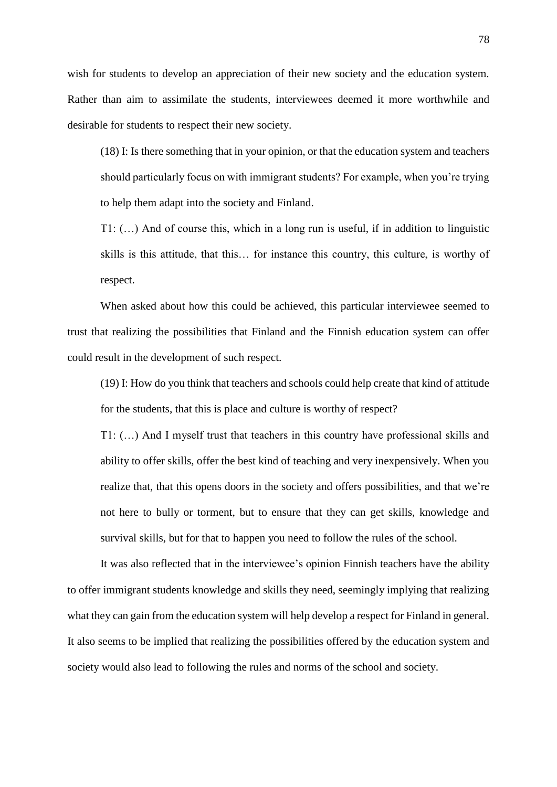wish for students to develop an appreciation of their new society and the education system. Rather than aim to assimilate the students, interviewees deemed it more worthwhile and desirable for students to respect their new society.

(18) I: Is there something that in your opinion, or that the education system and teachers should particularly focus on with immigrant students? For example, when you're trying to help them adapt into the society and Finland.

T1: (…) And of course this, which in a long run is useful, if in addition to linguistic skills is this attitude, that this… for instance this country, this culture, is worthy of respect.

When asked about how this could be achieved, this particular interviewee seemed to trust that realizing the possibilities that Finland and the Finnish education system can offer could result in the development of such respect.

(19) I: How do you think that teachers and schools could help create that kind of attitude for the students, that this is place and culture is worthy of respect?

T1: (…) And I myself trust that teachers in this country have professional skills and ability to offer skills, offer the best kind of teaching and very inexpensively. When you realize that, that this opens doors in the society and offers possibilities, and that we're not here to bully or torment, but to ensure that they can get skills, knowledge and survival skills, but for that to happen you need to follow the rules of the school.

It was also reflected that in the interviewee's opinion Finnish teachers have the ability to offer immigrant students knowledge and skills they need, seemingly implying that realizing what they can gain from the education system will help develop a respect for Finland in general. It also seems to be implied that realizing the possibilities offered by the education system and society would also lead to following the rules and norms of the school and society.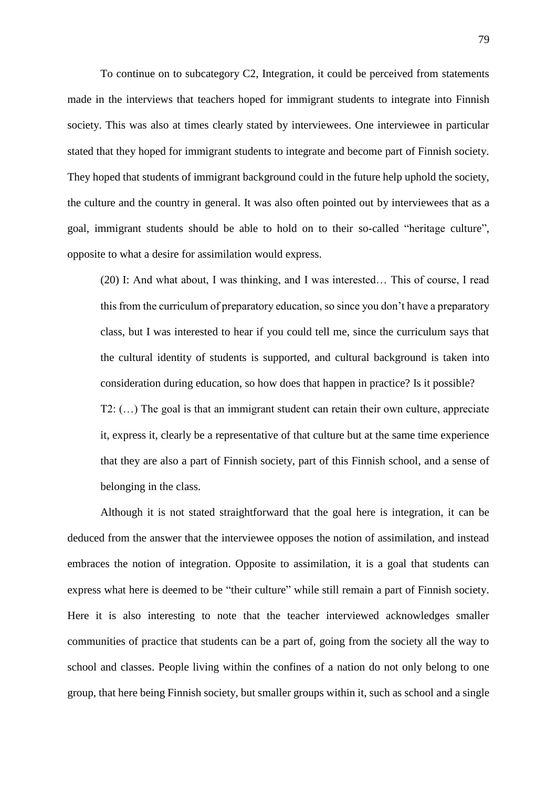To continue on to subcategory C2, Integration, it could be perceived from statements made in the interviews that teachers hoped for immigrant students to integrate into Finnish society. This was also at times clearly stated by interviewees. One interviewee in particular stated that they hoped for immigrant students to integrate and become part of Finnish society. They hoped that students of immigrant background could in the future help uphold the society, the culture and the country in general. It was also often pointed out by interviewees that as a goal, immigrant students should be able to hold on to their so-called "heritage culture", opposite to what a desire for assimilation would express.

(20) I: And what about, I was thinking, and I was interested… This of course, I read this from the curriculum of preparatory education, so since you don't have a preparatory class, but I was interested to hear if you could tell me, since the curriculum says that the cultural identity of students is supported, and cultural background is taken into consideration during education, so how does that happen in practice? Is it possible? T2: (…) The goal is that an immigrant student can retain their own culture, appreciate it, express it, clearly be a representative of that culture but at the same time experience that they are also a part of Finnish society, part of this Finnish school, and a sense of belonging in the class.

Although it is not stated straightforward that the goal here is integration, it can be deduced from the answer that the interviewee opposes the notion of assimilation, and instead embraces the notion of integration. Opposite to assimilation, it is a goal that students can express what here is deemed to be "their culture" while still remain a part of Finnish society. Here it is also interesting to note that the teacher interviewed acknowledges smaller communities of practice that students can be a part of, going from the society all the way to school and classes. People living within the confines of a nation do not only belong to one group, that here being Finnish society, but smaller groups within it, such as school and a single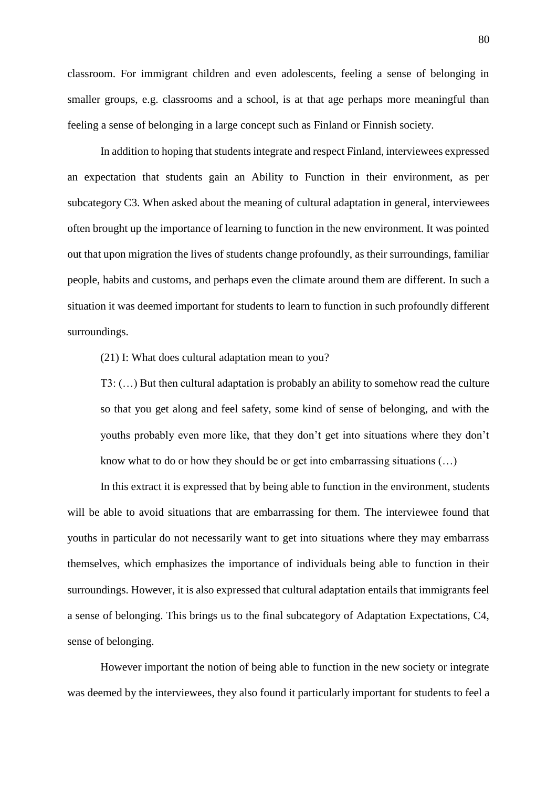classroom. For immigrant children and even adolescents, feeling a sense of belonging in smaller groups, e.g. classrooms and a school, is at that age perhaps more meaningful than feeling a sense of belonging in a large concept such as Finland or Finnish society.

In addition to hoping that students integrate and respect Finland, interviewees expressed an expectation that students gain an Ability to Function in their environment, as per subcategory C3. When asked about the meaning of cultural adaptation in general, interviewees often brought up the importance of learning to function in the new environment. It was pointed out that upon migration the lives of students change profoundly, as their surroundings, familiar people, habits and customs, and perhaps even the climate around them are different. In such a situation it was deemed important for students to learn to function in such profoundly different surroundings.

(21) I: What does cultural adaptation mean to you?

T3: (…) But then cultural adaptation is probably an ability to somehow read the culture so that you get along and feel safety, some kind of sense of belonging, and with the youths probably even more like, that they don't get into situations where they don't know what to do or how they should be or get into embarrassing situations (…)

In this extract it is expressed that by being able to function in the environment, students will be able to avoid situations that are embarrassing for them. The interviewee found that youths in particular do not necessarily want to get into situations where they may embarrass themselves, which emphasizes the importance of individuals being able to function in their surroundings. However, it is also expressed that cultural adaptation entails that immigrants feel a sense of belonging. This brings us to the final subcategory of Adaptation Expectations, C4, sense of belonging.

However important the notion of being able to function in the new society or integrate was deemed by the interviewees, they also found it particularly important for students to feel a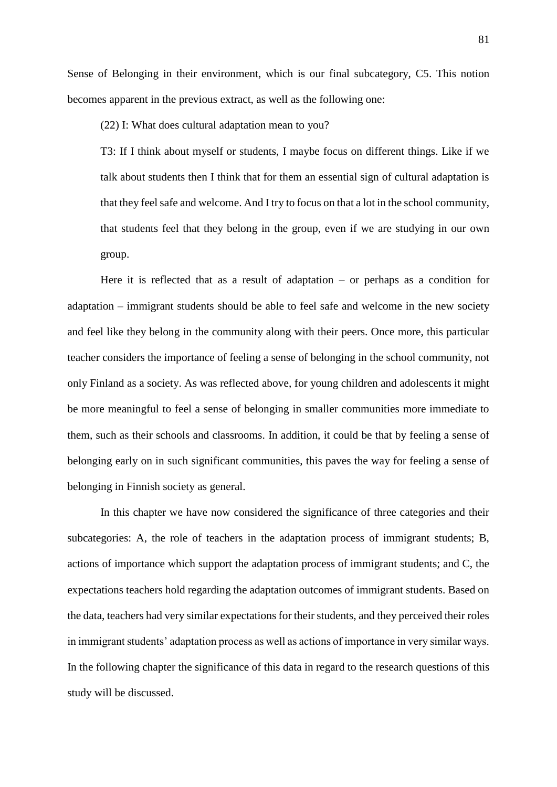Sense of Belonging in their environment, which is our final subcategory, C5. This notion becomes apparent in the previous extract, as well as the following one:

(22) I: What does cultural adaptation mean to you?

T3: If I think about myself or students, I maybe focus on different things. Like if we talk about students then I think that for them an essential sign of cultural adaptation is that they feel safe and welcome. And I try to focus on that a lot in the school community, that students feel that they belong in the group, even if we are studying in our own group.

Here it is reflected that as a result of adaptation  $-$  or perhaps as a condition for adaptation – immigrant students should be able to feel safe and welcome in the new society and feel like they belong in the community along with their peers. Once more, this particular teacher considers the importance of feeling a sense of belonging in the school community, not only Finland as a society. As was reflected above, for young children and adolescents it might be more meaningful to feel a sense of belonging in smaller communities more immediate to them, such as their schools and classrooms. In addition, it could be that by feeling a sense of belonging early on in such significant communities, this paves the way for feeling a sense of belonging in Finnish society as general.

In this chapter we have now considered the significance of three categories and their subcategories: A, the role of teachers in the adaptation process of immigrant students; B, actions of importance which support the adaptation process of immigrant students; and C, the expectations teachers hold regarding the adaptation outcomes of immigrant students. Based on the data, teachers had very similar expectations for their students, and they perceived their roles in immigrant students' adaptation process as well as actions of importance in very similar ways. In the following chapter the significance of this data in regard to the research questions of this study will be discussed.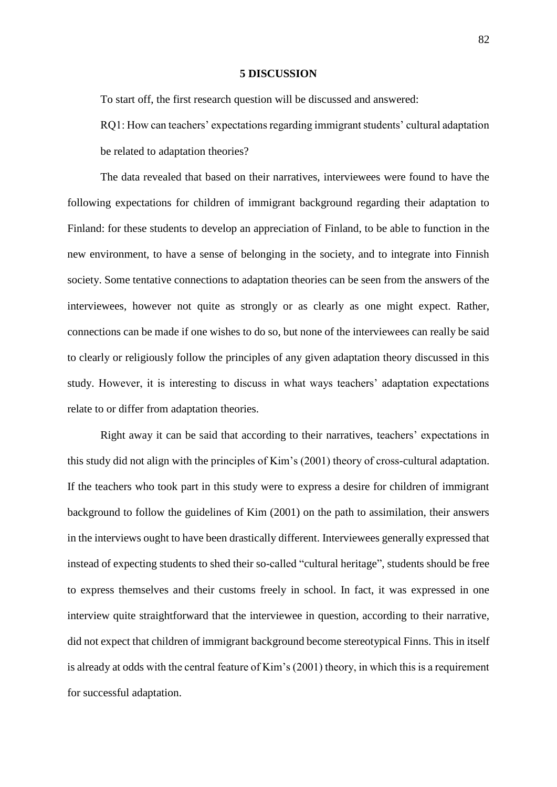#### **5 DISCUSSION**

To start off, the first research question will be discussed and answered:

RQ1: How can teachers' expectations regarding immigrant students' cultural adaptation be related to adaptation theories?

The data revealed that based on their narratives, interviewees were found to have the following expectations for children of immigrant background regarding their adaptation to Finland: for these students to develop an appreciation of Finland, to be able to function in the new environment, to have a sense of belonging in the society, and to integrate into Finnish society. Some tentative connections to adaptation theories can be seen from the answers of the interviewees, however not quite as strongly or as clearly as one might expect. Rather, connections can be made if one wishes to do so, but none of the interviewees can really be said to clearly or religiously follow the principles of any given adaptation theory discussed in this study. However, it is interesting to discuss in what ways teachers' adaptation expectations relate to or differ from adaptation theories.

Right away it can be said that according to their narratives, teachers' expectations in this study did not align with the principles of Kim's (2001) theory of cross-cultural adaptation. If the teachers who took part in this study were to express a desire for children of immigrant background to follow the guidelines of Kim (2001) on the path to assimilation, their answers in the interviews ought to have been drastically different. Interviewees generally expressed that instead of expecting students to shed their so-called "cultural heritage", students should be free to express themselves and their customs freely in school. In fact, it was expressed in one interview quite straightforward that the interviewee in question, according to their narrative, did not expect that children of immigrant background become stereotypical Finns. This in itself is already at odds with the central feature of Kim's (2001) theory, in which this is a requirement for successful adaptation.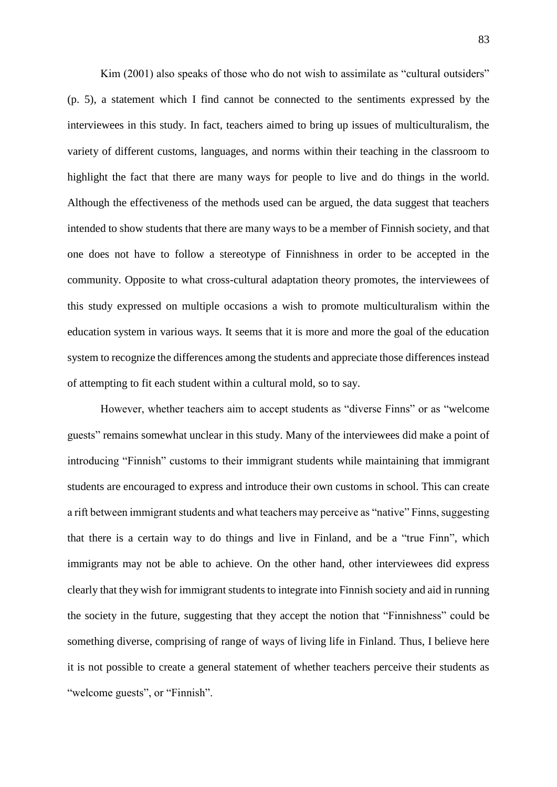Kim (2001) also speaks of those who do not wish to assimilate as "cultural outsiders" (p. 5), a statement which I find cannot be connected to the sentiments expressed by the interviewees in this study. In fact, teachers aimed to bring up issues of multiculturalism, the variety of different customs, languages, and norms within their teaching in the classroom to highlight the fact that there are many ways for people to live and do things in the world. Although the effectiveness of the methods used can be argued, the data suggest that teachers intended to show students that there are many ways to be a member of Finnish society, and that one does not have to follow a stereotype of Finnishness in order to be accepted in the community. Opposite to what cross-cultural adaptation theory promotes, the interviewees of this study expressed on multiple occasions a wish to promote multiculturalism within the education system in various ways. It seems that it is more and more the goal of the education system to recognize the differences among the students and appreciate those differences instead of attempting to fit each student within a cultural mold, so to say.

However, whether teachers aim to accept students as "diverse Finns" or as "welcome guests" remains somewhat unclear in this study. Many of the interviewees did make a point of introducing "Finnish" customs to their immigrant students while maintaining that immigrant students are encouraged to express and introduce their own customs in school. This can create a rift between immigrant students and what teachers may perceive as "native" Finns, suggesting that there is a certain way to do things and live in Finland, and be a "true Finn", which immigrants may not be able to achieve. On the other hand, other interviewees did express clearly that they wish for immigrant students to integrate into Finnish society and aid in running the society in the future, suggesting that they accept the notion that "Finnishness" could be something diverse, comprising of range of ways of living life in Finland. Thus, I believe here it is not possible to create a general statement of whether teachers perceive their students as "welcome guests", or "Finnish".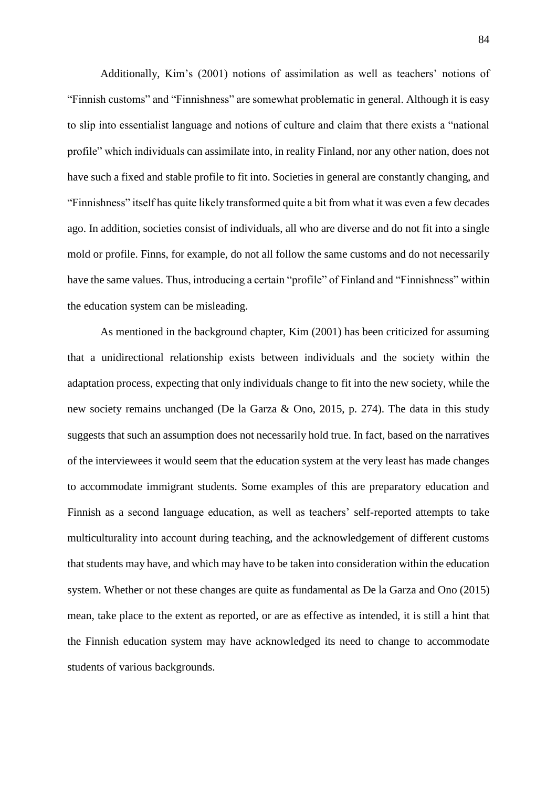Additionally, Kim's (2001) notions of assimilation as well as teachers' notions of "Finnish customs" and "Finnishness" are somewhat problematic in general. Although it is easy to slip into essentialist language and notions of culture and claim that there exists a "national profile" which individuals can assimilate into, in reality Finland, nor any other nation, does not have such a fixed and stable profile to fit into. Societies in general are constantly changing, and "Finnishness" itself has quite likely transformed quite a bit from what it was even a few decades ago. In addition, societies consist of individuals, all who are diverse and do not fit into a single mold or profile. Finns, for example, do not all follow the same customs and do not necessarily have the same values. Thus, introducing a certain "profile" of Finland and "Finnishness" within the education system can be misleading.

As mentioned in the background chapter, Kim (2001) has been criticized for assuming that a unidirectional relationship exists between individuals and the society within the adaptation process, expecting that only individuals change to fit into the new society, while the new society remains unchanged (De la Garza & Ono, 2015, p. 274). The data in this study suggests that such an assumption does not necessarily hold true. In fact, based on the narratives of the interviewees it would seem that the education system at the very least has made changes to accommodate immigrant students. Some examples of this are preparatory education and Finnish as a second language education, as well as teachers' self-reported attempts to take multiculturality into account during teaching, and the acknowledgement of different customs that students may have, and which may have to be taken into consideration within the education system. Whether or not these changes are quite as fundamental as De la Garza and Ono (2015) mean, take place to the extent as reported, or are as effective as intended, it is still a hint that the Finnish education system may have acknowledged its need to change to accommodate students of various backgrounds.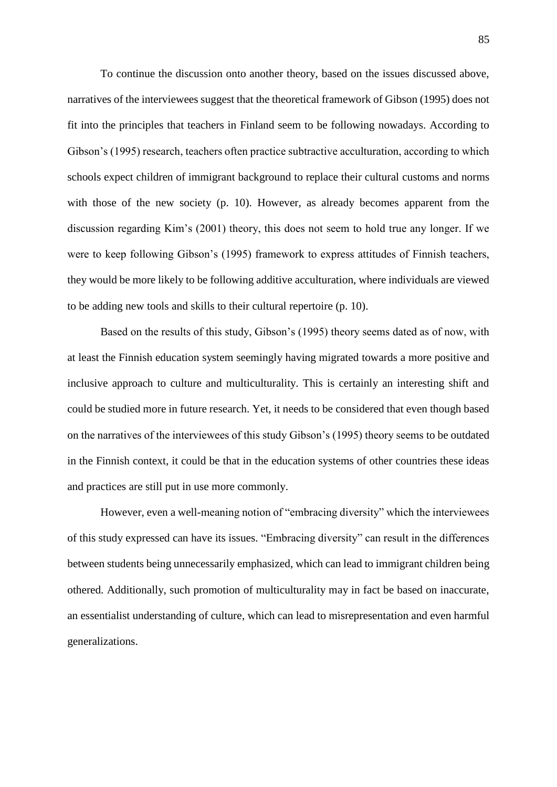To continue the discussion onto another theory, based on the issues discussed above, narratives of the interviewees suggest that the theoretical framework of Gibson (1995) does not fit into the principles that teachers in Finland seem to be following nowadays. According to Gibson's (1995) research, teachers often practice subtractive acculturation, according to which schools expect children of immigrant background to replace their cultural customs and norms with those of the new society (p. 10). However, as already becomes apparent from the discussion regarding Kim's (2001) theory, this does not seem to hold true any longer. If we were to keep following Gibson's (1995) framework to express attitudes of Finnish teachers, they would be more likely to be following additive acculturation, where individuals are viewed to be adding new tools and skills to their cultural repertoire (p. 10).

Based on the results of this study, Gibson's (1995) theory seems dated as of now, with at least the Finnish education system seemingly having migrated towards a more positive and inclusive approach to culture and multiculturality. This is certainly an interesting shift and could be studied more in future research. Yet, it needs to be considered that even though based on the narratives of the interviewees of this study Gibson's (1995) theory seems to be outdated in the Finnish context, it could be that in the education systems of other countries these ideas and practices are still put in use more commonly.

However, even a well-meaning notion of "embracing diversity" which the interviewees of this study expressed can have its issues. "Embracing diversity" can result in the differences between students being unnecessarily emphasized, which can lead to immigrant children being othered. Additionally, such promotion of multiculturality may in fact be based on inaccurate, an essentialist understanding of culture, which can lead to misrepresentation and even harmful generalizations.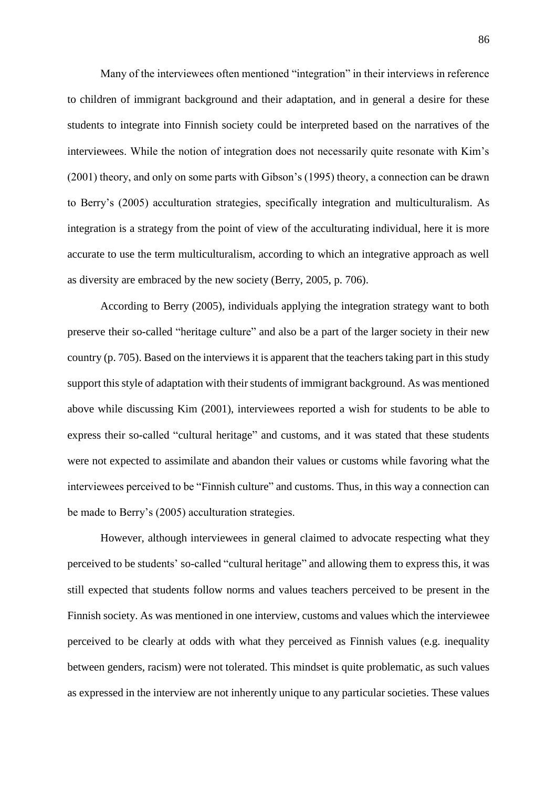Many of the interviewees often mentioned "integration" in their interviews in reference to children of immigrant background and their adaptation, and in general a desire for these students to integrate into Finnish society could be interpreted based on the narratives of the interviewees. While the notion of integration does not necessarily quite resonate with Kim's (2001) theory, and only on some parts with Gibson's (1995) theory, a connection can be drawn to Berry's (2005) acculturation strategies, specifically integration and multiculturalism. As integration is a strategy from the point of view of the acculturating individual, here it is more accurate to use the term multiculturalism, according to which an integrative approach as well as diversity are embraced by the new society (Berry, 2005, p. 706).

According to Berry (2005), individuals applying the integration strategy want to both preserve their so-called "heritage culture" and also be a part of the larger society in their new country (p. 705). Based on the interviews it is apparent that the teachers taking part in this study support this style of adaptation with their students of immigrant background. As was mentioned above while discussing Kim (2001), interviewees reported a wish for students to be able to express their so-called "cultural heritage" and customs, and it was stated that these students were not expected to assimilate and abandon their values or customs while favoring what the interviewees perceived to be "Finnish culture" and customs. Thus, in this way a connection can be made to Berry's (2005) acculturation strategies.

However, although interviewees in general claimed to advocate respecting what they perceived to be students' so-called "cultural heritage" and allowing them to express this, it was still expected that students follow norms and values teachers perceived to be present in the Finnish society. As was mentioned in one interview, customs and values which the interviewee perceived to be clearly at odds with what they perceived as Finnish values (e.g. inequality between genders, racism) were not tolerated. This mindset is quite problematic, as such values as expressed in the interview are not inherently unique to any particular societies. These values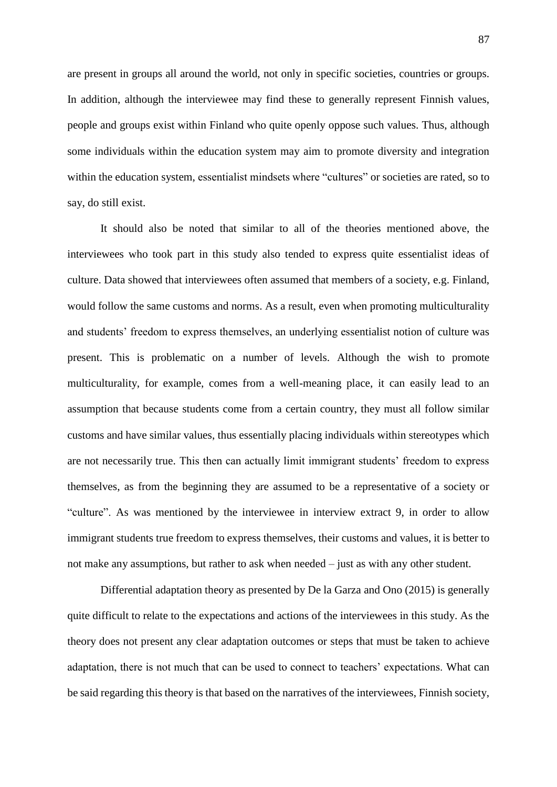are present in groups all around the world, not only in specific societies, countries or groups. In addition, although the interviewee may find these to generally represent Finnish values, people and groups exist within Finland who quite openly oppose such values. Thus, although some individuals within the education system may aim to promote diversity and integration within the education system, essentialist mindsets where "cultures" or societies are rated, so to say, do still exist.

It should also be noted that similar to all of the theories mentioned above, the interviewees who took part in this study also tended to express quite essentialist ideas of culture. Data showed that interviewees often assumed that members of a society, e.g. Finland, would follow the same customs and norms. As a result, even when promoting multiculturality and students' freedom to express themselves, an underlying essentialist notion of culture was present. This is problematic on a number of levels. Although the wish to promote multiculturality, for example, comes from a well-meaning place, it can easily lead to an assumption that because students come from a certain country, they must all follow similar customs and have similar values, thus essentially placing individuals within stereotypes which are not necessarily true. This then can actually limit immigrant students' freedom to express themselves, as from the beginning they are assumed to be a representative of a society or "culture". As was mentioned by the interviewee in interview extract 9, in order to allow immigrant students true freedom to express themselves, their customs and values, it is better to not make any assumptions, but rather to ask when needed – just as with any other student.

Differential adaptation theory as presented by De la Garza and Ono (2015) is generally quite difficult to relate to the expectations and actions of the interviewees in this study. As the theory does not present any clear adaptation outcomes or steps that must be taken to achieve adaptation, there is not much that can be used to connect to teachers' expectations. What can be said regarding this theory is that based on the narratives of the interviewees, Finnish society,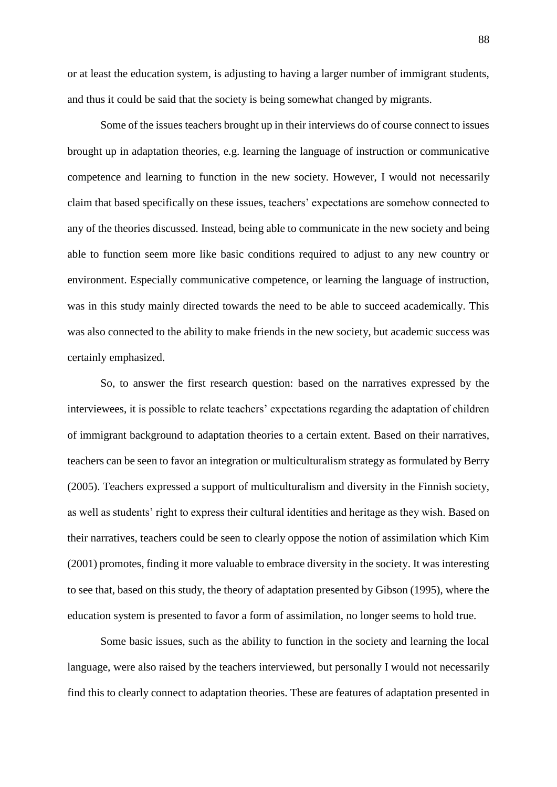or at least the education system, is adjusting to having a larger number of immigrant students, and thus it could be said that the society is being somewhat changed by migrants.

Some of the issues teachers brought up in their interviews do of course connect to issues brought up in adaptation theories, e.g. learning the language of instruction or communicative competence and learning to function in the new society. However, I would not necessarily claim that based specifically on these issues, teachers' expectations are somehow connected to any of the theories discussed. Instead, being able to communicate in the new society and being able to function seem more like basic conditions required to adjust to any new country or environment. Especially communicative competence, or learning the language of instruction, was in this study mainly directed towards the need to be able to succeed academically. This was also connected to the ability to make friends in the new society, but academic success was certainly emphasized.

So, to answer the first research question: based on the narratives expressed by the interviewees, it is possible to relate teachers' expectations regarding the adaptation of children of immigrant background to adaptation theories to a certain extent. Based on their narratives, teachers can be seen to favor an integration or multiculturalism strategy as formulated by Berry (2005). Teachers expressed a support of multiculturalism and diversity in the Finnish society, as well as students' right to express their cultural identities and heritage as they wish. Based on their narratives, teachers could be seen to clearly oppose the notion of assimilation which Kim (2001) promotes, finding it more valuable to embrace diversity in the society. It was interesting to see that, based on this study, the theory of adaptation presented by Gibson (1995), where the education system is presented to favor a form of assimilation, no longer seems to hold true.

Some basic issues, such as the ability to function in the society and learning the local language, were also raised by the teachers interviewed, but personally I would not necessarily find this to clearly connect to adaptation theories. These are features of adaptation presented in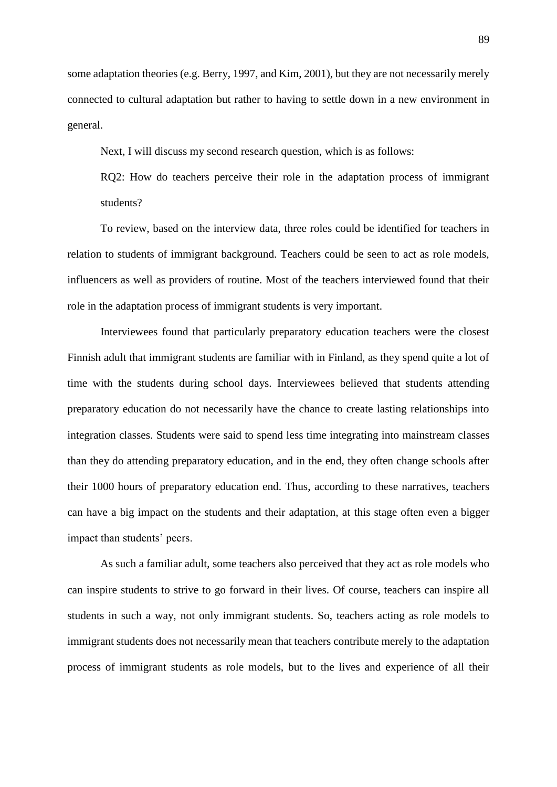some adaptation theories (e.g. Berry, 1997, and Kim, 2001), but they are not necessarily merely connected to cultural adaptation but rather to having to settle down in a new environment in general.

Next, I will discuss my second research question, which is as follows:

RQ2: How do teachers perceive their role in the adaptation process of immigrant students?

To review, based on the interview data, three roles could be identified for teachers in relation to students of immigrant background. Teachers could be seen to act as role models, influencers as well as providers of routine. Most of the teachers interviewed found that their role in the adaptation process of immigrant students is very important.

Interviewees found that particularly preparatory education teachers were the closest Finnish adult that immigrant students are familiar with in Finland, as they spend quite a lot of time with the students during school days. Interviewees believed that students attending preparatory education do not necessarily have the chance to create lasting relationships into integration classes. Students were said to spend less time integrating into mainstream classes than they do attending preparatory education, and in the end, they often change schools after their 1000 hours of preparatory education end. Thus, according to these narratives, teachers can have a big impact on the students and their adaptation, at this stage often even a bigger impact than students' peers.

As such a familiar adult, some teachers also perceived that they act as role models who can inspire students to strive to go forward in their lives. Of course, teachers can inspire all students in such a way, not only immigrant students. So, teachers acting as role models to immigrant students does not necessarily mean that teachers contribute merely to the adaptation process of immigrant students as role models, but to the lives and experience of all their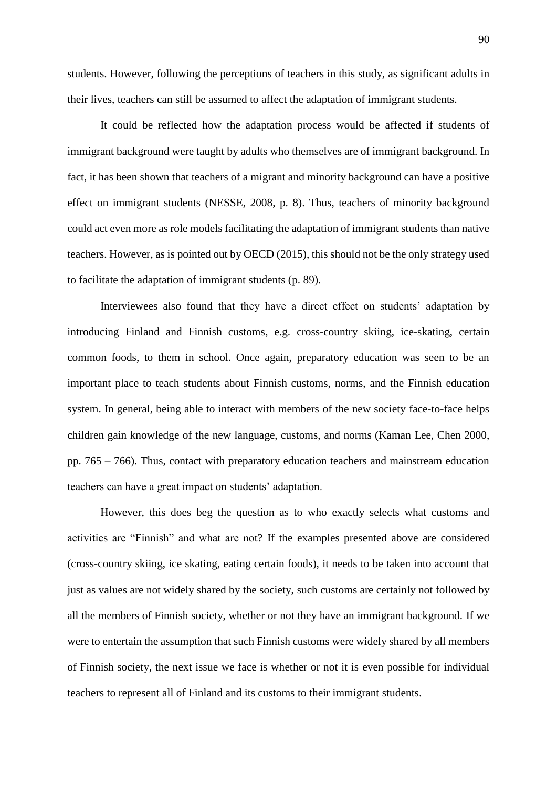students. However, following the perceptions of teachers in this study, as significant adults in their lives, teachers can still be assumed to affect the adaptation of immigrant students.

It could be reflected how the adaptation process would be affected if students of immigrant background were taught by adults who themselves are of immigrant background. In fact, it has been shown that teachers of a migrant and minority background can have a positive effect on immigrant students (NESSE, 2008, p. 8). Thus, teachers of minority background could act even more as role models facilitating the adaptation of immigrant students than native teachers. However, as is pointed out by OECD (2015), this should not be the only strategy used to facilitate the adaptation of immigrant students (p. 89).

Interviewees also found that they have a direct effect on students' adaptation by introducing Finland and Finnish customs, e.g. cross-country skiing, ice-skating, certain common foods, to them in school. Once again, preparatory education was seen to be an important place to teach students about Finnish customs, norms, and the Finnish education system. In general, being able to interact with members of the new society face-to-face helps children gain knowledge of the new language, customs, and norms (Kaman Lee, Chen 2000, pp. 765 – 766). Thus, contact with preparatory education teachers and mainstream education teachers can have a great impact on students' adaptation.

However, this does beg the question as to who exactly selects what customs and activities are "Finnish" and what are not? If the examples presented above are considered (cross-country skiing, ice skating, eating certain foods), it needs to be taken into account that just as values are not widely shared by the society, such customs are certainly not followed by all the members of Finnish society, whether or not they have an immigrant background. If we were to entertain the assumption that such Finnish customs were widely shared by all members of Finnish society, the next issue we face is whether or not it is even possible for individual teachers to represent all of Finland and its customs to their immigrant students.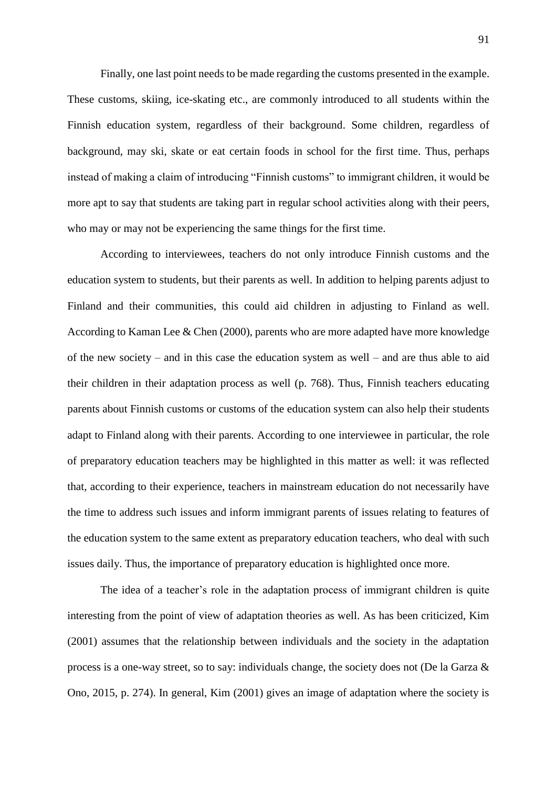Finally, one last point needs to be made regarding the customs presented in the example. These customs, skiing, ice-skating etc., are commonly introduced to all students within the Finnish education system, regardless of their background. Some children, regardless of background, may ski, skate or eat certain foods in school for the first time. Thus, perhaps instead of making a claim of introducing "Finnish customs" to immigrant children, it would be more apt to say that students are taking part in regular school activities along with their peers, who may or may not be experiencing the same things for the first time.

According to interviewees, teachers do not only introduce Finnish customs and the education system to students, but their parents as well. In addition to helping parents adjust to Finland and their communities, this could aid children in adjusting to Finland as well. According to Kaman Lee & Chen (2000), parents who are more adapted have more knowledge of the new society – and in this case the education system as well – and are thus able to aid their children in their adaptation process as well (p. 768). Thus, Finnish teachers educating parents about Finnish customs or customs of the education system can also help their students adapt to Finland along with their parents. According to one interviewee in particular, the role of preparatory education teachers may be highlighted in this matter as well: it was reflected that, according to their experience, teachers in mainstream education do not necessarily have the time to address such issues and inform immigrant parents of issues relating to features of the education system to the same extent as preparatory education teachers, who deal with such issues daily. Thus, the importance of preparatory education is highlighted once more.

The idea of a teacher's role in the adaptation process of immigrant children is quite interesting from the point of view of adaptation theories as well. As has been criticized, Kim (2001) assumes that the relationship between individuals and the society in the adaptation process is a one-way street, so to say: individuals change, the society does not (De la Garza & Ono, 2015, p. 274). In general, Kim (2001) gives an image of adaptation where the society is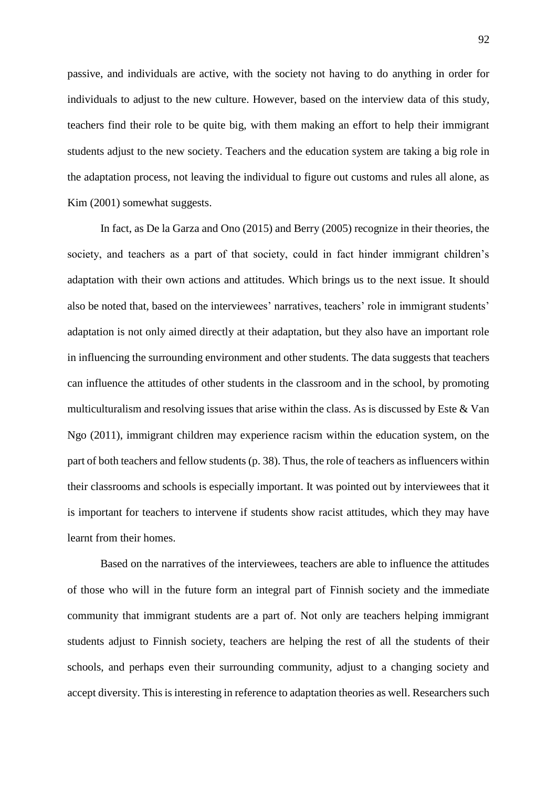passive, and individuals are active, with the society not having to do anything in order for individuals to adjust to the new culture. However, based on the interview data of this study, teachers find their role to be quite big, with them making an effort to help their immigrant students adjust to the new society. Teachers and the education system are taking a big role in the adaptation process, not leaving the individual to figure out customs and rules all alone, as Kim (2001) somewhat suggests.

In fact, as De la Garza and Ono (2015) and Berry (2005) recognize in their theories, the society, and teachers as a part of that society, could in fact hinder immigrant children's adaptation with their own actions and attitudes. Which brings us to the next issue. It should also be noted that, based on the interviewees' narratives, teachers' role in immigrant students' adaptation is not only aimed directly at their adaptation, but they also have an important role in influencing the surrounding environment and other students. The data suggests that teachers can influence the attitudes of other students in the classroom and in the school, by promoting multiculturalism and resolving issues that arise within the class. As is discussed by Este & Van Ngo (2011), immigrant children may experience racism within the education system, on the part of both teachers and fellow students (p. 38). Thus, the role of teachers as influencers within their classrooms and schools is especially important. It was pointed out by interviewees that it is important for teachers to intervene if students show racist attitudes, which they may have learnt from their homes.

Based on the narratives of the interviewees, teachers are able to influence the attitudes of those who will in the future form an integral part of Finnish society and the immediate community that immigrant students are a part of. Not only are teachers helping immigrant students adjust to Finnish society, teachers are helping the rest of all the students of their schools, and perhaps even their surrounding community, adjust to a changing society and accept diversity. This is interesting in reference to adaptation theories as well. Researchers such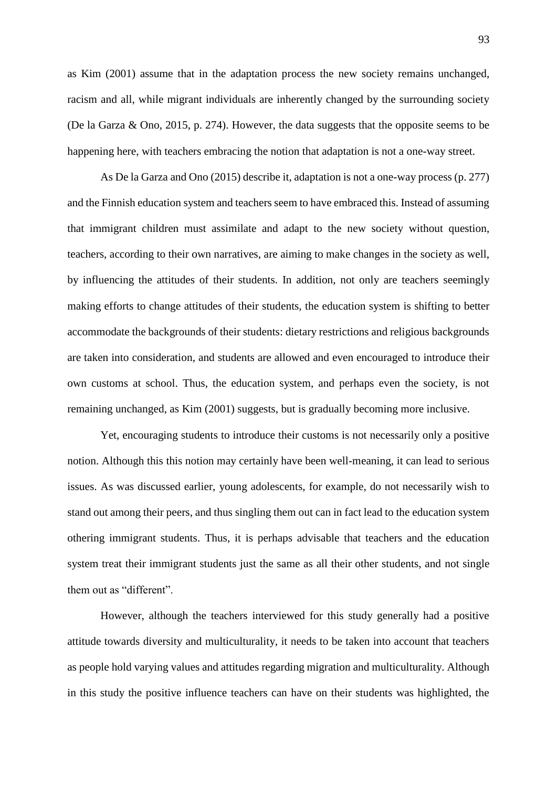as Kim (2001) assume that in the adaptation process the new society remains unchanged, racism and all, while migrant individuals are inherently changed by the surrounding society (De la Garza & Ono, 2015, p. 274). However, the data suggests that the opposite seems to be happening here, with teachers embracing the notion that adaptation is not a one-way street.

As De la Garza and Ono (2015) describe it, adaptation is not a one-way process (p. 277) and the Finnish education system and teachers seem to have embraced this. Instead of assuming that immigrant children must assimilate and adapt to the new society without question, teachers, according to their own narratives, are aiming to make changes in the society as well, by influencing the attitudes of their students. In addition, not only are teachers seemingly making efforts to change attitudes of their students, the education system is shifting to better accommodate the backgrounds of their students: dietary restrictions and religious backgrounds are taken into consideration, and students are allowed and even encouraged to introduce their own customs at school. Thus, the education system, and perhaps even the society, is not remaining unchanged, as Kim (2001) suggests, but is gradually becoming more inclusive.

Yet, encouraging students to introduce their customs is not necessarily only a positive notion. Although this this notion may certainly have been well-meaning, it can lead to serious issues. As was discussed earlier, young adolescents, for example, do not necessarily wish to stand out among their peers, and thus singling them out can in fact lead to the education system othering immigrant students. Thus, it is perhaps advisable that teachers and the education system treat their immigrant students just the same as all their other students, and not single them out as "different".

However, although the teachers interviewed for this study generally had a positive attitude towards diversity and multiculturality, it needs to be taken into account that teachers as people hold varying values and attitudes regarding migration and multiculturality. Although in this study the positive influence teachers can have on their students was highlighted, the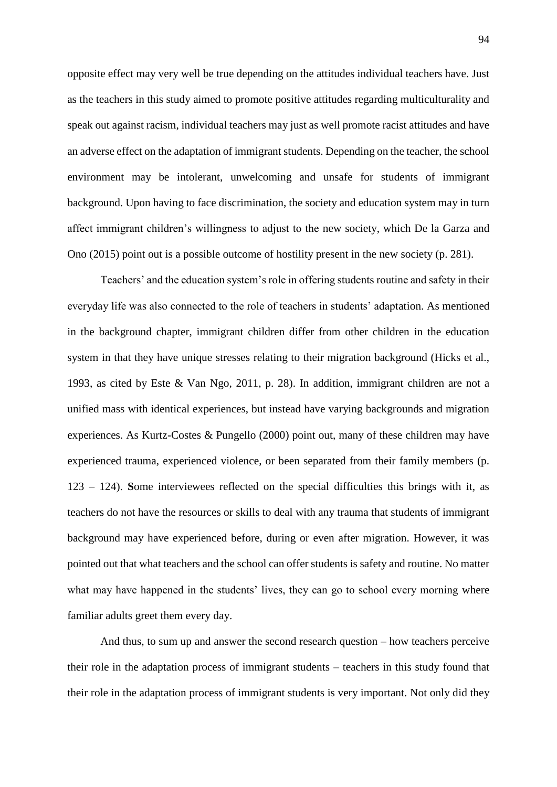opposite effect may very well be true depending on the attitudes individual teachers have. Just as the teachers in this study aimed to promote positive attitudes regarding multiculturality and speak out against racism, individual teachers may just as well promote racist attitudes and have an adverse effect on the adaptation of immigrant students. Depending on the teacher, the school environment may be intolerant, unwelcoming and unsafe for students of immigrant background. Upon having to face discrimination, the society and education system may in turn affect immigrant children's willingness to adjust to the new society, which De la Garza and Ono (2015) point out is a possible outcome of hostility present in the new society (p. 281).

Teachers' and the education system's role in offering students routine and safety in their everyday life was also connected to the role of teachers in students' adaptation. As mentioned in the background chapter, immigrant children differ from other children in the education system in that they have unique stresses relating to their migration background (Hicks et al., 1993, as cited by Este & Van Ngo, 2011, p. 28). In addition, immigrant children are not a unified mass with identical experiences, but instead have varying backgrounds and migration experiences. As Kurtz-Costes & Pungello (2000) point out, many of these children may have experienced trauma, experienced violence, or been separated from their family members (p. 123 – 124). **S**ome interviewees reflected on the special difficulties this brings with it, as teachers do not have the resources or skills to deal with any trauma that students of immigrant background may have experienced before, during or even after migration. However, it was pointed out that what teachers and the school can offer students is safety and routine. No matter what may have happened in the students' lives, they can go to school every morning where familiar adults greet them every day.

And thus, to sum up and answer the second research question – how teachers perceive their role in the adaptation process of immigrant students – teachers in this study found that their role in the adaptation process of immigrant students is very important. Not only did they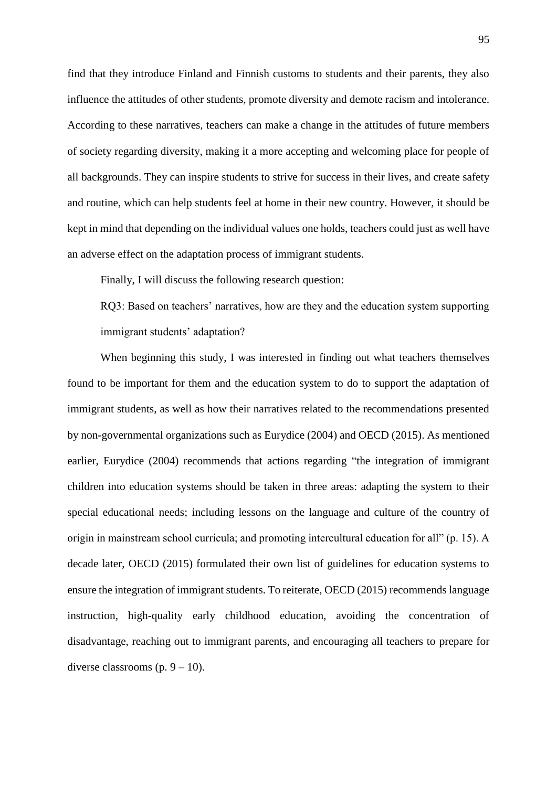find that they introduce Finland and Finnish customs to students and their parents, they also influence the attitudes of other students, promote diversity and demote racism and intolerance. According to these narratives, teachers can make a change in the attitudes of future members of society regarding diversity, making it a more accepting and welcoming place for people of all backgrounds. They can inspire students to strive for success in their lives, and create safety and routine, which can help students feel at home in their new country. However, it should be kept in mind that depending on the individual values one holds, teachers could just as well have an adverse effect on the adaptation process of immigrant students.

Finally, I will discuss the following research question:

RQ3: Based on teachers' narratives, how are they and the education system supporting immigrant students' adaptation?

When beginning this study, I was interested in finding out what teachers themselves found to be important for them and the education system to do to support the adaptation of immigrant students, as well as how their narratives related to the recommendations presented by non-governmental organizations such as Eurydice (2004) and OECD (2015). As mentioned earlier, Eurydice (2004) recommends that actions regarding "the integration of immigrant children into education systems should be taken in three areas: adapting the system to their special educational needs; including lessons on the language and culture of the country of origin in mainstream school curricula; and promoting intercultural education for all" (p. 15). A decade later, OECD (2015) formulated their own list of guidelines for education systems to ensure the integration of immigrant students. To reiterate, OECD (2015) recommends language instruction, high-quality early childhood education, avoiding the concentration of disadvantage, reaching out to immigrant parents, and encouraging all teachers to prepare for diverse classrooms  $(p. 9 - 10)$ .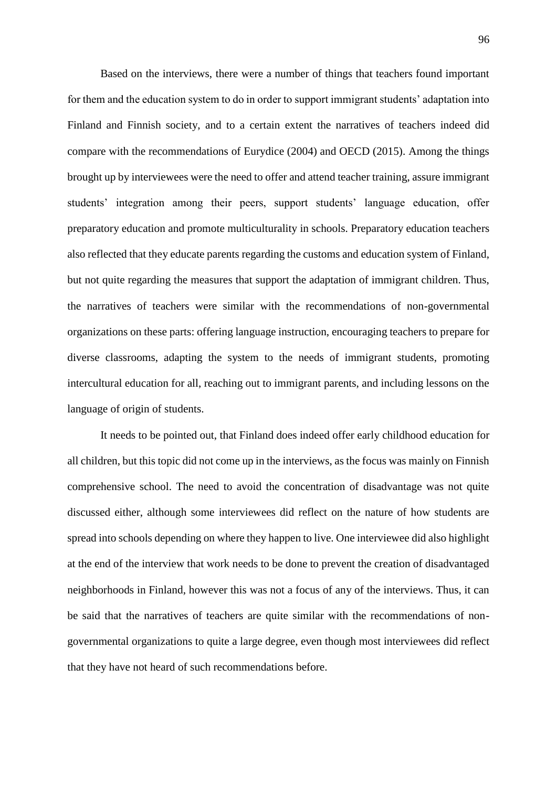Based on the interviews, there were a number of things that teachers found important for them and the education system to do in order to support immigrant students' adaptation into Finland and Finnish society, and to a certain extent the narratives of teachers indeed did compare with the recommendations of Eurydice (2004) and OECD (2015). Among the things brought up by interviewees were the need to offer and attend teacher training, assure immigrant students' integration among their peers, support students' language education, offer preparatory education and promote multiculturality in schools. Preparatory education teachers also reflected that they educate parents regarding the customs and education system of Finland, but not quite regarding the measures that support the adaptation of immigrant children. Thus, the narratives of teachers were similar with the recommendations of non-governmental organizations on these parts: offering language instruction, encouraging teachers to prepare for diverse classrooms, adapting the system to the needs of immigrant students, promoting intercultural education for all, reaching out to immigrant parents, and including lessons on the language of origin of students.

It needs to be pointed out, that Finland does indeed offer early childhood education for all children, but this topic did not come up in the interviews, as the focus was mainly on Finnish comprehensive school. The need to avoid the concentration of disadvantage was not quite discussed either, although some interviewees did reflect on the nature of how students are spread into schools depending on where they happen to live. One interviewee did also highlight at the end of the interview that work needs to be done to prevent the creation of disadvantaged neighborhoods in Finland, however this was not a focus of any of the interviews. Thus, it can be said that the narratives of teachers are quite similar with the recommendations of nongovernmental organizations to quite a large degree, even though most interviewees did reflect that they have not heard of such recommendations before.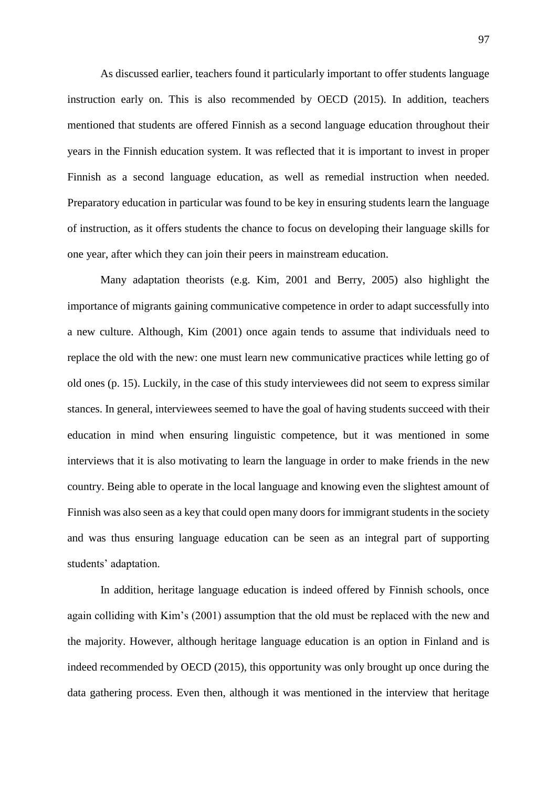As discussed earlier, teachers found it particularly important to offer students language instruction early on. This is also recommended by OECD (2015). In addition, teachers mentioned that students are offered Finnish as a second language education throughout their years in the Finnish education system. It was reflected that it is important to invest in proper Finnish as a second language education, as well as remedial instruction when needed. Preparatory education in particular was found to be key in ensuring students learn the language of instruction, as it offers students the chance to focus on developing their language skills for one year, after which they can join their peers in mainstream education.

Many adaptation theorists (e.g. Kim, 2001 and Berry, 2005) also highlight the importance of migrants gaining communicative competence in order to adapt successfully into a new culture. Although, Kim (2001) once again tends to assume that individuals need to replace the old with the new: one must learn new communicative practices while letting go of old ones (p. 15). Luckily, in the case of this study interviewees did not seem to express similar stances. In general, interviewees seemed to have the goal of having students succeed with their education in mind when ensuring linguistic competence, but it was mentioned in some interviews that it is also motivating to learn the language in order to make friends in the new country. Being able to operate in the local language and knowing even the slightest amount of Finnish was also seen as a key that could open many doors for immigrant students in the society and was thus ensuring language education can be seen as an integral part of supporting students' adaptation.

In addition, heritage language education is indeed offered by Finnish schools, once again colliding with Kim's (2001) assumption that the old must be replaced with the new and the majority. However, although heritage language education is an option in Finland and is indeed recommended by OECD (2015), this opportunity was only brought up once during the data gathering process. Even then, although it was mentioned in the interview that heritage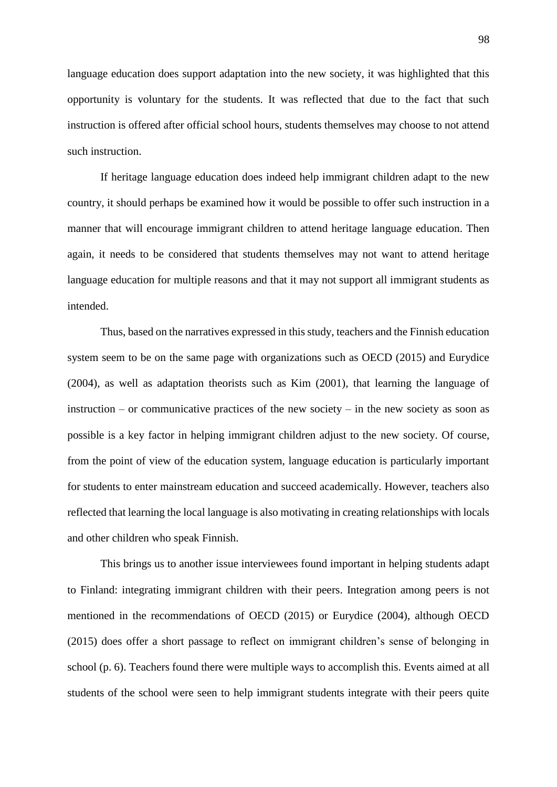language education does support adaptation into the new society, it was highlighted that this opportunity is voluntary for the students. It was reflected that due to the fact that such instruction is offered after official school hours, students themselves may choose to not attend such instruction.

If heritage language education does indeed help immigrant children adapt to the new country, it should perhaps be examined how it would be possible to offer such instruction in a manner that will encourage immigrant children to attend heritage language education. Then again, it needs to be considered that students themselves may not want to attend heritage language education for multiple reasons and that it may not support all immigrant students as intended.

Thus, based on the narratives expressed in this study, teachers and the Finnish education system seem to be on the same page with organizations such as OECD (2015) and Eurydice (2004), as well as adaptation theorists such as Kim (2001), that learning the language of instruction – or communicative practices of the new society – in the new society as soon as possible is a key factor in helping immigrant children adjust to the new society. Of course, from the point of view of the education system, language education is particularly important for students to enter mainstream education and succeed academically. However, teachers also reflected that learning the local language is also motivating in creating relationships with locals and other children who speak Finnish.

This brings us to another issue interviewees found important in helping students adapt to Finland: integrating immigrant children with their peers. Integration among peers is not mentioned in the recommendations of OECD (2015) or Eurydice (2004), although OECD (2015) does offer a short passage to reflect on immigrant children's sense of belonging in school (p. 6). Teachers found there were multiple ways to accomplish this. Events aimed at all students of the school were seen to help immigrant students integrate with their peers quite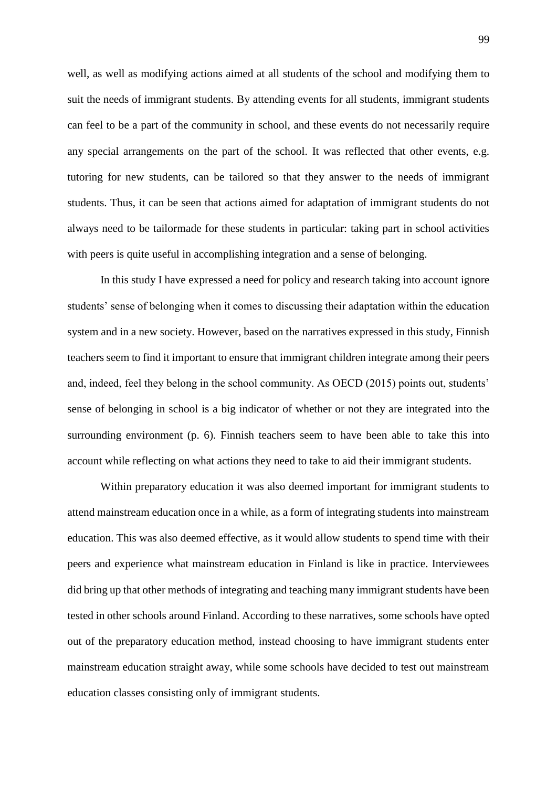well, as well as modifying actions aimed at all students of the school and modifying them to suit the needs of immigrant students. By attending events for all students, immigrant students can feel to be a part of the community in school, and these events do not necessarily require any special arrangements on the part of the school. It was reflected that other events, e.g. tutoring for new students, can be tailored so that they answer to the needs of immigrant students. Thus, it can be seen that actions aimed for adaptation of immigrant students do not always need to be tailormade for these students in particular: taking part in school activities with peers is quite useful in accomplishing integration and a sense of belonging.

In this study I have expressed a need for policy and research taking into account ignore students' sense of belonging when it comes to discussing their adaptation within the education system and in a new society. However, based on the narratives expressed in this study, Finnish teachers seem to find it important to ensure that immigrant children integrate among their peers and, indeed, feel they belong in the school community. As OECD (2015) points out, students' sense of belonging in school is a big indicator of whether or not they are integrated into the surrounding environment (p. 6). Finnish teachers seem to have been able to take this into account while reflecting on what actions they need to take to aid their immigrant students.

Within preparatory education it was also deemed important for immigrant students to attend mainstream education once in a while, as a form of integrating students into mainstream education. This was also deemed effective, as it would allow students to spend time with their peers and experience what mainstream education in Finland is like in practice. Interviewees did bring up that other methods of integrating and teaching many immigrant students have been tested in other schools around Finland. According to these narratives, some schools have opted out of the preparatory education method, instead choosing to have immigrant students enter mainstream education straight away, while some schools have decided to test out mainstream education classes consisting only of immigrant students.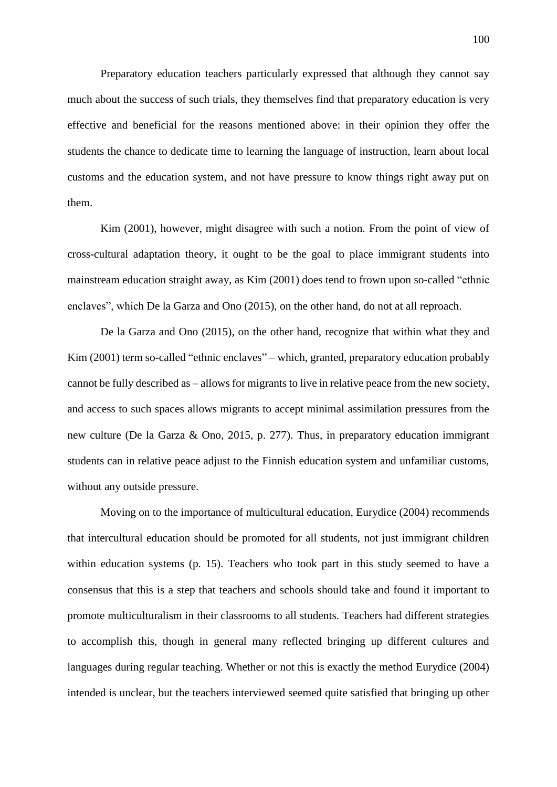Preparatory education teachers particularly expressed that although they cannot say much about the success of such trials, they themselves find that preparatory education is very effective and beneficial for the reasons mentioned above: in their opinion they offer the students the chance to dedicate time to learning the language of instruction, learn about local customs and the education system, and not have pressure to know things right away put on them.

Kim (2001), however, might disagree with such a notion. From the point of view of cross-cultural adaptation theory, it ought to be the goal to place immigrant students into mainstream education straight away, as Kim (2001) does tend to frown upon so-called "ethnic enclaves", which De la Garza and Ono (2015), on the other hand, do not at all reproach.

De la Garza and Ono (2015), on the other hand, recognize that within what they and Kim (2001) term so-called "ethnic enclaves" – which, granted, preparatory education probably cannot be fully described as – allows for migrants to live in relative peace from the new society, and access to such spaces allows migrants to accept minimal assimilation pressures from the new culture (De la Garza & Ono, 2015, p. 277). Thus, in preparatory education immigrant students can in relative peace adjust to the Finnish education system and unfamiliar customs, without any outside pressure.

Moving on to the importance of multicultural education, Eurydice (2004) recommends that intercultural education should be promoted for all students, not just immigrant children within education systems (p. 15). Teachers who took part in this study seemed to have a consensus that this is a step that teachers and schools should take and found it important to promote multiculturalism in their classrooms to all students. Teachers had different strategies to accomplish this, though in general many reflected bringing up different cultures and languages during regular teaching. Whether or not this is exactly the method Eurydice (2004) intended is unclear, but the teachers interviewed seemed quite satisfied that bringing up other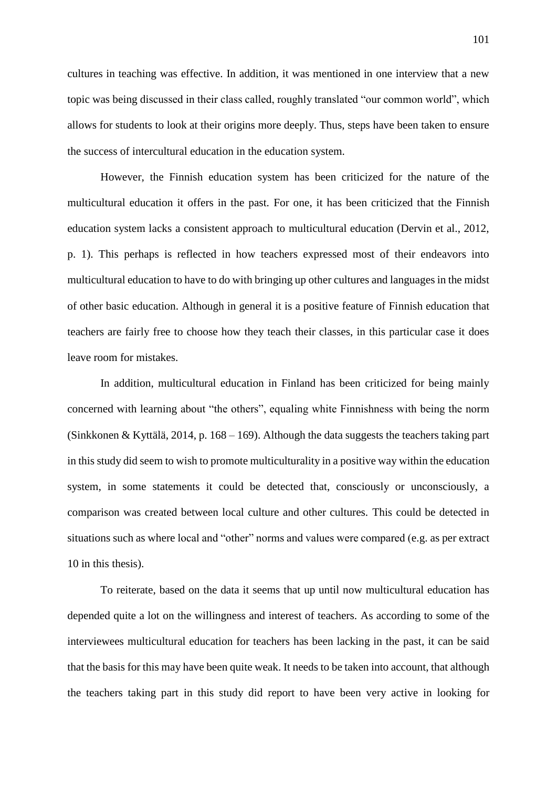cultures in teaching was effective. In addition, it was mentioned in one interview that a new topic was being discussed in their class called, roughly translated "our common world", which allows for students to look at their origins more deeply. Thus, steps have been taken to ensure the success of intercultural education in the education system.

However, the Finnish education system has been criticized for the nature of the multicultural education it offers in the past. For one, it has been criticized that the Finnish education system lacks a consistent approach to multicultural education (Dervin et al., 2012, p. 1). This perhaps is reflected in how teachers expressed most of their endeavors into multicultural education to have to do with bringing up other cultures and languages in the midst of other basic education. Although in general it is a positive feature of Finnish education that teachers are fairly free to choose how they teach their classes, in this particular case it does leave room for mistakes.

In addition, multicultural education in Finland has been criticized for being mainly concerned with learning about "the others", equaling white Finnishness with being the norm (Sinkkonen & Kyttälä, 2014, p. 168 – 169). Although the data suggests the teachers taking part in this study did seem to wish to promote multiculturality in a positive way within the education system, in some statements it could be detected that, consciously or unconsciously, a comparison was created between local culture and other cultures. This could be detected in situations such as where local and "other" norms and values were compared (e.g. as per extract 10 in this thesis).

To reiterate, based on the data it seems that up until now multicultural education has depended quite a lot on the willingness and interest of teachers. As according to some of the interviewees multicultural education for teachers has been lacking in the past, it can be said that the basis for this may have been quite weak. It needs to be taken into account, that although the teachers taking part in this study did report to have been very active in looking for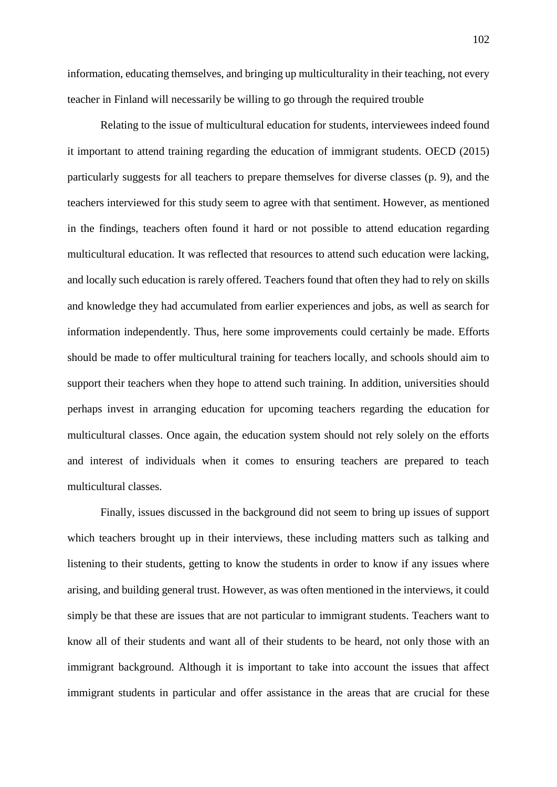information, educating themselves, and bringing up multiculturality in their teaching, not every teacher in Finland will necessarily be willing to go through the required trouble

Relating to the issue of multicultural education for students, interviewees indeed found it important to attend training regarding the education of immigrant students. OECD (2015) particularly suggests for all teachers to prepare themselves for diverse classes (p. 9), and the teachers interviewed for this study seem to agree with that sentiment. However, as mentioned in the findings, teachers often found it hard or not possible to attend education regarding multicultural education. It was reflected that resources to attend such education were lacking, and locally such education is rarely offered. Teachers found that often they had to rely on skills and knowledge they had accumulated from earlier experiences and jobs, as well as search for information independently. Thus, here some improvements could certainly be made. Efforts should be made to offer multicultural training for teachers locally, and schools should aim to support their teachers when they hope to attend such training. In addition, universities should perhaps invest in arranging education for upcoming teachers regarding the education for multicultural classes. Once again, the education system should not rely solely on the efforts and interest of individuals when it comes to ensuring teachers are prepared to teach multicultural classes.

Finally, issues discussed in the background did not seem to bring up issues of support which teachers brought up in their interviews, these including matters such as talking and listening to their students, getting to know the students in order to know if any issues where arising, and building general trust. However, as was often mentioned in the interviews, it could simply be that these are issues that are not particular to immigrant students. Teachers want to know all of their students and want all of their students to be heard, not only those with an immigrant background. Although it is important to take into account the issues that affect immigrant students in particular and offer assistance in the areas that are crucial for these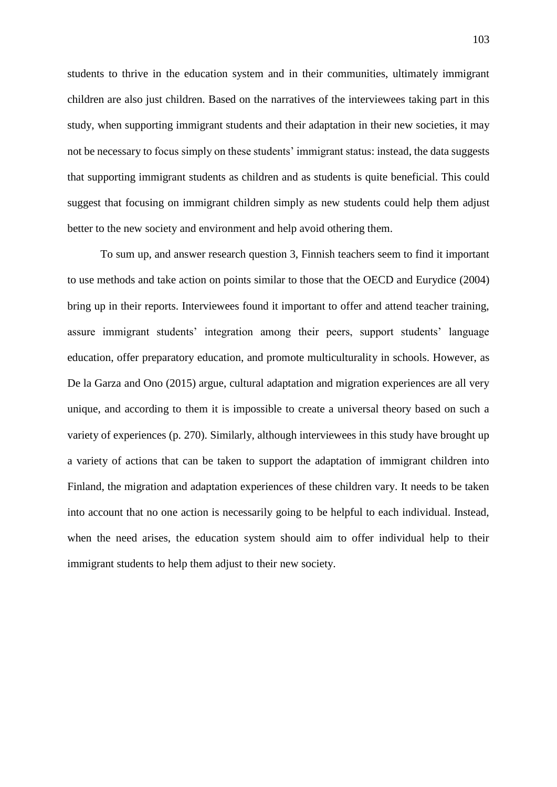students to thrive in the education system and in their communities, ultimately immigrant children are also just children. Based on the narratives of the interviewees taking part in this study, when supporting immigrant students and their adaptation in their new societies, it may not be necessary to focus simply on these students' immigrant status: instead, the data suggests that supporting immigrant students as children and as students is quite beneficial. This could suggest that focusing on immigrant children simply as new students could help them adjust better to the new society and environment and help avoid othering them.

To sum up, and answer research question 3, Finnish teachers seem to find it important to use methods and take action on points similar to those that the OECD and Eurydice (2004) bring up in their reports. Interviewees found it important to offer and attend teacher training, assure immigrant students' integration among their peers, support students' language education, offer preparatory education, and promote multiculturality in schools. However, as De la Garza and Ono (2015) argue, cultural adaptation and migration experiences are all very unique, and according to them it is impossible to create a universal theory based on such a variety of experiences (p. 270). Similarly, although interviewees in this study have brought up a variety of actions that can be taken to support the adaptation of immigrant children into Finland, the migration and adaptation experiences of these children vary. It needs to be taken into account that no one action is necessarily going to be helpful to each individual. Instead, when the need arises, the education system should aim to offer individual help to their immigrant students to help them adjust to their new society.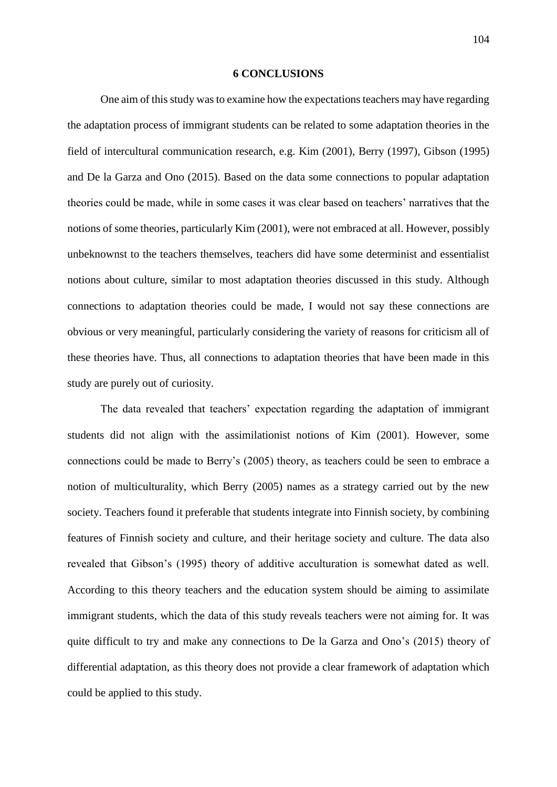#### **6 CONCLUSIONS**

One aim of this study was to examine how the expectations teachers may have regarding the adaptation process of immigrant students can be related to some adaptation theories in the field of intercultural communication research, e.g. Kim (2001), Berry (1997), Gibson (1995) and De la Garza and Ono (2015). Based on the data some connections to popular adaptation theories could be made, while in some cases it was clear based on teachers' narratives that the notions of some theories, particularly Kim (2001), were not embraced at all. However, possibly unbeknownst to the teachers themselves, teachers did have some determinist and essentialist notions about culture, similar to most adaptation theories discussed in this study. Although connections to adaptation theories could be made, I would not say these connections are obvious or very meaningful, particularly considering the variety of reasons for criticism all of these theories have. Thus, all connections to adaptation theories that have been made in this study are purely out of curiosity.

The data revealed that teachers' expectation regarding the adaptation of immigrant students did not align with the assimilationist notions of Kim (2001). However, some connections could be made to Berry's (2005) theory, as teachers could be seen to embrace a notion of multiculturality, which Berry (2005) names as a strategy carried out by the new society. Teachers found it preferable that students integrate into Finnish society, by combining features of Finnish society and culture, and their heritage society and culture. The data also revealed that Gibson's (1995) theory of additive acculturation is somewhat dated as well. According to this theory teachers and the education system should be aiming to assimilate immigrant students, which the data of this study reveals teachers were not aiming for. It was quite difficult to try and make any connections to De la Garza and Ono's (2015) theory of differential adaptation, as this theory does not provide a clear framework of adaptation which could be applied to this study.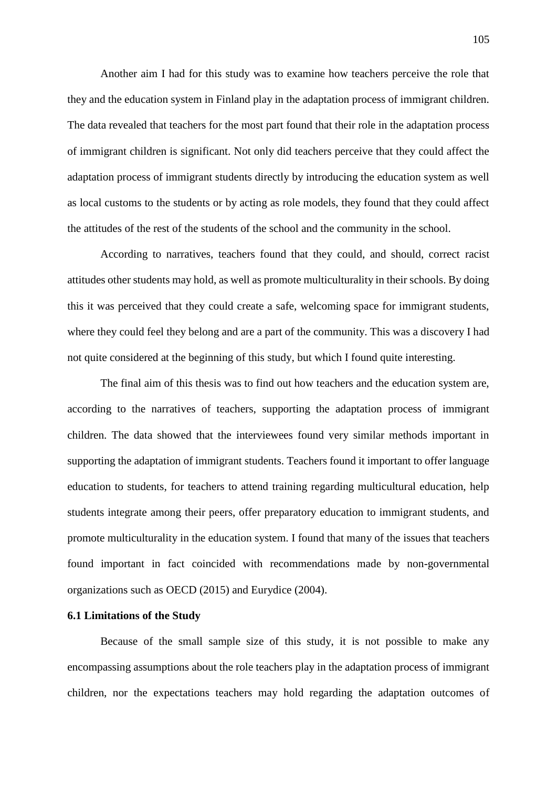Another aim I had for this study was to examine how teachers perceive the role that they and the education system in Finland play in the adaptation process of immigrant children. The data revealed that teachers for the most part found that their role in the adaptation process of immigrant children is significant. Not only did teachers perceive that they could affect the adaptation process of immigrant students directly by introducing the education system as well as local customs to the students or by acting as role models, they found that they could affect the attitudes of the rest of the students of the school and the community in the school.

According to narratives, teachers found that they could, and should, correct racist attitudes other students may hold, as well as promote multiculturality in their schools. By doing this it was perceived that they could create a safe, welcoming space for immigrant students, where they could feel they belong and are a part of the community. This was a discovery I had not quite considered at the beginning of this study, but which I found quite interesting.

The final aim of this thesis was to find out how teachers and the education system are, according to the narratives of teachers, supporting the adaptation process of immigrant children. The data showed that the interviewees found very similar methods important in supporting the adaptation of immigrant students. Teachers found it important to offer language education to students, for teachers to attend training regarding multicultural education, help students integrate among their peers, offer preparatory education to immigrant students, and promote multiculturality in the education system. I found that many of the issues that teachers found important in fact coincided with recommendations made by non-governmental organizations such as OECD (2015) and Eurydice (2004).

# **6.1 Limitations of the Study**

Because of the small sample size of this study, it is not possible to make any encompassing assumptions about the role teachers play in the adaptation process of immigrant children, nor the expectations teachers may hold regarding the adaptation outcomes of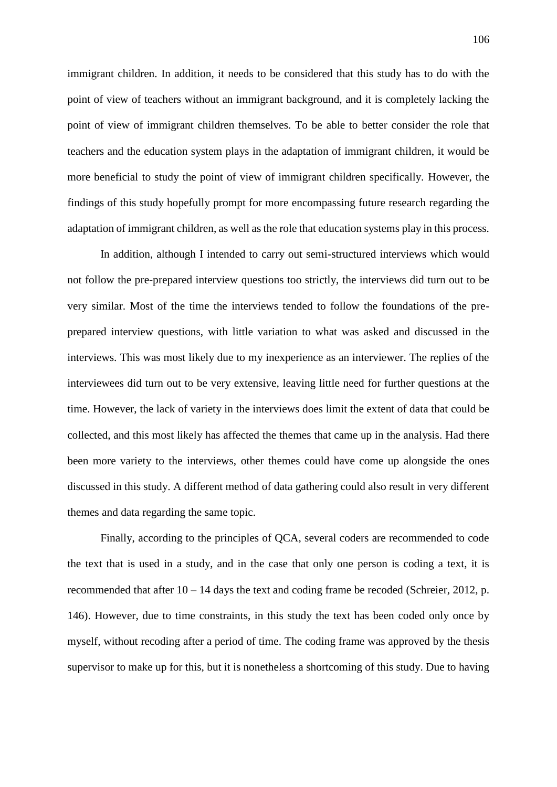immigrant children. In addition, it needs to be considered that this study has to do with the point of view of teachers without an immigrant background, and it is completely lacking the point of view of immigrant children themselves. To be able to better consider the role that teachers and the education system plays in the adaptation of immigrant children, it would be more beneficial to study the point of view of immigrant children specifically. However, the findings of this study hopefully prompt for more encompassing future research regarding the adaptation of immigrant children, as well as the role that education systems play in this process.

In addition, although I intended to carry out semi-structured interviews which would not follow the pre-prepared interview questions too strictly, the interviews did turn out to be very similar. Most of the time the interviews tended to follow the foundations of the preprepared interview questions, with little variation to what was asked and discussed in the interviews. This was most likely due to my inexperience as an interviewer. The replies of the interviewees did turn out to be very extensive, leaving little need for further questions at the time. However, the lack of variety in the interviews does limit the extent of data that could be collected, and this most likely has affected the themes that came up in the analysis. Had there been more variety to the interviews, other themes could have come up alongside the ones discussed in this study. A different method of data gathering could also result in very different themes and data regarding the same topic.

Finally, according to the principles of QCA, several coders are recommended to code the text that is used in a study, and in the case that only one person is coding a text, it is recommended that after  $10 - 14$  days the text and coding frame be recoded (Schreier, 2012, p. 146). However, due to time constraints, in this study the text has been coded only once by myself, without recoding after a period of time. The coding frame was approved by the thesis supervisor to make up for this, but it is nonetheless a shortcoming of this study. Due to having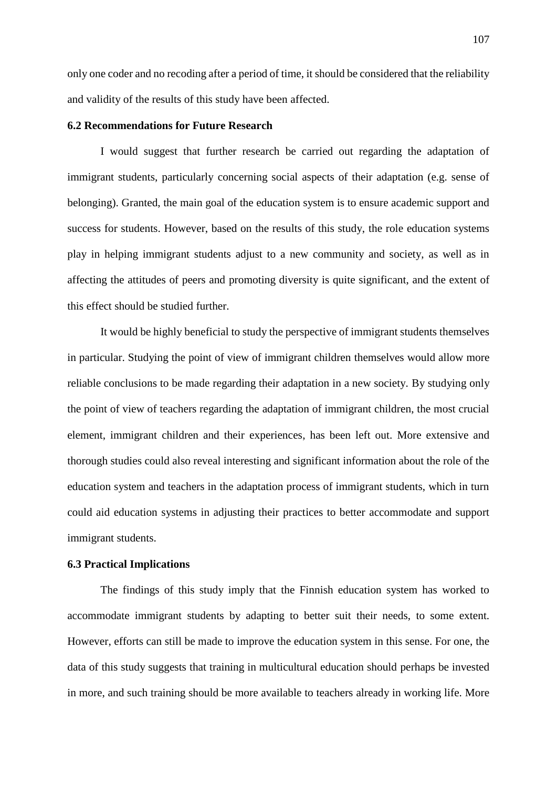only one coder and no recoding after a period of time, it should be considered that the reliability and validity of the results of this study have been affected.

### **6.2 Recommendations for Future Research**

I would suggest that further research be carried out regarding the adaptation of immigrant students, particularly concerning social aspects of their adaptation (e.g. sense of belonging). Granted, the main goal of the education system is to ensure academic support and success for students. However, based on the results of this study, the role education systems play in helping immigrant students adjust to a new community and society, as well as in affecting the attitudes of peers and promoting diversity is quite significant, and the extent of this effect should be studied further.

It would be highly beneficial to study the perspective of immigrant students themselves in particular. Studying the point of view of immigrant children themselves would allow more reliable conclusions to be made regarding their adaptation in a new society. By studying only the point of view of teachers regarding the adaptation of immigrant children, the most crucial element, immigrant children and their experiences, has been left out. More extensive and thorough studies could also reveal interesting and significant information about the role of the education system and teachers in the adaptation process of immigrant students, which in turn could aid education systems in adjusting their practices to better accommodate and support immigrant students.

# **6.3 Practical Implications**

The findings of this study imply that the Finnish education system has worked to accommodate immigrant students by adapting to better suit their needs, to some extent. However, efforts can still be made to improve the education system in this sense. For one, the data of this study suggests that training in multicultural education should perhaps be invested in more, and such training should be more available to teachers already in working life. More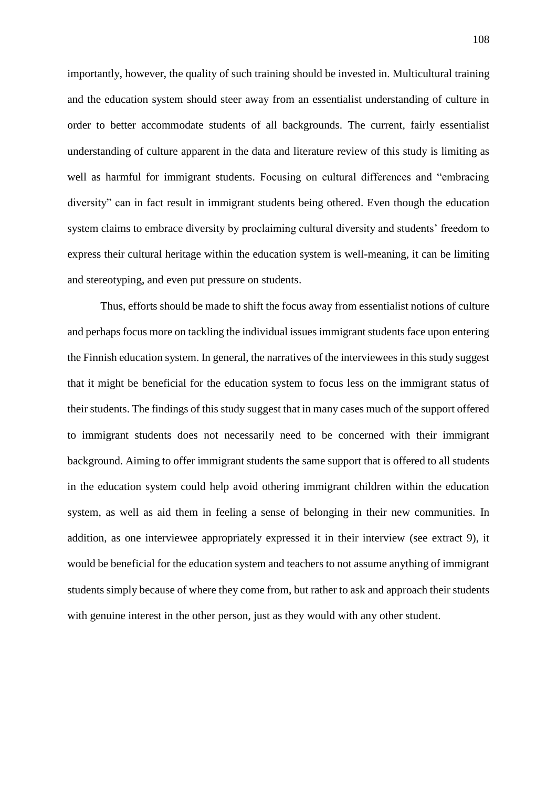importantly, however, the quality of such training should be invested in. Multicultural training and the education system should steer away from an essentialist understanding of culture in order to better accommodate students of all backgrounds. The current, fairly essentialist understanding of culture apparent in the data and literature review of this study is limiting as well as harmful for immigrant students. Focusing on cultural differences and "embracing diversity" can in fact result in immigrant students being othered. Even though the education system claims to embrace diversity by proclaiming cultural diversity and students' freedom to express their cultural heritage within the education system is well-meaning, it can be limiting and stereotyping, and even put pressure on students.

Thus, efforts should be made to shift the focus away from essentialist notions of culture and perhaps focus more on tackling the individual issues immigrant students face upon entering the Finnish education system. In general, the narratives of the interviewees in this study suggest that it might be beneficial for the education system to focus less on the immigrant status of their students. The findings of this study suggest that in many cases much of the support offered to immigrant students does not necessarily need to be concerned with their immigrant background. Aiming to offer immigrant students the same support that is offered to all students in the education system could help avoid othering immigrant children within the education system, as well as aid them in feeling a sense of belonging in their new communities. In addition, as one interviewee appropriately expressed it in their interview (see extract 9), it would be beneficial for the education system and teachers to not assume anything of immigrant students simply because of where they come from, but rather to ask and approach their students with genuine interest in the other person, just as they would with any other student.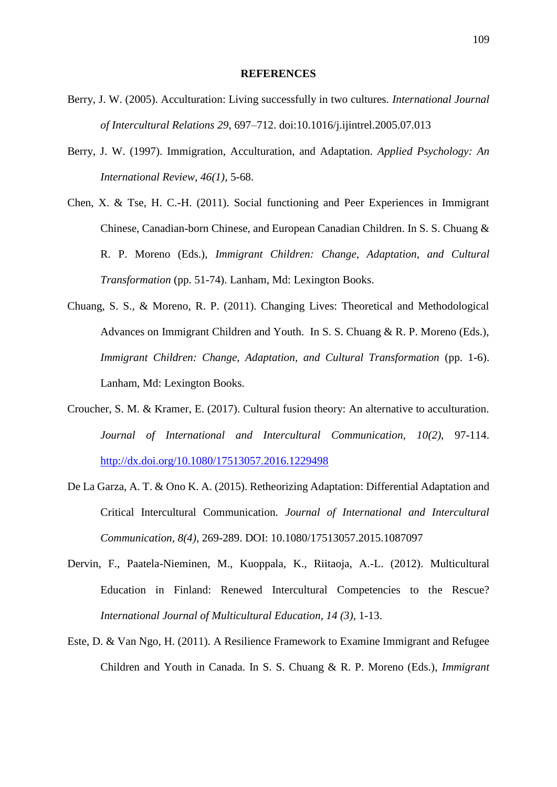## **REFERENCES**

- Berry, J. W. (2005). Acculturation: Living successfully in two cultures. *International Journal of Intercultural Relations 29*, 697–712. doi:10.1016/j.ijintrel.2005.07.013
- Berry, J. W. (1997). Immigration, Acculturation, and Adaptation. *Applied Psychology: An International Review, 46(1)*, 5-68.
- Chen, X. & Tse, H. C.-H. (2011). Social functioning and Peer Experiences in Immigrant Chinese, Canadian-born Chinese, and European Canadian Children. In S. S. Chuang & R. P. Moreno (Eds.), *Immigrant Children: Change, Adaptation, and Cultural Transformation* (pp. 51-74). Lanham, Md: Lexington Books.
- Chuang, S. S., & Moreno, R. P. (2011). Changing Lives: Theoretical and Methodological Advances on Immigrant Children and Youth. In S. S. Chuang & R. P. Moreno (Eds.), *Immigrant Children: Change, Adaptation, and Cultural Transformation* (pp. 1-6). Lanham, Md: Lexington Books.
- Croucher, S. M. & Kramer, E. (2017). Cultural fusion theory: An alternative to acculturation. *Journal of International and Intercultural Communication, 10(2)*, 97-114. <http://dx.doi.org/10.1080/17513057.2016.1229498>
- De La Garza, A. T. & Ono K. A. (2015). Retheorizing Adaptation: Differential Adaptation and Critical Intercultural Communication. *Journal of International and Intercultural Communication, 8(4),* 269-289. DOI: 10.1080/17513057.2015.1087097
- Dervin, F., Paatela-Nieminen, M., Kuoppala, K., Riitaoja, A.-L. (2012). Multicultural Education in Finland: Renewed Intercultural Competencies to the Rescue? *International Journal of Multicultural Education*, *14 (3),* 1-13.
- Este, D. & Van Ngo, H. (2011). A Resilience Framework to Examine Immigrant and Refugee Children and Youth in Canada. In S. S. Chuang & R. P. Moreno (Eds.), *Immigrant*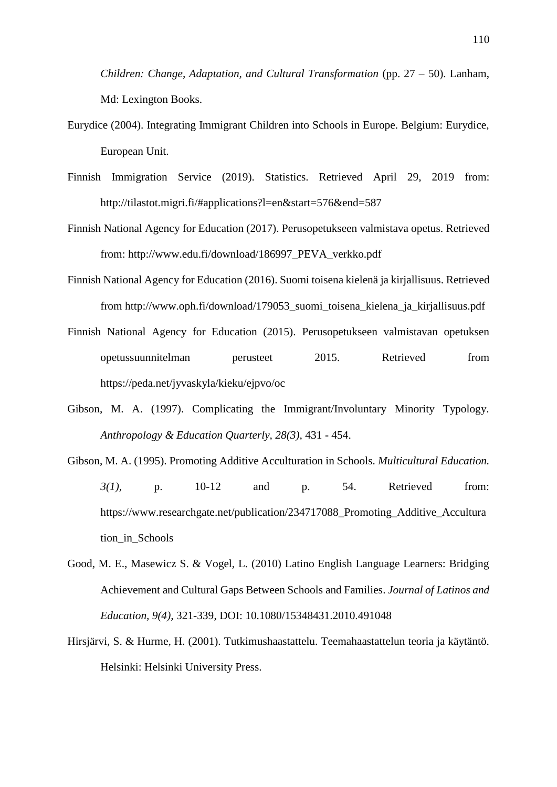*Children: Change, Adaptation, and Cultural Transformation* (pp. 27 – 50). Lanham, Md: Lexington Books.

- Eurydice (2004). Integrating Immigrant Children into Schools in Europe. Belgium: Eurydice, European Unit.
- Finnish Immigration Service (2019). Statistics. Retrieved April 29, 2019 from: http://tilastot.migri.fi/#applications?l=en&start=576&end=587
- Finnish National Agency for Education (2017). Perusopetukseen valmistava opetus. Retrieved from: [http://www.edu.fi/download/186997\\_PEVA\\_verkko.pdf](http://www.edu.fi/download/186997_PEVA_verkko.pdf)
- Finnish National Agency for Education (2016). Suomi toisena kielenä ja kirjallisuus. Retrieved from [http://www.oph.fi/download/179053\\_suomi\\_toisena\\_kielena\\_ja\\_kirjallisuus.pdf](http://www.oph.fi/download/179053_suomi_toisena_kielena_ja_kirjallisuus.pdf)
- Finnish National Agency for Education (2015). Perusopetukseen valmistavan opetuksen opetussuunnitelman perusteet 2015. Retrieved from <https://peda.net/jyvaskyla/kieku/ejpvo/oc>
- Gibson, M. A. (1997). Complicating the Immigrant/Involuntary Minority Typology. *Anthropology & Education Quarterly, 28(3),* 431 - 454.
- Gibson, M. A. (1995). Promoting Additive Acculturation in Schools. *Multicultural Education. 3(1),* p. 10-12 and p. 54. Retrieved from: [https://www.researchgate.net/publication/234717088\\_Promoting\\_Additive\\_Accultura](https://www.researchgate.net/publication/234717088_Promoting_Additive_Acculturation_in_Schools) [tion\\_in\\_Schools](https://www.researchgate.net/publication/234717088_Promoting_Additive_Acculturation_in_Schools)
- Good, M. E., Masewicz S. & Vogel, L. (2010) Latino English Language Learners: Bridging Achievement and Cultural Gaps Between Schools and Families. *Journal of Latinos and Education, 9(4),* 321-339, DOI: 10.1080/15348431.2010.491048
- Hirsjärvi, S. & Hurme, H. (2001). Tutkimushaastattelu. Teemahaastattelun teoria ja käytäntö. Helsinki: Helsinki University Press.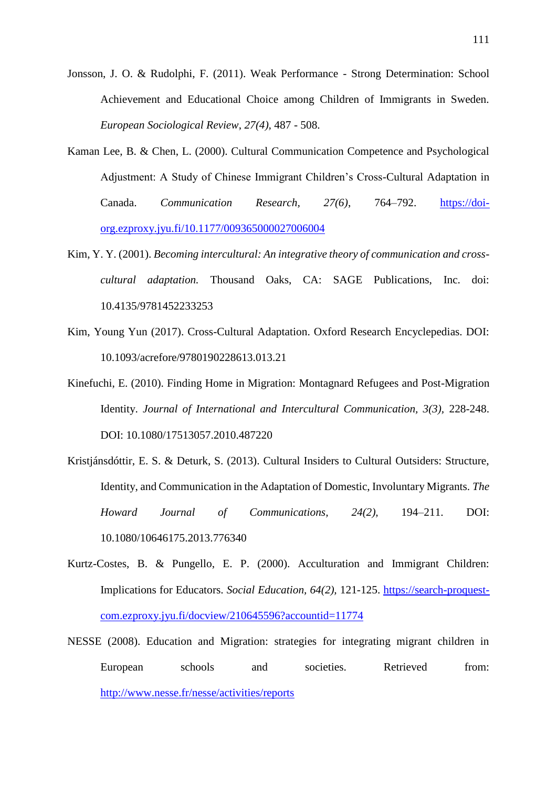- Jonsson, J. O. & Rudolphi, F. (2011). Weak Performance Strong Determination: School Achievement and Educational Choice among Children of Immigrants in Sweden. *European Sociological Review*, *27(4),* 487 - 508.
- Kaman Lee, B. & Chen, L. (2000). Cultural Communication Competence and Psychological Adjustment: A Study of Chinese Immigrant Children's Cross-Cultural Adaptation in Canada. *Communication Research, 27(6)*, 764–792. [https://doi](https://doi-org.ezproxy.jyu.fi/10.1177%2F009365000027006004)[org.ezproxy.jyu.fi/10.1177/009365000027006004](https://doi-org.ezproxy.jyu.fi/10.1177%2F009365000027006004)
- Kim, Y. Y. (2001). *Becoming intercultural: An integrative theory of communication and crosscultural adaptation.* Thousand Oaks, CA: SAGE Publications, Inc. doi: 10.4135/9781452233253
- Kim, Young Yun (2017). Cross-Cultural Adaptation. Oxford Research Encyclepedias. DOI: 10.1093/acrefore/9780190228613.013.21
- Kinefuchi, E. (2010). Finding Home in Migration: Montagnard Refugees and Post-Migration Identity. *Journal of International and Intercultural Communication, 3(3),* 228-248. DOI: 10.1080/17513057.2010.487220
- Kristjánsdóttir, E. S. & Deturk, S. (2013). Cultural Insiders to Cultural Outsiders: Structure, Identity, and Communication in the Adaptation of Domestic, Involuntary Migrants. *The Howard Journal of Communications, 24(2),* 194–211. DOI: 10.1080/10646175.2013.776340
- Kurtz-Costes, B. & Pungello, E. P. (2000). Acculturation and Immigrant Children: Implications for Educators. *Social Education, 64(2),* 121-125. [https://search-proquest](https://search-proquest-com.ezproxy.jyu.fi/docview/210645596?accountid=11774)[com.ezproxy.jyu.fi/docview/210645596?accountid=11774](https://search-proquest-com.ezproxy.jyu.fi/docview/210645596?accountid=11774)
- NESSE (2008). Education and Migration: strategies for integrating migrant children in European schools and societies. Retrieved from: <http://www.nesse.fr/nesse/activities/reports>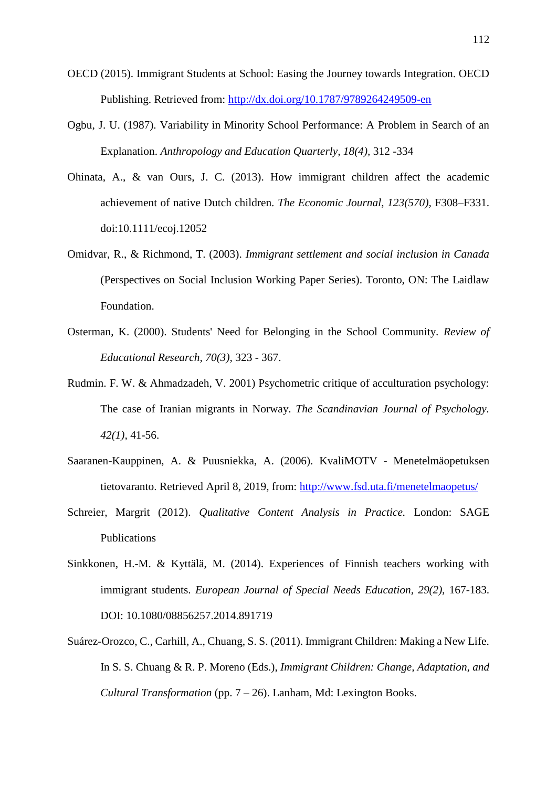- OECD (2015). Immigrant Students at School: Easing the Journey towards Integration. OECD Publishing. Retrieved from: <http://dx.doi.org/10.1787/9789264249509-en>
- Ogbu, J. U. (1987). Variability in Minority School Performance: A Problem in Search of an Explanation. *Anthropology and Education Quarterly, 18(4),* 312 -334
- Ohinata, A., & van Ours, J. C. (2013). How immigrant children affect the academic achievement of native Dutch children. *The Economic Journal*, *123(570),* F308–F331. doi:10.1111/ecoj.12052
- Omidvar, R., & Richmond, T. (2003). *Immigrant settlement and social inclusion in Canada* (Perspectives on Social Inclusion Working Paper Series). Toronto, ON: The Laidlaw Foundation.
- Osterman, K. (2000). Students' Need for Belonging in the School Community. *Review of Educational Research, 70(3),* 323 - 367.
- Rudmin. F. W. & Ahmadzadeh, V. 2001) Psychometric critique of acculturation psychology: The case of Iranian migrants in Norway. *The Scandinavian Journal of Psychology. 42(1),* 41-56.
- Saaranen-Kauppinen, A. & Puusniekka, A. (2006). KvaliMOTV Menetelmäopetuksen tietovaranto. Retrieved April 8, 2019, from:<http://www.fsd.uta.fi/menetelmaopetus/>
- Schreier, Margrit (2012). *Qualitative Content Analysis in Practice.* London: SAGE Publications
- Sinkkonen, H.-M. & Kyttälä, M. (2014). Experiences of Finnish teachers working with immigrant students. *European Journal of Special Needs Education, 29(2),* 167-183. DOI: 10.1080/08856257.2014.891719
- Suárez-Orozco, C., Carhill, A., Chuang, S. S. (2011). Immigrant Children: Making a New Life. In S. S. Chuang & R. P. Moreno (Eds.), *Immigrant Children: Change, Adaptation, and Cultural Transformation* (pp. 7 – 26). Lanham, Md: Lexington Books.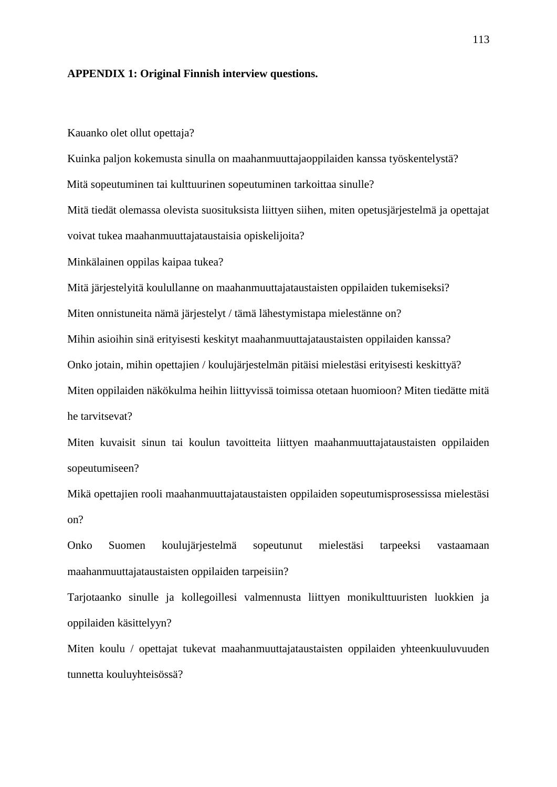## **APPENDIX 1: Original Finnish interview questions.**

Kauanko olet ollut opettaja?

Kuinka paljon kokemusta sinulla on maahanmuuttajaoppilaiden kanssa työskentelystä? Mitä sopeutuminen tai kulttuurinen sopeutuminen tarkoittaa sinulle? Mitä tiedät olemassa olevista suosituksista liittyen siihen, miten opetusjärjestelmä ja opettajat voivat tukea maahanmuuttajataustaisia opiskelijoita? Minkälainen oppilas kaipaa tukea? Mitä järjestelyitä koulullanne on maahanmuuttajataustaisten oppilaiden tukemiseksi? Miten onnistuneita nämä järjestelyt / tämä lähestymistapa mielestänne on? Mihin asioihin sinä erityisesti keskityt maahanmuuttajataustaisten oppilaiden kanssa? Onko jotain, mihin opettajien / koulujärjestelmän pitäisi mielestäsi erityisesti keskittyä? Miten oppilaiden näkökulma heihin liittyvissä toimissa otetaan huomioon? Miten tiedätte mitä he tarvitsevat?

Miten kuvaisit sinun tai koulun tavoitteita liittyen maahanmuuttajataustaisten oppilaiden sopeutumiseen?

Mikä opettajien rooli maahanmuuttajataustaisten oppilaiden sopeutumisprosessissa mielestäsi on?

Onko Suomen koulujärjestelmä sopeutunut mielestäsi tarpeeksi vastaamaan maahanmuuttajataustaisten oppilaiden tarpeisiin?

Tarjotaanko sinulle ja kollegoillesi valmennusta liittyen monikulttuuristen luokkien ja oppilaiden käsittelyyn?

Miten koulu / opettajat tukevat maahanmuuttajataustaisten oppilaiden yhteenkuuluvuuden tunnetta kouluyhteisössä?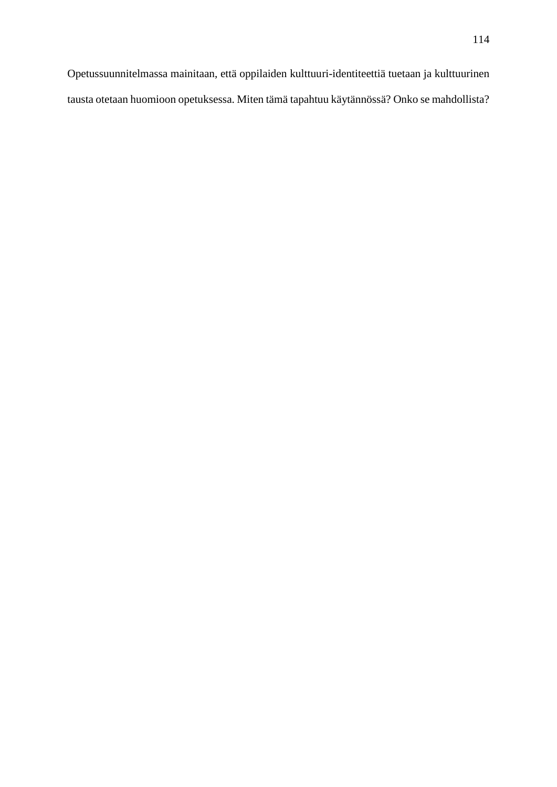Opetussuunnitelmassa mainitaan, että oppilaiden kulttuuri-identiteettiä tuetaan ja kulttuurinen tausta otetaan huomioon opetuksessa. Miten tämä tapahtuu käytännössä? Onko se mahdollista?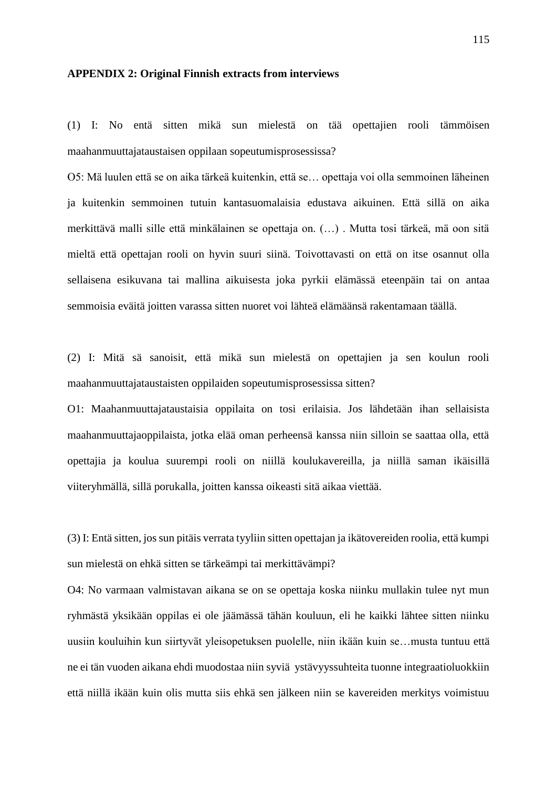## **APPENDIX 2: Original Finnish extracts from interviews**

(1) I: No entä sitten mikä sun mielestä on tää opettajien rooli tämmöisen maahanmuuttajataustaisen oppilaan sopeutumisprosessissa?

O5: Mä luulen että se on aika tärkeä kuitenkin, että se… opettaja voi olla semmoinen läheinen ja kuitenkin semmoinen tutuin kantasuomalaisia edustava aikuinen. Että sillä on aika merkittävä malli sille että minkälainen se opettaja on. (…) . Mutta tosi tärkeä, mä oon sitä mieltä että opettajan rooli on hyvin suuri siinä. Toivottavasti on että on itse osannut olla sellaisena esikuvana tai mallina aikuisesta joka pyrkii elämässä eteenpäin tai on antaa semmoisia eväitä joitten varassa sitten nuoret voi lähteä elämäänsä rakentamaan täällä.

(2) I: Mitä sä sanoisit, että mikä sun mielestä on opettajien ja sen koulun rooli maahanmuuttajataustaisten oppilaiden sopeutumisprosessissa sitten?

O1: Maahanmuuttajataustaisia oppilaita on tosi erilaisia. Jos lähdetään ihan sellaisista maahanmuuttajaoppilaista, jotka elää oman perheensä kanssa niin silloin se saattaa olla, että opettajia ja koulua suurempi rooli on niillä koulukavereilla, ja niillä saman ikäisillä viiteryhmällä, sillä porukalla, joitten kanssa oikeasti sitä aikaa viettää.

(3) I: Entä sitten, jos sun pitäis verrata tyyliin sitten opettajan ja ikätovereiden roolia, että kumpi sun mielestä on ehkä sitten se tärkeämpi tai merkittävämpi?

O4: No varmaan valmistavan aikana se on se opettaja koska niinku mullakin tulee nyt mun ryhmästä yksikään oppilas ei ole jäämässä tähän kouluun, eli he kaikki lähtee sitten niinku uusiin kouluihin kun siirtyvät yleisopetuksen puolelle, niin ikään kuin se…musta tuntuu että ne ei tän vuoden aikana ehdi muodostaa niin syviä ystävyyssuhteita tuonne integraatioluokkiin että niillä ikään kuin olis mutta siis ehkä sen jälkeen niin se kavereiden merkitys voimistuu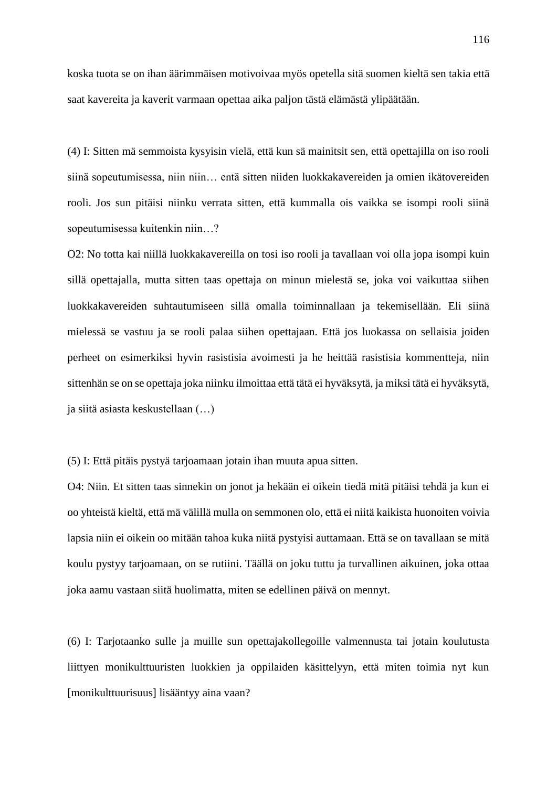koska tuota se on ihan äärimmäisen motivoivaa myös opetella sitä suomen kieltä sen takia että saat kavereita ja kaverit varmaan opettaa aika paljon tästä elämästä ylipäätään.

(4) I: Sitten mä semmoista kysyisin vielä, että kun sä mainitsit sen, että opettajilla on iso rooli siinä sopeutumisessa, niin niin… entä sitten niiden luokkakavereiden ja omien ikätovereiden rooli. Jos sun pitäisi niinku verrata sitten, että kummalla ois vaikka se isompi rooli siinä sopeutumisessa kuitenkin niin…?

O2: No totta kai niillä luokkakavereilla on tosi iso rooli ja tavallaan voi olla jopa isompi kuin sillä opettajalla, mutta sitten taas opettaja on minun mielestä se, joka voi vaikuttaa siihen luokkakavereiden suhtautumiseen sillä omalla toiminnallaan ja tekemisellään. Eli siinä mielessä se vastuu ja se rooli palaa siihen opettajaan. Että jos luokassa on sellaisia joiden perheet on esimerkiksi hyvin rasistisia avoimesti ja he heittää rasistisia kommentteja, niin sittenhän se on se opettaja joka niinku ilmoittaa että tätä ei hyväksytä, ja miksi tätä ei hyväksytä, ja siitä asiasta keskustellaan (…)

(5) I: Että pitäis pystyä tarjoamaan jotain ihan muuta apua sitten.

O4: Niin. Et sitten taas sinnekin on jonot ja hekään ei oikein tiedä mitä pitäisi tehdä ja kun ei oo yhteistä kieltä, että mä välillä mulla on semmonen olo, että ei niitä kaikista huonoiten voivia lapsia niin ei oikein oo mitään tahoa kuka niitä pystyisi auttamaan. Että se on tavallaan se mitä koulu pystyy tarjoamaan, on se rutiini. Täällä on joku tuttu ja turvallinen aikuinen, joka ottaa joka aamu vastaan siitä huolimatta, miten se edellinen päivä on mennyt.

(6) I: Tarjotaanko sulle ja muille sun opettajakollegoille valmennusta tai jotain koulutusta liittyen monikulttuuristen luokkien ja oppilaiden käsittelyyn, että miten toimia nyt kun [monikulttuurisuus] lisääntyy aina vaan?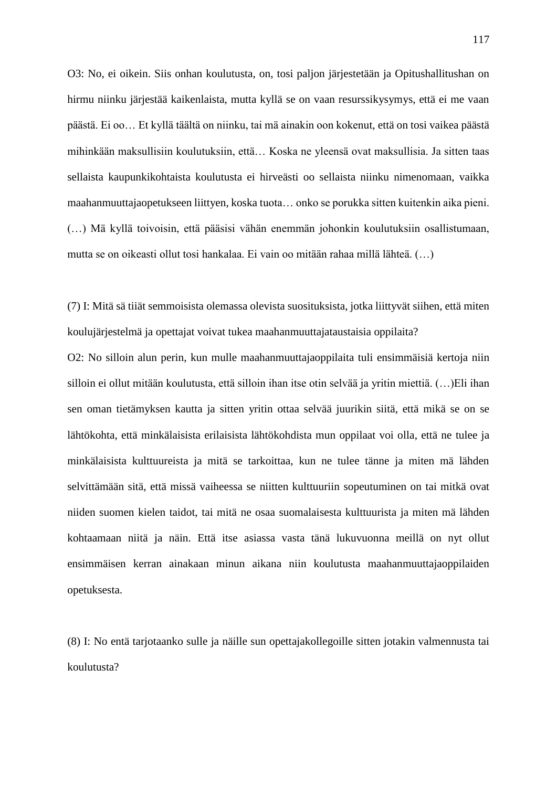O3: No, ei oikein. Siis onhan koulutusta, on, tosi paljon järjestetään ja Opitushallitushan on hirmu niinku järjestää kaikenlaista, mutta kyllä se on vaan resurssikysymys, että ei me vaan päästä. Ei oo… Et kyllä täältä on niinku, tai mä ainakin oon kokenut, että on tosi vaikea päästä mihinkään maksullisiin koulutuksiin, että… Koska ne yleensä ovat maksullisia. Ja sitten taas sellaista kaupunkikohtaista koulutusta ei hirveästi oo sellaista niinku nimenomaan, vaikka maahanmuuttajaopetukseen liittyen, koska tuota… onko se porukka sitten kuitenkin aika pieni. (…) Mä kyllä toivoisin, että pääsisi vähän enemmän johonkin koulutuksiin osallistumaan, mutta se on oikeasti ollut tosi hankalaa. Ei vain oo mitään rahaa millä lähteä. (…)

(7) I: Mitä sä tiiät semmoisista olemassa olevista suosituksista, jotka liittyvät siihen, että miten koulujärjestelmä ja opettajat voivat tukea maahanmuuttajataustaisia oppilaita?

O2: No silloin alun perin, kun mulle maahanmuuttajaoppilaita tuli ensimmäisiä kertoja niin silloin ei ollut mitään koulutusta, että silloin ihan itse otin selvää ja yritin miettiä. (…)Eli ihan sen oman tietämyksen kautta ja sitten yritin ottaa selvää juurikin siitä, että mikä se on se lähtökohta, että minkälaisista erilaisista lähtökohdista mun oppilaat voi olla, että ne tulee ja minkälaisista kulttuureista ja mitä se tarkoittaa, kun ne tulee tänne ja miten mä lähden selvittämään sitä, että missä vaiheessa se niitten kulttuuriin sopeutuminen on tai mitkä ovat niiden suomen kielen taidot, tai mitä ne osaa suomalaisesta kulttuurista ja miten mä lähden kohtaamaan niitä ja näin. Että itse asiassa vasta tänä lukuvuonna meillä on nyt ollut ensimmäisen kerran ainakaan minun aikana niin koulutusta maahanmuuttajaoppilaiden opetuksesta.

(8) I: No entä tarjotaanko sulle ja näille sun opettajakollegoille sitten jotakin valmennusta tai koulutusta?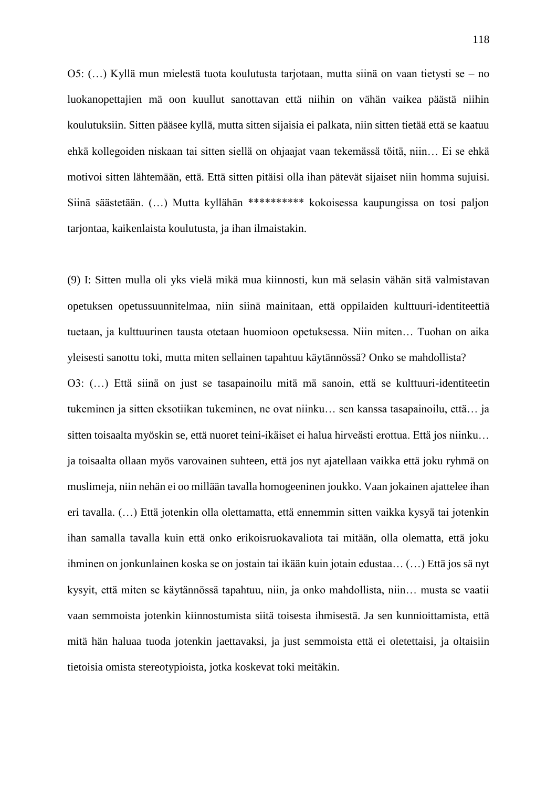O5: (…) Kyllä mun mielestä tuota koulutusta tarjotaan, mutta siinä on vaan tietysti se – no luokanopettajien mä oon kuullut sanottavan että niihin on vähän vaikea päästä niihin koulutuksiin. Sitten pääsee kyllä, mutta sitten sijaisia ei palkata, niin sitten tietää että se kaatuu ehkä kollegoiden niskaan tai sitten siellä on ohjaajat vaan tekemässä töitä, niin… Ei se ehkä motivoi sitten lähtemään, että. Että sitten pitäisi olla ihan pätevät sijaiset niin homma sujuisi. Siinä säästetään. (…) Mutta kyllähän \*\*\*\*\*\*\*\*\*\* kokoisessa kaupungissa on tosi paljon tarjontaa, kaikenlaista koulutusta, ja ihan ilmaistakin.

(9) I: Sitten mulla oli yks vielä mikä mua kiinnosti, kun mä selasin vähän sitä valmistavan opetuksen opetussuunnitelmaa, niin siinä mainitaan, että oppilaiden kulttuuri-identiteettiä tuetaan, ja kulttuurinen tausta otetaan huomioon opetuksessa. Niin miten… Tuohan on aika yleisesti sanottu toki, mutta miten sellainen tapahtuu käytännössä? Onko se mahdollista? O3: (…) Että siinä on just se tasapainoilu mitä mä sanoin, että se kulttuuri-identiteetin tukeminen ja sitten eksotiikan tukeminen, ne ovat niinku… sen kanssa tasapainoilu, että… ja sitten toisaalta myöskin se, että nuoret teini-ikäiset ei halua hirveästi erottua. Että jos niinku… ja toisaalta ollaan myös varovainen suhteen, että jos nyt ajatellaan vaikka että joku ryhmä on muslimeja, niin nehän ei oo millään tavalla homogeeninen joukko. Vaan jokainen ajattelee ihan eri tavalla. (…) Että jotenkin olla olettamatta, että ennemmin sitten vaikka kysyä tai jotenkin ihan samalla tavalla kuin että onko erikoisruokavaliota tai mitään, olla olematta, että joku ihminen on jonkunlainen koska se on jostain tai ikään kuin jotain edustaa… (…) Että jos sä nyt kysyit, että miten se käytännössä tapahtuu, niin, ja onko mahdollista, niin… musta se vaatii vaan semmoista jotenkin kiinnostumista siitä toisesta ihmisestä. Ja sen kunnioittamista, että mitä hän haluaa tuoda jotenkin jaettavaksi, ja just semmoista että ei oletettaisi, ja oltaisiin tietoisia omista stereotypioista, jotka koskevat toki meitäkin.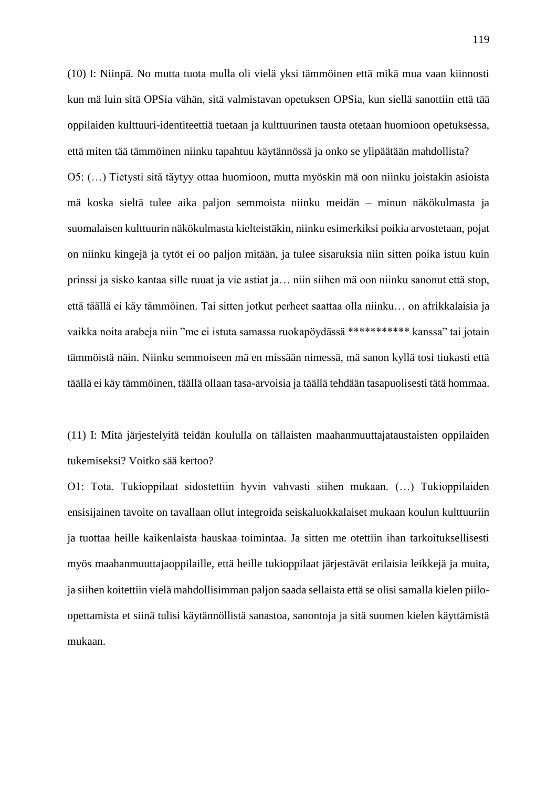(10) I: Niinpä. No mutta tuota mulla oli vielä yksi tämmöinen että mikä mua vaan kiinnosti kun mä luin sitä OPSia vähän, sitä valmistavan opetuksen OPSia, kun siellä sanottiin että tää oppilaiden kulttuuri-identiteettiä tuetaan ja kulttuurinen tausta otetaan huomioon opetuksessa, että miten tää tämmöinen niinku tapahtuu käytännössä ja onko se ylipäätään mahdollista?

O5: (…) Tietysti sitä täytyy ottaa huomioon, mutta myöskin mä oon niinku joistakin asioista mä koska sieltä tulee aika paljon semmoista niinku meidän – minun näkökulmasta ja suomalaisen kulttuurin näkökulmasta kielteistäkin, niinku esimerkiksi poikia arvostetaan, pojat on niinku kingejä ja tytöt ei oo paljon mitään, ja tulee sisaruksia niin sitten poika istuu kuin prinssi ja sisko kantaa sille ruuat ja vie astiat ja… niin siihen mä oon niinku sanonut että stop, että täällä ei käy tämmöinen. Tai sitten jotkut perheet saattaa olla niinku… on afrikkalaisia ja vaikka noita arabeja niin "me ei istuta samassa ruokapöydässä \*\*\*\*\*\*\*\*\*\*\* kanssa" tai jotain tämmöistä näin. Niinku semmoiseen mä en missään nimessä, mä sanon kyllä tosi tiukasti että täällä ei käy tämmöinen, täällä ollaan tasa-arvoisia ja täällä tehdään tasapuolisesti tätä hommaa.

(11) I: Mitä järjestelyitä teidän koululla on tällaisten maahanmuuttajataustaisten oppilaiden tukemiseksi? Voitko sää kertoo?

O1: Tota. Tukioppilaat sidostettiin hyvin vahvasti siihen mukaan. (…) Tukioppilaiden ensisijainen tavoite on tavallaan ollut integroida seiskaluokkalaiset mukaan koulun kulttuuriin ja tuottaa heille kaikenlaista hauskaa toimintaa. Ja sitten me otettiin ihan tarkoituksellisesti myös maahanmuuttajaoppilaille, että heille tukioppilaat järjestävät erilaisia leikkejä ja muita, ja siihen koitettiin vielä mahdollisimman paljon saada sellaista että se olisi samalla kielen piiloopettamista et siinä tulisi käytännöllistä sanastoa, sanontoja ja sitä suomen kielen käyttämistä mukaan.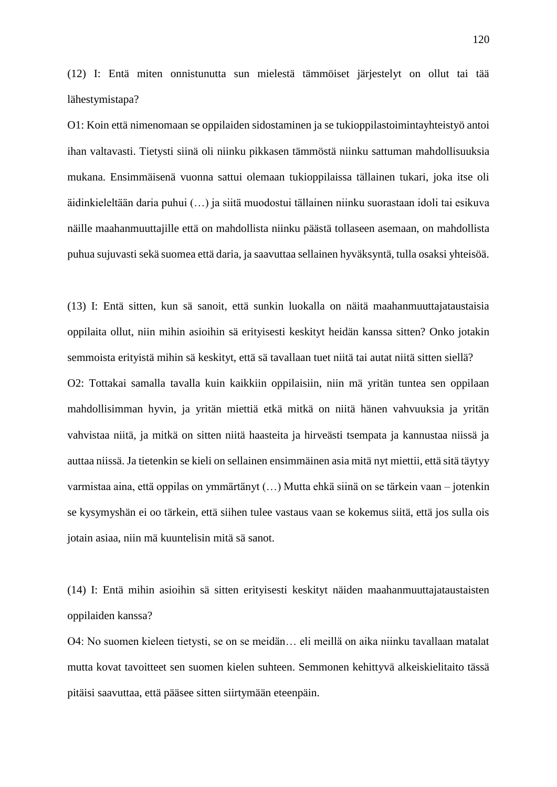(12) I: Entä miten onnistunutta sun mielestä tämmöiset järjestelyt on ollut tai tää lähestymistapa?

O1: Koin että nimenomaan se oppilaiden sidostaminen ja se tukioppilastoimintayhteistyö antoi ihan valtavasti. Tietysti siinä oli niinku pikkasen tämmöstä niinku sattuman mahdollisuuksia mukana. Ensimmäisenä vuonna sattui olemaan tukioppilaissa tällainen tukari, joka itse oli äidinkieleltään daria puhui (…) ja siitä muodostui tällainen niinku suorastaan idoli tai esikuva näille maahanmuuttajille että on mahdollista niinku päästä tollaseen asemaan, on mahdollista puhua sujuvasti sekä suomea että daria, ja saavuttaa sellainen hyväksyntä, tulla osaksi yhteisöä.

(13) I: Entä sitten, kun sä sanoit, että sunkin luokalla on näitä maahanmuuttajataustaisia oppilaita ollut, niin mihin asioihin sä erityisesti keskityt heidän kanssa sitten? Onko jotakin semmoista erityistä mihin sä keskityt, että sä tavallaan tuet niitä tai autat niitä sitten siellä? O2: Tottakai samalla tavalla kuin kaikkiin oppilaisiin, niin mä yritän tuntea sen oppilaan mahdollisimman hyvin, ja yritän miettiä etkä mitkä on niitä hänen vahvuuksia ja yritän vahvistaa niitä, ja mitkä on sitten niitä haasteita ja hirveästi tsempata ja kannustaa niissä ja auttaa niissä. Ja tietenkin se kieli on sellainen ensimmäinen asia mitä nyt miettii, että sitä täytyy varmistaa aina, että oppilas on ymmärtänyt (…) Mutta ehkä siinä on se tärkein vaan – jotenkin se kysymyshän ei oo tärkein, että siihen tulee vastaus vaan se kokemus siitä, että jos sulla ois jotain asiaa, niin mä kuuntelisin mitä sä sanot.

(14) I: Entä mihin asioihin sä sitten erityisesti keskityt näiden maahanmuuttajataustaisten oppilaiden kanssa?

O4: No suomen kieleen tietysti, se on se meidän… eli meillä on aika niinku tavallaan matalat mutta kovat tavoitteet sen suomen kielen suhteen. Semmonen kehittyvä alkeiskielitaito tässä pitäisi saavuttaa, että pääsee sitten siirtymään eteenpäin.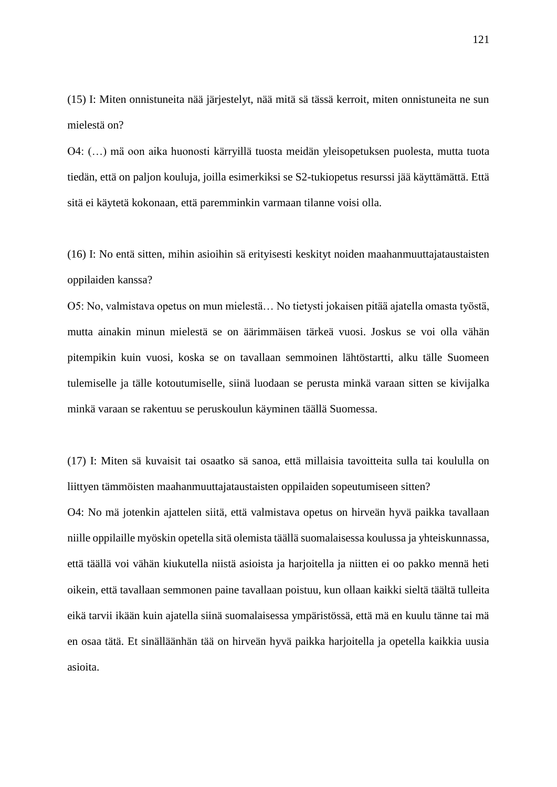(15) I: Miten onnistuneita nää järjestelyt, nää mitä sä tässä kerroit, miten onnistuneita ne sun mielestä on?

O4: (…) mä oon aika huonosti kärryillä tuosta meidän yleisopetuksen puolesta, mutta tuota tiedän, että on paljon kouluja, joilla esimerkiksi se S2-tukiopetus resurssi jää käyttämättä. Että sitä ei käytetä kokonaan, että paremminkin varmaan tilanne voisi olla.

(16) I: No entä sitten, mihin asioihin sä erityisesti keskityt noiden maahanmuuttajataustaisten oppilaiden kanssa?

O5: No, valmistava opetus on mun mielestä… No tietysti jokaisen pitää ajatella omasta työstä, mutta ainakin minun mielestä se on äärimmäisen tärkeä vuosi. Joskus se voi olla vähän pitempikin kuin vuosi, koska se on tavallaan semmoinen lähtöstartti, alku tälle Suomeen tulemiselle ja tälle kotoutumiselle, siinä luodaan se perusta minkä varaan sitten se kivijalka minkä varaan se rakentuu se peruskoulun käyminen täällä Suomessa.

(17) I: Miten sä kuvaisit tai osaatko sä sanoa, että millaisia tavoitteita sulla tai koululla on liittyen tämmöisten maahanmuuttajataustaisten oppilaiden sopeutumiseen sitten? O4: No mä jotenkin ajattelen siitä, että valmistava opetus on hirveän hyvä paikka tavallaan niille oppilaille myöskin opetella sitä olemista täällä suomalaisessa koulussa ja yhteiskunnassa, että täällä voi vähän kiukutella niistä asioista ja harjoitella ja niitten ei oo pakko mennä heti oikein, että tavallaan semmonen paine tavallaan poistuu, kun ollaan kaikki sieltä täältä tulleita eikä tarvii ikään kuin ajatella siinä suomalaisessa ympäristössä, että mä en kuulu tänne tai mä en osaa tätä. Et sinälläänhän tää on hirveän hyvä paikka harjoitella ja opetella kaikkia uusia asioita.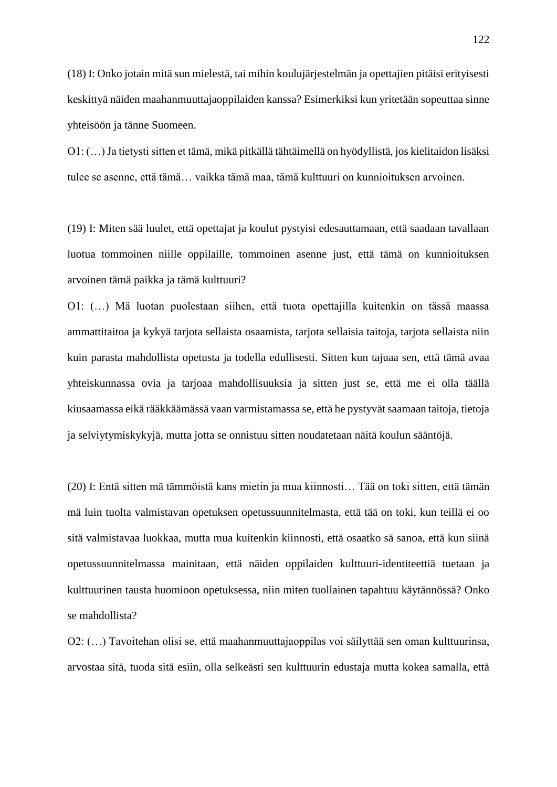(18) I: Onko jotain mitä sun mielestä, tai mihin koulujärjestelmän ja opettajien pitäisi erityisesti keskittyä näiden maahanmuuttajaoppilaiden kanssa? Esimerkiksi kun yritetään sopeuttaa sinne yhteisöön ja tänne Suomeen.

O1: (…) Ja tietysti sitten et tämä, mikä pitkällä tähtäimellä on hyödyllistä, jos kielitaidon lisäksi tulee se asenne, että tämä… vaikka tämä maa, tämä kulttuuri on kunnioituksen arvoinen.

(19) I: Miten sää luulet, että opettajat ja koulut pystyisi edesauttamaan, että saadaan tavallaan luotua tommoinen niille oppilaille, tommoinen asenne just, että tämä on kunnioituksen arvoinen tämä paikka ja tämä kulttuuri?

O1: (…) Mä luotan puolestaan siihen, että tuota opettajilla kuitenkin on tässä maassa ammattitaitoa ja kykyä tarjota sellaista osaamista, tarjota sellaisia taitoja, tarjota sellaista niin kuin parasta mahdollista opetusta ja todella edullisesti. Sitten kun tajuaa sen, että tämä avaa yhteiskunnassa ovia ja tarjoaa mahdollisuuksia ja sitten just se, että me ei olla täällä kiusaamassa eikä rääkkäämässä vaan varmistamassa se, että he pystyvät saamaan taitoja, tietoja ja selviytymiskykyjä, mutta jotta se onnistuu sitten noudatetaan näitä koulun sääntöjä.

(20) I: Entä sitten mä tämmöistä kans mietin ja mua kiinnosti… Tää on toki sitten, että tämän mä luin tuolta valmistavan opetuksen opetussuunnitelmasta, että tää on toki, kun teillä ei oo sitä valmistavaa luokkaa, mutta mua kuitenkin kiinnosti, että osaatko sä sanoa, että kun siinä opetussuunnitelmassa mainitaan, että näiden oppilaiden kulttuuri-identiteettiä tuetaan ja kulttuurinen tausta huomioon opetuksessa, niin miten tuollainen tapahtuu käytännössä? Onko se mahdollista?

O2: (…) Tavoitehan olisi se, että maahanmuuttajaoppilas voi säilyttää sen oman kulttuurinsa, arvostaa sitä, tuoda sitä esiin, olla selkeästi sen kulttuurin edustaja mutta kokea samalla, että